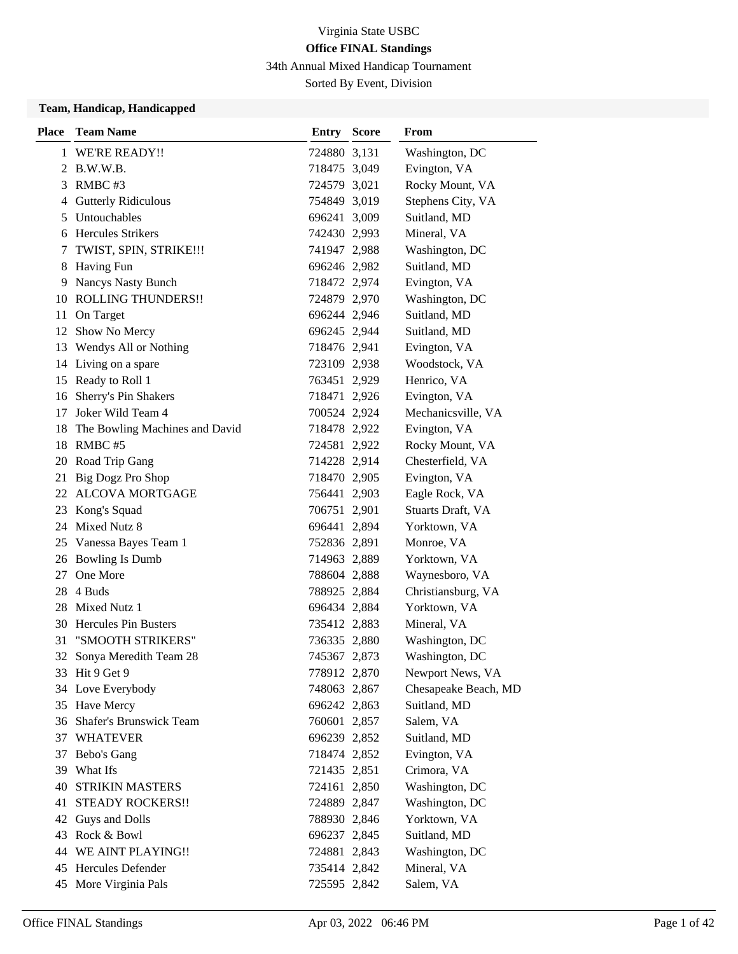34th Annual Mixed Handicap Tournament

Sorted By Event, Division

#### **Team, Handicap, Handicapped**

| <b>Place</b> | <b>Team Name</b>               | <b>Entry Score</b> | From                 |
|--------------|--------------------------------|--------------------|----------------------|
|              | 1 WE'RE READY!!                | 724880 3,131       | Washington, DC       |
|              | 2 B.W.W.B.                     | 718475 3,049       | Evington, VA         |
|              | 3 RMBC #3                      | 724579 3,021       | Rocky Mount, VA      |
|              | 4 Gutterly Ridiculous          | 754849 3,019       | Stephens City, VA    |
|              | 5 Untouchables                 | 696241 3,009       | Suitland, MD         |
| 6            | <b>Hercules Strikers</b>       | 742430 2,993       | Mineral, VA          |
| 7            | TWIST, SPIN, STRIKE !!!        | 741947 2,988       | Washington, DC       |
|              | 8 Having Fun                   | 696246 2,982       | Suitland, MD         |
| 9            | Nancys Nasty Bunch             | 718472 2,974       | Evington, VA         |
|              | 10 ROLLING THUNDERS!!          | 724879 2,970       | Washington, DC       |
| 11           | On Target                      | 696244 2,946       | Suitland, MD         |
| 12           | Show No Mercy                  | 696245 2,944       | Suitland, MD         |
|              | 13 Wendys All or Nothing       | 718476 2,941       | Evington, VA         |
|              | 14 Living on a spare           | 723109 2,938       | Woodstock, VA        |
|              | 15 Ready to Roll 1             | 763451 2,929       | Henrico, VA          |
|              | 16 Sherry's Pin Shakers        | 718471 2,926       | Evington, VA         |
| 17           | Joker Wild Team 4              | 700524 2,924       | Mechanicsville, VA   |
| 18           | The Bowling Machines and David | 718478 2,922       | Evington, VA         |
|              | 18 RMBC #5                     | 724581 2,922       | Rocky Mount, VA      |
|              | 20 Road Trip Gang              | 714228 2,914       | Chesterfield, VA     |
| 21           | Big Dogz Pro Shop              | 718470 2,905       | Evington, VA         |
| 22           | <b>ALCOVA MORTGAGE</b>         | 756441 2,903       | Eagle Rock, VA       |
|              | 23 Kong's Squad                | 706751 2,901       | Stuarts Draft, VA    |
|              | 24 Mixed Nutz 8                | 696441 2,894       | Yorktown, VA         |
|              | 25 Vanessa Bayes Team 1        | 752836 2,891       | Monroe, VA           |
|              | 26 Bowling Is Dumb             | 714963 2,889       | Yorktown, VA         |
| 27           | One More                       | 788604 2,888       | Waynesboro, VA       |
|              | 28 4 Buds                      | 788925 2,884       | Christiansburg, VA   |
|              | 28 Mixed Nutz 1                | 696434 2,884       | Yorktown, VA         |
|              | 30 Hercules Pin Busters        | 735412 2,883       | Mineral, VA          |
| 31           | "SMOOTH STRIKERS"              | 736335 2,880       | Washington, DC       |
|              | 32 Sonya Meredith Team 28      | 745367 2,873       | Washington, DC       |
|              | 33 Hit 9 Get 9                 | 778912 2,870       | Newport News, VA     |
|              | 34 Love Everybody              | 748063 2,867       | Chesapeake Beach, MD |
|              | 35 Have Mercy                  | 696242 2,863       | Suitland, MD         |
|              | 36 Shafer's Brunswick Team     | 760601 2,857       | Salem, VA            |
|              | 37 WHATEVER                    | 696239 2,852       | Suitland, MD         |
| 37           | Bebo's Gang                    | 718474 2,852       | Evington, VA         |
| 39           | What Ifs                       | 721435 2,851       | Crimora, VA          |
| 40           | <b>STRIKIN MASTERS</b>         | 724161 2,850       | Washington, DC       |
| 41           | <b>STEADY ROCKERS!!</b>        | 724889 2,847       | Washington, DC       |
| 42           | Guys and Dolls                 | 788930 2,846       | Yorktown, VA         |
|              | 43 Rock & Bowl                 | 696237 2,845       | Suitland, MD         |
|              | 44 WE AINT PLAYING!!           | 724881 2,843       | Washington, DC       |
|              | 45 Hercules Defender           | 735414 2,842       | Mineral, VA          |
|              | 45 More Virginia Pals          | 725595 2,842       | Salem, VA            |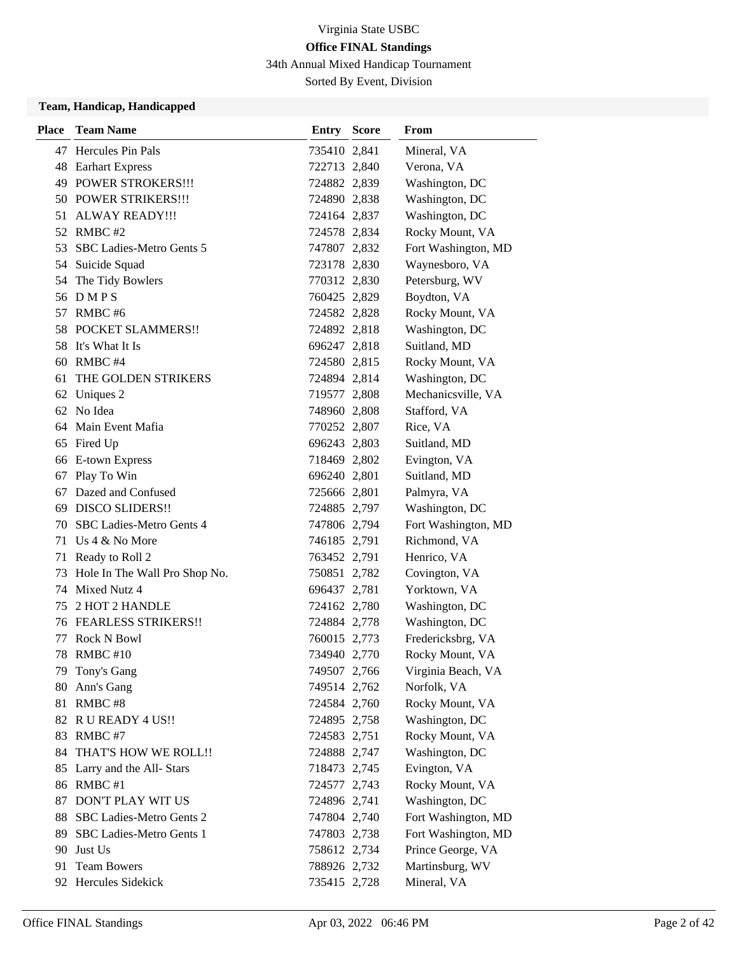34th Annual Mixed Handicap Tournament

Sorted By Event, Division

### **Team, Handicap, Handicapped**

| <b>Place</b> | <b>Team Name</b>              | <b>Entry Score</b> | From                |
|--------------|-------------------------------|--------------------|---------------------|
|              | 47 Hercules Pin Pals          | 735410 2,841       | Mineral, VA         |
|              | 48 Earhart Express            | 722713 2,840       | Verona, VA          |
|              | 49 POWER STROKERS!!!          | 724882 2,839       | Washington, DC      |
|              | 50 POWER STRIKERS!!!          | 724890 2,838       | Washington, DC      |
|              | 51 ALWAY READY!!!             | 724164 2,837       | Washington, DC      |
| 52           | RMBC #2                       | 724578 2,834       | Rocky Mount, VA     |
| 53           | SBC Ladies-Metro Gents 5      | 747807 2,832       | Fort Washington, MD |
|              | 54 Suicide Squad              | 723178 2,830       | Waynesboro, VA      |
| 54           | The Tidy Bowlers              | 770312 2,830       | Petersburg, WV      |
|              | 56 DMPS                       | 760425 2,829       | Boydton, VA         |
| 57           | RMBC#6                        | 724582 2,828       | Rocky Mount, VA     |
| 58           | POCKET SLAMMERS!!             | 724892 2,818       | Washington, DC      |
|              | 58 It's What It Is            | 696247 2,818       | Suitland, MD        |
| 60           | RMBC#4                        | 724580 2,815       | Rocky Mount, VA     |
| 61           | THE GOLDEN STRIKERS           | 724894 2,814       | Washington, DC      |
|              | 62 Uniques 2                  | 719577 2,808       | Mechanicsville, VA  |
|              | 62 No Idea                    | 748960 2,808       | Stafford, VA        |
| 64           | Main Event Mafia              | 770252 2,807       | Rice, VA            |
| 65           | Fired Up                      | 696243 2,803       | Suitland, MD        |
|              | 66 E-town Express             | 718469 2,802       | Evington, VA        |
| 67           | Play To Win                   | 696240 2,801       | Suitland, MD        |
| 67           | Dazed and Confused            | 725666 2,801       | Palmyra, VA         |
| 69           | <b>DISCO SLIDERS!!</b>        | 724885 2,797       | Washington, DC      |
| 70           | SBC Ladies-Metro Gents 4      | 747806 2,794       | Fort Washington, MD |
|              | 71 Us 4 & No More             | 746185 2,791       | Richmond, VA        |
| 71           | Ready to Roll 2               | 763452 2,791       | Henrico, VA         |
| 73           | Hole In The Wall Pro Shop No. | 750851 2,782       | Covington, VA       |
| 74           | Mixed Nutz 4                  | 696437 2,781       | Yorktown, VA        |
| 75           | 2 HOT 2 HANDLE                | 724162 2,780       | Washington, DC      |
|              | 76 FEARLESS STRIKERS!!        | 724884 2,778       | Washington, DC      |
| 77           | <b>Rock N Bowl</b>            | 760015 2,773       | Fredericksbrg, VA   |
| 78           | RMBC#10                       | 734940 2,770       | Rocky Mount, VA     |
|              | 79 Tony's Gang                | 749507 2,766       | Virginia Beach, VA  |
| 80           | Ann's Gang                    | 749514 2,762       | Norfolk, VA         |
| 81           | RMBC#8                        | 724584 2,760       | Rocky Mount, VA     |
| 82           | R U READY 4 US!!              | 724895 2,758       | Washington, DC      |
| 83           | RMBC#7                        | 724583 2,751       | Rocky Mount, VA     |
| 84           | THAT'S HOW WE ROLL!!          | 724888 2,747       | Washington, DC      |
| 85           | Larry and the All-Stars       | 718473 2,745       | Evington, VA        |
|              | 86 RMBC #1                    | 724577 2,743       | Rocky Mount, VA     |
| 87           | DON'T PLAY WIT US             | 724896 2,741       | Washington, DC      |
| 88           | SBC Ladies-Metro Gents 2      | 747804 2,740       | Fort Washington, MD |
| 89           | SBC Ladies-Metro Gents 1      | 747803 2,738       | Fort Washington, MD |
| 90           | Just Us                       | 758612 2,734       | Prince George, VA   |
| 91           | <b>Team Bowers</b>            | 788926 2,732       | Martinsburg, WV     |
|              | 92 Hercules Sidekick          | 735415 2,728       | Mineral, VA         |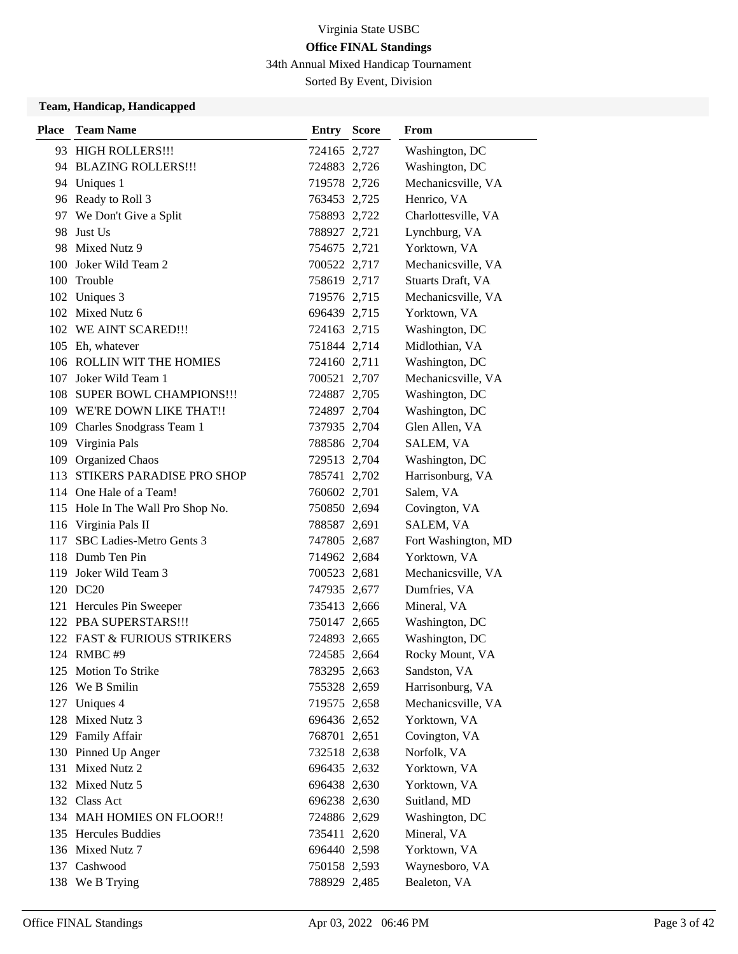34th Annual Mixed Handicap Tournament

Sorted By Event, Division

### **Team, Handicap, Handicapped**

| <b>Place</b> | <b>Team Name</b>                  | <b>Entry Score</b> | From                |
|--------------|-----------------------------------|--------------------|---------------------|
|              | 93 HIGH ROLLERS!!!                | 724165 2,727       | Washington, DC      |
|              | 94 BLAZING ROLLERS!!!             | 724883 2,726       | Washington, DC      |
|              | 94 Uniques 1                      | 719578 2,726       | Mechanicsville, VA  |
|              | 96 Ready to Roll 3                | 763453 2,725       | Henrico, VA         |
|              | 97 We Don't Give a Split          | 758893 2,722       | Charlottesville, VA |
| 98           | Just Us                           | 788927 2,721       | Lynchburg, VA       |
|              | 98 Mixed Nutz 9                   | 754675 2,721       | Yorktown, VA        |
| 100          | Joker Wild Team 2                 | 700522 2,717       | Mechanicsville, VA  |
| 100          | Trouble                           | 758619 2,717       | Stuarts Draft, VA   |
|              | 102 Uniques 3                     | 719576 2,715       | Mechanicsville, VA  |
|              | 102 Mixed Nutz 6                  | 696439 2,715       | Yorktown, VA        |
|              | 102 WE AINT SCARED!!!             | 724163 2,715       | Washington, DC      |
|              | 105 Eh, whatever                  | 751844 2,714       | Midlothian, VA      |
|              | 106 ROLLIN WIT THE HOMIES         | 724160 2,711       | Washington, DC      |
|              | 107 Joker Wild Team 1             | 700521 2,707       | Mechanicsville, VA  |
|              | 108 SUPER BOWL CHAMPIONS!!!       | 724887 2,705       | Washington, DC      |
|              | 109 WE'RE DOWN LIKE THAT!!        | 724897 2,704       | Washington, DC      |
| 109          | Charles Snodgrass Team 1          | 737935 2,704       | Glen Allen, VA      |
| 109          | Virginia Pals                     | 788586 2,704       | SALEM, VA           |
|              | 109 Organized Chaos               | 729513 2,704       | Washington, DC      |
| 113          | <b>STIKERS PARADISE PRO SHOP</b>  | 785741 2,702       | Harrisonburg, VA    |
|              | 114 One Hale of a Team!           | 760602 2,701       | Salem, VA           |
|              | 115 Hole In The Wall Pro Shop No. | 750850 2,694       | Covington, VA       |
|              | 116 Virginia Pals II              | 788587 2,691       | SALEM, VA           |
| 117          | SBC Ladies-Metro Gents 3          | 747805 2,687       | Fort Washington, MD |
|              | 118 Dumb Ten Pin                  | 714962 2,684       | Yorktown, VA        |
| 119.         | Joker Wild Team 3                 | 700523 2,681       | Mechanicsville, VA  |
|              | 120 DC20                          | 747935 2,677       | Dumfries, VA        |
|              | 121 Hercules Pin Sweeper          | 735413 2,666       | Mineral, VA         |
|              | 122 PBA SUPERSTARS !!!            | 750147 2,665       | Washington, DC      |
|              | 122 FAST & FURIOUS STRIKERS       | 724893 2,665       | Washington, DC      |
|              | 124 RMBC #9                       | 724585 2,664       | Rocky Mount, VA     |
|              | 125 Motion To Strike              | 783295 2,663       | Sandston, VA        |
|              | 126 We B Smilin                   | 755328 2,659       | Harrisonburg, VA    |
|              | 127 Uniques 4                     | 719575 2,658       | Mechanicsville, VA  |
|              | 128 Mixed Nutz 3                  | 696436 2,652       | Yorktown, VA        |
|              | 129 Family Affair                 | 768701 2,651       | Covington, VA       |
|              | 130 Pinned Up Anger               | 732518 2,638       | Norfolk, VA         |
|              | 131 Mixed Nutz 2                  | 696435 2,632       | Yorktown, VA        |
|              | 132 Mixed Nutz 5                  | 696438 2,630       | Yorktown, VA        |
|              | 132 Class Act                     | 696238 2,630       | Suitland, MD        |
|              | 134 MAH HOMIES ON FLOOR!!         | 724886 2,629       | Washington, DC      |
|              | 135 Hercules Buddies              | 735411 2,620       | Mineral, VA         |
|              | 136 Mixed Nutz 7                  | 696440 2,598       | Yorktown, VA        |
|              | 137 Cashwood                      | 750158 2,593       | Waynesboro, VA      |
|              | 138 We B Trying                   | 788929 2,485       | Bealeton, VA        |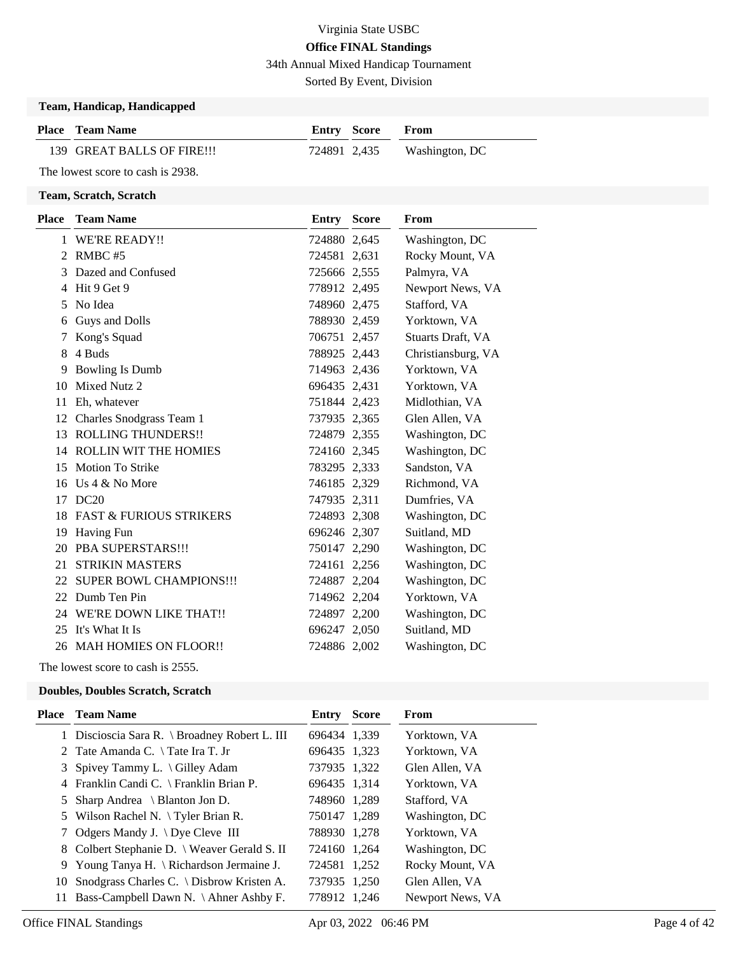34th Annual Mixed Handicap Tournament

Sorted By Event, Division

### **Team, Handicap, Handicapped**

| <b>Place</b> Team Name     | Entry Score | <b>From</b>                 |
|----------------------------|-------------|-----------------------------|
| 139 GREAT BALLS OF FIRE!!! |             | 724891 2,435 Washington, DC |

The lowest score to cash is 2938.

#### **Team, Scratch, Scratch**

| <b>Place</b> | <b>Team Name</b>                   | Entry        | <b>Score</b> | From               |
|--------------|------------------------------------|--------------|--------------|--------------------|
|              | 1 WE'RE READY!!                    | 724880 2,645 |              | Washington, DC     |
| 2            | RMBC#5                             | 724581 2,631 |              | Rocky Mount, VA    |
| 3            | Dazed and Confused                 | 725666 2,555 |              | Palmyra, VA        |
| 4            | Hit 9 Get 9                        | 778912 2,495 |              | Newport News, VA   |
| 5            | No Idea                            | 748960 2,475 |              | Stafford, VA       |
| 6            | Guys and Dolls                     | 788930 2,459 |              | Yorktown, VA       |
| 7            | Kong's Squad                       | 706751 2,457 |              | Stuarts Draft, VA  |
| 8            | 4 Buds                             | 788925 2,443 |              | Christiansburg, VA |
| 9            | <b>Bowling Is Dumb</b>             | 714963 2,436 |              | Yorktown, VA       |
| 10           | Mixed Nutz 2                       | 696435 2,431 |              | Yorktown, VA       |
| 11           | Eh, whatever                       | 751844 2,423 |              | Midlothian, VA     |
| 12           | Charles Snodgrass Team 1           | 737935 2,365 |              | Glen Allen, VA     |
| 13           | <b>ROLLING THUNDERS!!</b>          | 724879 2,355 |              | Washington, DC     |
| 14           | <b>ROLLIN WIT THE HOMIES</b>       | 724160 2,345 |              | Washington, DC     |
| 15           | <b>Motion To Strike</b>            | 783295 2,333 |              | Sandston, VA       |
| 16           | Us $4 \& No$ More                  | 746185 2,329 |              | Richmond, VA       |
| 17           | DC20                               | 747935 2,311 |              | Dumfries, VA       |
| 18           | <b>FAST &amp; FURIOUS STRIKERS</b> | 724893 2,308 |              | Washington, DC     |
| 19           | <b>Having Fun</b>                  | 696246 2,307 |              | Suitland, MD       |
| 20           | PBA SUPERSTARS!!!                  | 750147 2,290 |              | Washington, DC     |
| 21           | <b>STRIKIN MASTERS</b>             | 724161 2,256 |              | Washington, DC     |
| 22           | <b>SUPER BOWL CHAMPIONS!!!</b>     | 724887 2,204 |              | Washington, DC     |
| 22           | Dumb Ten Pin                       | 714962 2,204 |              | Yorktown, VA       |
|              | 24 WE'RE DOWN LIKE THAT!!          | 724897 2,200 |              | Washington, DC     |
| 25           | It's What It Is                    | 696247 2,050 |              | Suitland, MD       |
|              | 26 MAH HOMIES ON FLOOR!!           | 724886 2,002 |              | Washington, DC     |
|              |                                    |              |              |                    |

The lowest score to cash is 2555.

#### **Doubles, Doubles Scratch, Scratch**

|     | <b>Place</b> Team Name                               | <b>Entry Score</b> | From             |
|-----|------------------------------------------------------|--------------------|------------------|
|     | 1 Discioscia Sara R. \ Broadney Robert L. III        | 696434 1,339       | Yorktown, VA     |
|     | 2 Tate Amanda C. $\setminus$ Tate Ira T. Jr          | 696435 1,323       | Yorktown, VA     |
|     | 3 Spivey Tammy L. $\langle$ Gilley Adam              | 737935 1,322       | Glen Allen, VA   |
|     | 4 Franklin Candi C. \ Franklin Brian P.              | 696435 1,314       | Yorktown, VA     |
|     | 5 Sharp Andrea $\setminus$ Blanton Jon D.            | 748960 1,289       | Stafford, VA     |
|     | 5 Wilson Rachel N. \Tyler Brian R.                   | 750147 1,289       | Washington, DC   |
|     | 7 Odgers Mandy J. \ Dye Cleve III                    | 788930 1,278       | Yorktown, VA     |
|     | 8 Colbert Stephanie D. \ Weaver Gerald S. II         | 724160 1,264       | Washington, DC   |
|     | 9 Young Tanya H. $\left\{$ Richardson Jermaine J.    | 724581 1,252       | Rocky Mount, VA  |
| 10  | Snodgrass Charles C. $\backslash$ Disbrow Kristen A. | 737935 1,250       | Glen Allen, VA   |
| 11. | Bass-Campbell Dawn N. \Ahner Ashby F.                | 778912 1.246       | Newport News, VA |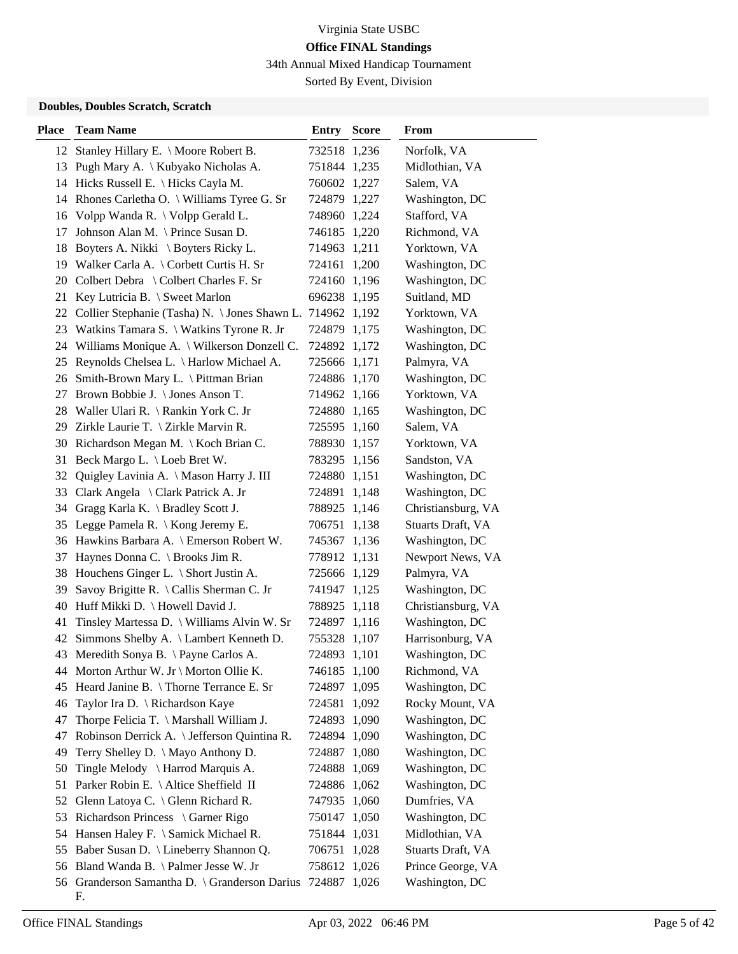34th Annual Mixed Handicap Tournament

Sorted By Event, Division

### **Doubles, Doubles Scratch, Scratch**

| <b>Place</b> | <b>Team Name</b>                                           | <b>Entry Score</b> | From               |
|--------------|------------------------------------------------------------|--------------------|--------------------|
|              | 12 Stanley Hillary E. \ Moore Robert B.                    | 732518 1,236       | Norfolk, VA        |
|              | 13 Pugh Mary A. \ Kubyako Nicholas A.                      | 751844 1,235       | Midlothian, VA     |
|              | 14 Hicks Russell E. \ Hicks Cayla M.                       | 760602 1,227       | Salem, VA          |
|              | 14 Rhones Carletha O. \ Williams Tyree G. Sr               | 724879 1,227       | Washington, DC     |
|              | 16 Volpp Wanda R. \ Volpp Gerald L.                        | 748960 1,224       | Stafford, VA       |
| 17           | Johnson Alan M. \ Prince Susan D.                          | 746185 1,220       | Richmond, VA       |
| 18           | Boyters A. Nikki \ Boyters Ricky L.                        | 714963 1,211       | Yorktown, VA       |
|              | 19 Walker Carla A. \ Corbett Curtis H. Sr                  | 724161 1,200       | Washington, DC     |
|              | 20 Colbert Debra \ Colbert Charles F. Sr                   | 724160 1,196       | Washington, DC     |
| 21           | Key Lutricia B. \ Sweet Marlon                             | 696238 1,195       | Suitland, MD       |
| 22           | Collier Stephanie (Tasha) N. \ Jones Shawn L. 714962 1,192 |                    | Yorktown, VA       |
|              | 23 Watkins Tamara S. \ Watkins Tyrone R. Jr                | 724879 1,175       | Washington, DC     |
|              | 24 Williams Monique A. \ Wilkerson Donzell C.              | 724892 1,172       | Washington, DC     |
|              | 25 Reynolds Chelsea L. \ Harlow Michael A.                 | 725666 1,171       | Palmyra, VA        |
|              | 26 Smith-Brown Mary L. \ Pittman Brian                     | 724886 1,170       | Washington, DC     |
|              | 27 Brown Bobbie J. \ Jones Anson T.                        | 714962 1,166       | Yorktown, VA       |
|              | 28 Waller Ulari R. \ Rankin York C. Jr                     | 724880 1,165       | Washington, DC     |
|              | 29 Zirkle Laurie T. \ Zirkle Marvin R.                     | 725595 1,160       | Salem, VA          |
|              | 30 Richardson Megan M. \ Koch Brian C.                     | 788930 1,157       | Yorktown, VA       |
| 31           | Beck Margo L. \ Loeb Bret W.                               | 783295 1,156       | Sandston, VA       |
| 32           | Quigley Lavinia A. \ Mason Harry J. III                    | 724880 1,151       | Washington, DC     |
|              | 33 Clark Angela \ Clark Patrick A. Jr                      | 724891 1,148       | Washington, DC     |
|              | 34 Gragg Karla K. \ Bradley Scott J.                       | 788925 1,146       | Christiansburg, VA |
|              | 35 Legge Pamela R. \ Kong Jeremy E.                        | 706751 1,138       | Stuarts Draft, VA  |
|              | 36 Hawkins Barbara A. \ Emerson Robert W.                  | 745367 1,136       | Washington, DC     |
| 37           | Haynes Donna C. \ Brooks Jim R.                            | 778912 1,131       | Newport News, VA   |
|              | 38 Houchens Ginger L. \ Short Justin A.                    | 725666 1,129       | Palmyra, VA        |
| 39           | Savoy Brigitte R. \ Callis Sherman C. Jr                   | 741947 1,125       | Washington, DC     |
| 40           | Huff Mikki D. \ Howell David J.                            | 788925 1,118       | Christiansburg, VA |
| 41           | Tinsley Martessa D. \ Williams Alvin W. Sr                 | 724897 1,116       | Washington, DC     |
| 42           | Simmons Shelby A. \ Lambert Kenneth D.                     | 755328 1,107       | Harrisonburg, VA   |
|              | 43 Meredith Sonya B. \Payne Carlos A.                      | 724893 1,101       | Washington, DC     |
|              | 44 Morton Arthur W. Jr \ Morton Ollie K.                   | 746185 1,100       | Richmond, VA       |
|              | 45 Heard Janine B. \Thorne Terrance E. Sr                  | 724897 1,095       | Washington, DC     |
| 46           | Taylor Ira D. \ Richardson Kaye                            | 724581 1,092       | Rocky Mount, VA    |
| 47           | Thorpe Felicia T. \ Marshall William J.                    | 724893 1,090       | Washington, DC     |
| 47           | Robinson Derrick A. \ Jefferson Quintina R.                | 724894 1,090       | Washington, DC     |
| 49           | Terry Shelley D. \ Mayo Anthony D.                         | 724887 1,080       | Washington, DC     |
| 50           | Tingle Melody \ Harrod Marquis A.                          | 724888 1,069       | Washington, DC     |
| 51           | Parker Robin E. \ Altice Sheffield II                      | 724886 1,062       | Washington, DC     |
| 52           | Glenn Latoya C. \ Glenn Richard R.                         | 747935 1,060       | Dumfries, VA       |
| 53           | Richardson Princess \ Garner Rigo                          | 750147 1,050       | Washington, DC     |
|              | 54 Hansen Haley F. \ Samick Michael R.                     | 751844 1,031       | Midlothian, VA     |
|              | 55 Baber Susan D. \ Lineberry Shannon Q.                   | 706751 1,028       | Stuarts Draft, VA  |
|              | 56 Bland Wanda B. \ Palmer Jesse W. Jr                     | 758612 1,026       | Prince George, VA  |
|              | 56 Granderson Samantha D. \ Granderson Darius              | 724887 1,026       | Washington, DC     |
|              | F.                                                         |                    |                    |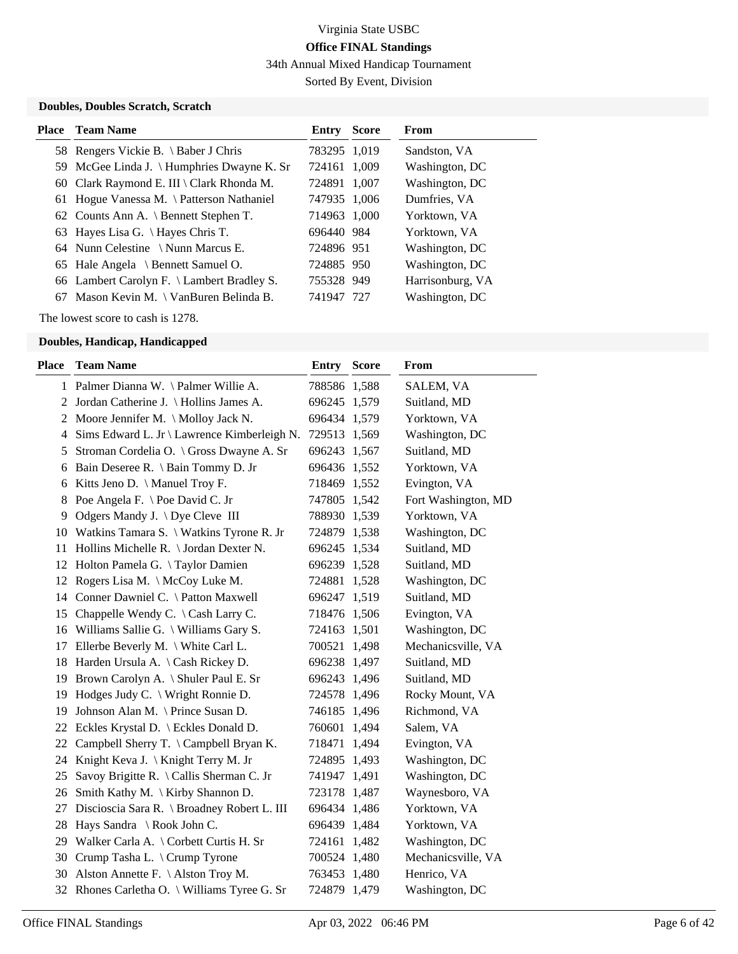34th Annual Mixed Handicap Tournament

Sorted By Event, Division

### **Doubles, Doubles Scratch, Scratch**

| <b>Place</b> Team Name                     | Entry        | <b>Score</b> | From             |
|--------------------------------------------|--------------|--------------|------------------|
| 58 Rengers Vickie B. \ Baber J Chris       | 783295 1,019 |              | Sandston, VA     |
| 59 McGee Linda J. \ Humphries Dwayne K. Sr | 724161 1,009 |              | Washington, DC   |
| 60 Clark Raymond E. III \ Clark Rhonda M.  | 724891 1,007 |              | Washington, DC   |
| 61 Hogue Vanessa M. \ Patterson Nathaniel  | 747935 1,006 |              | Dumfries, VA     |
| 62 Counts Ann A. \ Bennett Stephen T.      | 714963 1.000 |              | Yorktown, VA     |
| 63 Hayes Lisa G. \ Hayes Chris T.          | 696440 984   |              | Yorktown, VA     |
| 64 Nunn Celestine \Nunn Marcus E.          | 724896 951   |              | Washington, DC   |
| 65 Hale Angela \ Bennett Samuel O.         | 724885 950   |              | Washington, DC   |
| 66 Lambert Carolyn F. \ Lambert Bradley S. | 755328 949   |              | Harrisonburg, VA |
| 67 Mason Kevin M. \ VanBuren Belinda B.    | 741947 727   |              | Washington, DC   |

The lowest score to cash is 1278.

| Place | <b>Team Name</b>                                         | <b>Entry Score</b> | From                |
|-------|----------------------------------------------------------|--------------------|---------------------|
|       | 1 Palmer Dianna W. \ Palmer Willie A.                    | 788586 1,588       | SALEM, VA           |
| 2     | Jordan Catherine J. \ Hollins James A.                   | 696245 1,579       | Suitland, MD        |
| 2     | Moore Jennifer M. \ Molloy Jack N.                       | 696434 1,579       | Yorktown, VA        |
| 4     | Sims Edward L. Jr \ Lawrence Kimberleigh N.              | 729513 1,569       | Washington, DC      |
| 5     | Stroman Cordelia O. \ Gross Dwayne A. Sr                 | 696243 1,567       | Suitland, MD        |
| 6     | Bain Deseree R. \ Bain Tommy D. Jr                       | 696436 1,552       | Yorktown, VA        |
| 6     | Kitts Jeno D. \ Manuel Troy F.                           | 718469 1,552       | Evington, VA        |
| 8     | Poe Angela F. \ Poe David C. Jr                          | 747805 1,542       | Fort Washington, MD |
| 9     | Odgers Mandy J. $\bigcup$ Dye Cleve III                  | 788930 1,539       | Yorktown, VA        |
|       | 10 Watkins Tamara S. \ Watkins Tyrone R. Jr              | 724879 1,538       | Washington, DC      |
| 11    | Hollins Michelle R. \ Jordan Dexter N.                   | 696245 1,534       | Suitland, MD        |
|       | 12 Holton Pamela G. \Taylor Damien                       | 696239 1,528       | Suitland, MD        |
| 12    | Rogers Lisa M. $\operatorname{\backslash}$ McCoy Luke M. | 724881 1,528       | Washington, DC      |
|       | 14 Conner Dawniel C. \ Patton Maxwell                    | 696247 1,519       | Suitland, MD        |
|       | 15 Chappelle Wendy C. \ Cash Larry C.                    | 718476 1,506       | Evington, VA        |
|       | 16 Williams Sallie G. \ Williams Gary S.                 | 724163 1,501       | Washington, DC      |
| 17    | Ellerbe Beverly M. \ White Carl L.                       | 700521 1,498       | Mechanicsville, VA  |
|       | 18 Harden Ursula A. \Cash Rickey D.                      | 696238 1,497       | Suitland, MD        |
|       | 19 Brown Carolyn A. \ Shuler Paul E. Sr                  | 696243 1,496       | Suitland, MD        |
| 19    | Hodges Judy C. \ Wright Ronnie D.                        | 724578 1,496       | Rocky Mount, VA     |
| 19    | Johnson Alan M. \ Prince Susan D.                        | 746185 1,496       | Richmond, VA        |
|       | 22 Eckles Krystal D. \ Eckles Donald D.                  | 760601 1,494       | Salem, VA           |
|       | 22 Campbell Sherry T. \ Campbell Bryan K.                | 718471 1,494       | Evington, VA        |
|       | 24 Knight Keva J. \ Knight Terry M. Jr                   | 724895 1,493       | Washington, DC      |
| 25    | Savoy Brigitte R. \ Callis Sherman C. Jr                 | 741947 1,491       | Washington, DC      |
| 26    | Smith Kathy M. \ Kirby Shannon D.                        | 723178 1,487       | Waynesboro, VA      |
| 27    | Discioscia Sara R. \ Broadney Robert L. III              | 696434 1,486       | Yorktown, VA        |
|       | 28 Hays Sandra \ Rook John C.                            | 696439 1,484       | Yorktown, VA        |
|       | 29 Walker Carla A. \ Corbett Curtis H. Sr                | 724161 1,482       | Washington, DC      |
| 30    | Crump Tasha L. \ Crump Tyrone                            | 700524 1,480       | Mechanicsville, VA  |
| 30    | Alston Annette F. $\backslash$ Alston Troy M.            | 763453 1,480       | Henrico, VA         |
| 32    | Rhones Carletha O. \ Williams Tyree G. Sr                | 724879 1,479       | Washington, DC      |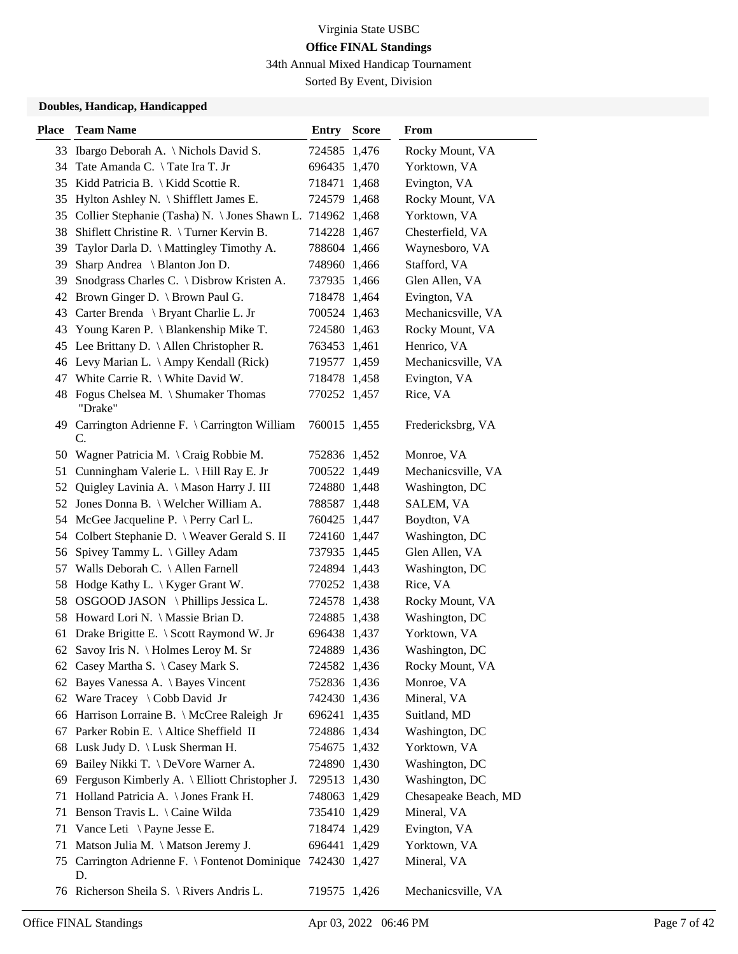34th Annual Mixed Handicap Tournament

Sorted By Event, Division

| <b>Place</b> | <b>Team Name</b>                                               | <b>Entry Score</b> | From                 |
|--------------|----------------------------------------------------------------|--------------------|----------------------|
|              | 33 Ibargo Deborah A. \ Nichols David S.                        | 724585 1,476       | Rocky Mount, VA      |
|              | 34 Tate Amanda C. \Tate Ira T. Jr                              | 696435 1,470       | Yorktown, VA         |
|              | 35 Kidd Patricia B. \ Kidd Scottie R.                          | 718471 1,468       | Evington, VA         |
|              | 35 Hylton Ashley N. \ Shifflett James E.                       | 724579 1,468       | Rocky Mount, VA      |
|              | 35 Collier Stephanie (Tasha) N. \Jones Shawn L. 714962 1,468   |                    | Yorktown, VA         |
| 38           | Shiflett Christine R. \Turner Kervin B.                        | 714228 1,467       | Chesterfield, VA     |
| 39           | Taylor Darla D. \ Mattingley Timothy A.                        | 788604 1,466       | Waynesboro, VA       |
|              | 39 Sharp Andrea \ Blanton Jon D.                               | 748960 1,466       | Stafford, VA         |
|              | 39 Snodgrass Charles C. \ Disbrow Kristen A.                   | 737935 1,466       | Glen Allen, VA       |
|              | 42 Brown Ginger D. \ Brown Paul G.                             | 718478 1,464       | Evington, VA         |
|              | 43 Carter Brenda \ Bryant Charlie L. Jr                        | 700524 1,463       | Mechanicsville, VA   |
|              | 43 Young Karen P. \ Blankenship Mike T.                        | 724580 1,463       | Rocky Mount, VA      |
|              | 45 Lee Brittany D. \ Allen Christopher R.                      | 763453 1,461       | Henrico, VA          |
|              | 46 Levy Marian L. \ Ampy Kendall (Rick)                        | 719577 1,459       | Mechanicsville, VA   |
| 47           | White Carrie R. \ White David W.                               | 718478 1,458       | Evington, VA         |
|              | 48 Fogus Chelsea M. \ Shumaker Thomas<br>"Drake"               | 770252 1,457       | Rice, VA             |
|              | 49 Carrington Adrienne F. \ Carrington William<br>C.           | 760015 1,455       | Fredericksbrg, VA    |
|              | 50 Wagner Patricia M. \ Craig Robbie M.                        | 752836 1,452       | Monroe, VA           |
|              | 51 Cunningham Valerie L. \ Hill Ray E. Jr                      | 700522 1,449       | Mechanicsville, VA   |
| 52           | Quigley Lavinia A. \ Mason Harry J. III                        | 724880 1,448       | Washington, DC       |
|              | 52 Jones Donna B. \ Welcher William A.                         | 788587 1,448       | SALEM, VA            |
|              | 54 McGee Jacqueline P. \ Perry Carl L.                         | 760425 1,447       | Boydton, VA          |
|              | 54 Colbert Stephanie D. \ Weaver Gerald S. II                  | 724160 1,447       | Washington, DC       |
|              | 56 Spivey Tammy L. \ Gilley Adam                               | 737935 1,445       | Glen Allen, VA       |
|              | 57 Walls Deborah C. \ Allen Farnell                            | 724894 1,443       | Washington, DC       |
|              | 58 Hodge Kathy L. \ Kyger Grant W.                             | 770252 1,438       | Rice, VA             |
|              | 58 OSGOOD JASON \Phillips Jessica L.                           | 724578 1,438       | Rocky Mount, VA      |
|              | 58 Howard Lori N. \ Massie Brian D.                            | 724885 1,438       | Washington, DC       |
|              | 61 Drake Brigitte E. \ Scott Raymond W. Jr                     | 696438 1,437       | Yorktown, VA         |
|              | 62 Savoy Iris N. \ Holmes Leroy M. Sr                          | 724889 1,436       | Washington, DC       |
|              | 62 Casey Martha S. \ Casey Mark S.                             | 724582 1,436       | Rocky Mount, VA      |
|              | 62 Bayes Vanessa A. \ Bayes Vincent                            | 752836 1,436       | Monroe, VA           |
|              | 62 Ware Tracey \ Cobb David Jr                                 | 742430 1,436       | Mineral, VA          |
|              | 66 Harrison Lorraine B. \ McCree Raleigh Jr                    | 696241 1,435       | Suitland, MD         |
| 67           | Parker Robin E. \ Altice Sheffield II                          | 724886 1,434       | Washington, DC       |
|              | 68 Lusk Judy D. \ Lusk Sherman H.                              | 754675 1,432       | Yorktown, VA         |
|              | 69 Bailey Nikki T. \ DeVore Warner A.                          | 724890 1,430       | Washington, DC       |
| 69           | Ferguson Kimberly A. \ Elliott Christopher J.                  | 729513 1,430       | Washington, DC       |
|              | 71 Holland Patricia A. \ Jones Frank H.                        | 748063 1,429       | Chesapeake Beach, MD |
| 71           | Benson Travis L. \ Caine Wilda                                 | 735410 1,429       | Mineral, VA          |
|              | 71 Vance Leti \Payne Jesse E.                                  | 718474 1,429       | Evington, VA         |
| 71           | Matson Julia M. \ Matson Jeremy J.                             | 696441 1,429       | Yorktown, VA         |
| 75           | Carrington Adrienne F. \ Fontenot Dominique 742430 1,427<br>D. |                    | Mineral, VA          |
|              | 76 Richerson Sheila S. \ Rivers Andris L.                      | 719575 1,426       | Mechanicsville, VA   |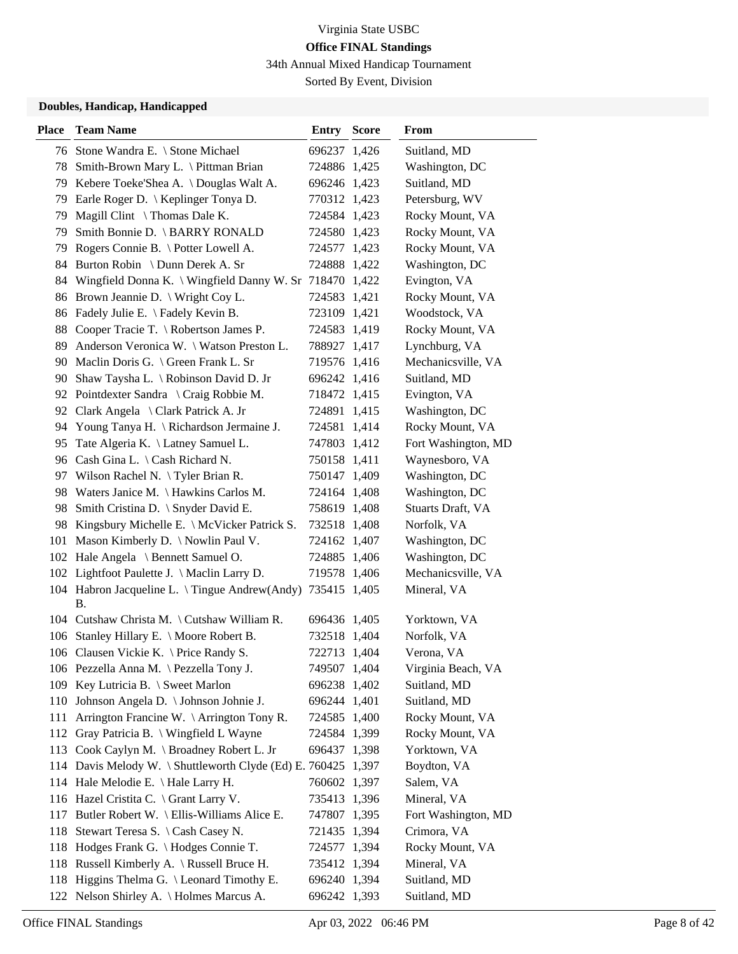34th Annual Mixed Handicap Tournament

Sorted By Event, Division

| <b>Place</b> | <b>Team Name</b>                                                        | <b>Entry Score</b> | From                |
|--------------|-------------------------------------------------------------------------|--------------------|---------------------|
|              | 76 Stone Wandra E. \ Stone Michael                                      | 696237 1,426       | Suitland, MD        |
|              | 78 Smith-Brown Mary L. \ Pittman Brian                                  | 724886 1,425       | Washington, DC      |
|              | 79 Kebere Toeke'Shea A. \ Douglas Walt A.                               | 696246 1,423       | Suitland, MD        |
|              | 79 Earle Roger D. \ Keplinger Tonya D.                                  | 770312 1,423       | Petersburg, WV      |
| 79           | Magill Clint $\setminus$ Thomas Dale K.                                 | 724584 1,423       | Rocky Mount, VA     |
| 79           | Smith Bonnie D. \ BARRY RONALD                                          | 724580 1,423       | Rocky Mount, VA     |
|              | 79 Rogers Connie B. \ Potter Lowell A.                                  | 724577 1,423       | Rocky Mount, VA     |
|              | 84 Burton Robin \ Dunn Derek A. Sr                                      | 724888 1,422       | Washington, DC      |
|              | 84 Wingfield Donna K. \ Wingfield Danny W. Sr 718470 1,422              |                    | Evington, VA        |
|              | 86 Brown Jeannie D. \ Wright Coy L.                                     | 724583 1,421       | Rocky Mount, VA     |
| 86           | Fadely Julie E. \ Fadely Kevin B.                                       | 723109 1,421       | Woodstock, VA       |
|              | 88 Cooper Tracie T. \ Robertson James P.                                | 724583 1,419       | Rocky Mount, VA     |
|              | 89 Anderson Veronica W. \ Watson Preston L.                             | 788927 1,417       | Lynchburg, VA       |
|              | 90 Maclin Doris G. \ Green Frank L. Sr                                  | 719576 1,416       | Mechanicsville, VA  |
|              | 90 Shaw Taysha L. \ Robinson David D. Jr                                | 696242 1,416       | Suitland, MD        |
|              | 92 Pointdexter Sandra \ Craig Robbie M.                                 | 718472 1,415       | Evington, VA        |
|              | 92 Clark Angela \ Clark Patrick A. Jr                                   | 724891 1,415       | Washington, DC      |
|              | 94 Young Tanya H. \ Richardson Jermaine J.                              | 724581 1,414       | Rocky Mount, VA     |
| 95           | Tate Algeria K. \ Latney Samuel L.                                      | 747803 1,412       | Fort Washington, MD |
|              | 96 Cash Gina L. \ Cash Richard N.                                       | 750158 1,411       | Waynesboro, VA      |
|              | 97 Wilson Rachel N. \Tyler Brian R.                                     | 750147 1,409       | Washington, DC      |
|              | 98 Waters Janice M. \Hawkins Carlos M.                                  | 724164 1,408       | Washington, DC      |
| 98.          | Smith Cristina D. \ Snyder David E.                                     | 758619 1,408       | Stuarts Draft, VA   |
|              | 98 Kingsbury Michelle E. \ McVicker Patrick S.                          | 732518 1,408       | Norfolk, VA         |
|              | 101 Mason Kimberly D. \ Nowlin Paul V.                                  | 724162 1,407       | Washington, DC      |
|              | 102 Hale Angela \ Bennett Samuel O.                                     | 724885 1,406       | Washington, DC      |
|              | 102 Lightfoot Paulette J. \ Maclin Larry D.                             | 719578 1,406       | Mechanicsville, VA  |
|              | 104 Habron Jacqueline L. \Tingue Andrew(Andy) 735415 1,405<br><b>B.</b> |                    | Mineral, VA         |
|              | 104 Cutshaw Christa M. \ Cutshaw William R.                             | 696436 1,405       | Yorktown, VA        |
|              | 106 Stanley Hillary E. \ Moore Robert B.                                | 732518 1,404       | Norfolk, VA         |
|              | 106 Clausen Vickie K. \ Price Randy S.                                  | 722713 1,404       | Verona, VA          |
|              | 106 Pezzella Anna M. \ Pezzella Tony J.                                 | 749507 1,404       | Virginia Beach, VA  |
|              | 109 Key Lutricia B. \ Sweet Marlon                                      | 696238 1,402       | Suitland, MD        |
|              | 110 Johnson Angela D. \ Johnson Johnie J.                               | 696244 1,401       | Suitland, MD        |
| 111          | Arrington Francine W. $\setminus$ Arrington Tony R.                     | 724585 1,400       | Rocky Mount, VA     |
|              | 112 Gray Patricia B. \ Wingfield L Wayne                                | 724584 1,399       | Rocky Mount, VA     |
|              | 113 Cook Caylyn M. \ Broadney Robert L. Jr                              | 696437 1,398       | Yorktown, VA        |
|              | 114 Davis Melody W. \ Shuttleworth Clyde (Ed) E. 760425 1,397           |                    | Boydton, VA         |
|              | 114 Hale Melodie E. \ Hale Larry H.                                     | 760602 1,397       | Salem, VA           |
|              | 116 Hazel Cristita C. \ Grant Larry V.                                  | 735413 1,396       | Mineral, VA         |
|              | 117 Butler Robert W. \ Ellis-Williams Alice E.                          | 747807 1,395       | Fort Washington, MD |
|              | 118 Stewart Teresa S. \ Cash Casey N.                                   | 721435 1,394       | Crimora, VA         |
|              | 118 Hodges Frank G. \Hodges Connie T.                                   | 724577 1,394       | Rocky Mount, VA     |
|              | 118 Russell Kimberly A. \ Russell Bruce H.                              | 735412 1,394       | Mineral, VA         |
|              | 118 Higgins Thelma G. \Leonard Timothy E.                               | 696240 1,394       | Suitland, MD        |
|              | 122 Nelson Shirley A. \ Holmes Marcus A.                                | 696242 1,393       | Suitland, MD        |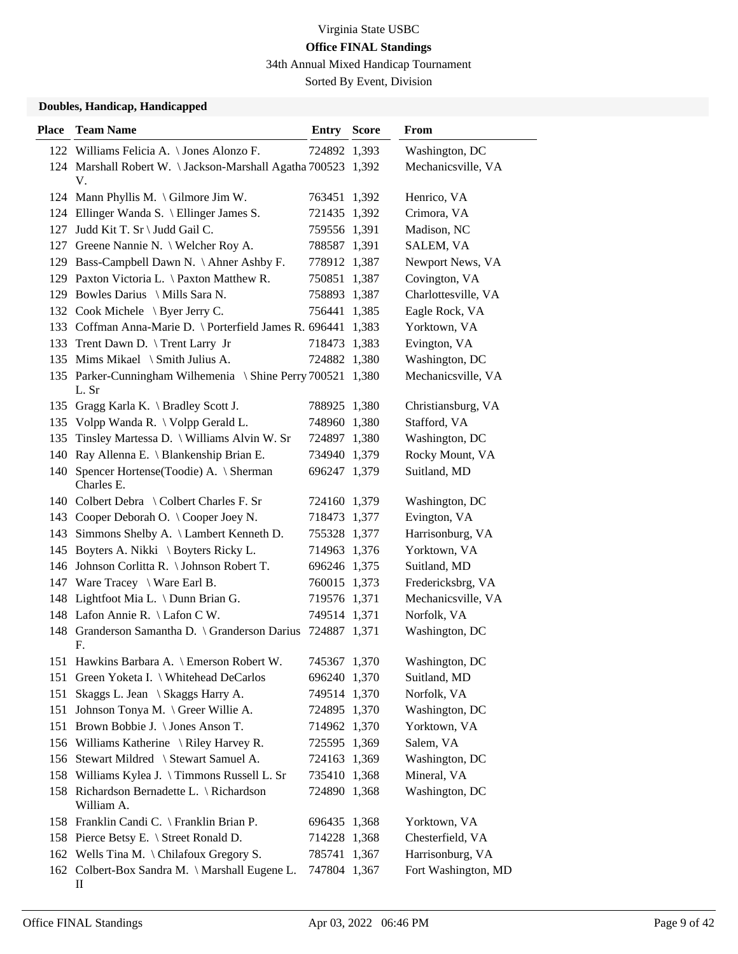34th Annual Mixed Handicap Tournament

Sorted By Event, Division

| <b>Place</b> | <b>Team Name</b>                                                     | <b>Entry Score</b> | From                |
|--------------|----------------------------------------------------------------------|--------------------|---------------------|
|              | 122 Williams Felicia A. \ Jones Alonzo F.                            | 724892 1,393       | Washington, DC      |
|              | 124 Marshall Robert W. \Jackson-Marshall Agatha 700523 1,392         |                    | Mechanicsville, VA  |
|              | V.                                                                   |                    |                     |
|              | 124 Mann Phyllis M. \Gilmore Jim W.                                  | 763451 1,392       | Henrico, VA         |
|              | 124 Ellinger Wanda S. \ Ellinger James S.                            | 721435 1,392       | Crimora, VA         |
| 127          | Judd Kit T. Sr \ Judd Gail C.                                        | 759556 1,391       | Madison, NC         |
| 127          | Greene Nannie N. \ Welcher Roy A.                                    | 788587 1,391       | SALEM, VA           |
|              | 129 Bass-Campbell Dawn N. \ Ahner Ashby F.                           | 778912 1,387       | Newport News, VA    |
|              | 129 Paxton Victoria L. \ Paxton Matthew R.                           | 750851 1,387       | Covington, VA       |
|              | 129 Bowles Darius \ Mills Sara N.                                    | 758893 1,387       | Charlottesville, VA |
|              | 132 Cook Michele \ Byer Jerry C.                                     | 756441 1,385       | Eagle Rock, VA      |
|              | 133 Coffman Anna-Marie D. \ Porterfield James R. 696441 1,383        |                    | Yorktown, VA        |
|              | 133 Trent Dawn D. \ Trent Larry Jr                                   | 718473 1,383       | Evington, VA        |
|              | 135 Mims Mikael \ Smith Julius A.                                    | 724882 1,380       | Washington, DC      |
|              | 135 Parker-Cunningham Wilhemenia \ Shine Perry 700521 1,380<br>L. Sr |                    | Mechanicsville, VA  |
|              | 135 Gragg Karla K. \ Bradley Scott J.                                | 788925 1,380       | Christiansburg, VA  |
|              | 135 Volpp Wanda R. \ Volpp Gerald L.                                 | 748960 1,380       | Stafford, VA        |
|              | 135 Tinsley Martessa D. \ Williams Alvin W. Sr                       | 724897 1,380       | Washington, DC      |
|              | 140 Ray Allenna E. \ Blankenship Brian E.                            | 734940 1,379       | Rocky Mount, VA     |
|              | 140 Spencer Hortense(Toodie) A. \ Sherman<br>Charles E.              | 696247 1,379       | Suitland, MD        |
|              | 140 Colbert Debra \ Colbert Charles F. Sr                            | 724160 1,379       | Washington, DC      |
|              | 143 Cooper Deborah O. \ Cooper Joey N.                               | 718473 1,377       | Evington, VA        |
|              | 143 Simmons Shelby A. \ Lambert Kenneth D.                           | 755328 1,377       | Harrisonburg, VA    |
|              | 145 Boyters A. Nikki \ Boyters Ricky L.                              | 714963 1,376       | Yorktown, VA        |
|              | 146 Johnson Corlitta R. \ Johnson Robert T.                          | 696246 1,375       | Suitland, MD        |
|              | 147 Ware Tracey \ Ware Earl B.                                       | 760015 1,373       | Fredericksbrg, VA   |
|              | 148 Lightfoot Mia L. \ Dunn Brian G.                                 | 719576 1,371       | Mechanicsville, VA  |
|              | 148 Lafon Annie R. \ Lafon C W.                                      | 749514 1,371       | Norfolk, VA         |
|              | 148 Granderson Samantha D. \ Granderson Darius 724887 1,371          |                    | Washington, DC      |
|              | F.                                                                   |                    |                     |
|              | 151 Hawkins Barbara A. \ Emerson Robert W.                           | 745367 1,370       | Washington, DC      |
|              | 151 Green Yoketa I. \ Whitehead DeCarlos                             | 696240 1,370       | Suitland, MD        |
| 151          | Skaggs L. Jean \ Skaggs Harry A.                                     | 749514 1,370       | Norfolk, VA         |
| 151          | Johnson Tonya M. \ Greer Willie A.                                   | 724895 1,370       | Washington, DC      |
|              | 151 Brown Bobbie J. \ Jones Anson T.                                 | 714962 1,370       | Yorktown, VA        |
|              | 156 Williams Katherine \ Riley Harvey R.                             | 725595 1,369       | Salem, VA           |
|              | 156 Stewart Mildred \ Stewart Samuel A.                              | 724163 1,369       | Washington, DC      |
|              | 158 Williams Kylea J. \Timmons Russell L. Sr                         | 735410 1,368       | Mineral, VA         |
|              | 158 Richardson Bernadette L. \ Richardson<br>William A.              | 724890 1,368       | Washington, DC      |
|              | 158 Franklin Candi C. \ Franklin Brian P.                            | 696435 1,368       | Yorktown, VA        |
|              | 158 Pierce Betsy E. \ Street Ronald D.                               | 714228 1,368       | Chesterfield, VA    |
|              | 162 Wells Tina M. \ Chilafoux Gregory S.                             | 785741 1,367       | Harrisonburg, VA    |
|              | 162 Colbert-Box Sandra M. \ Marshall Eugene L.<br>П                  | 747804 1,367       | Fort Washington, MD |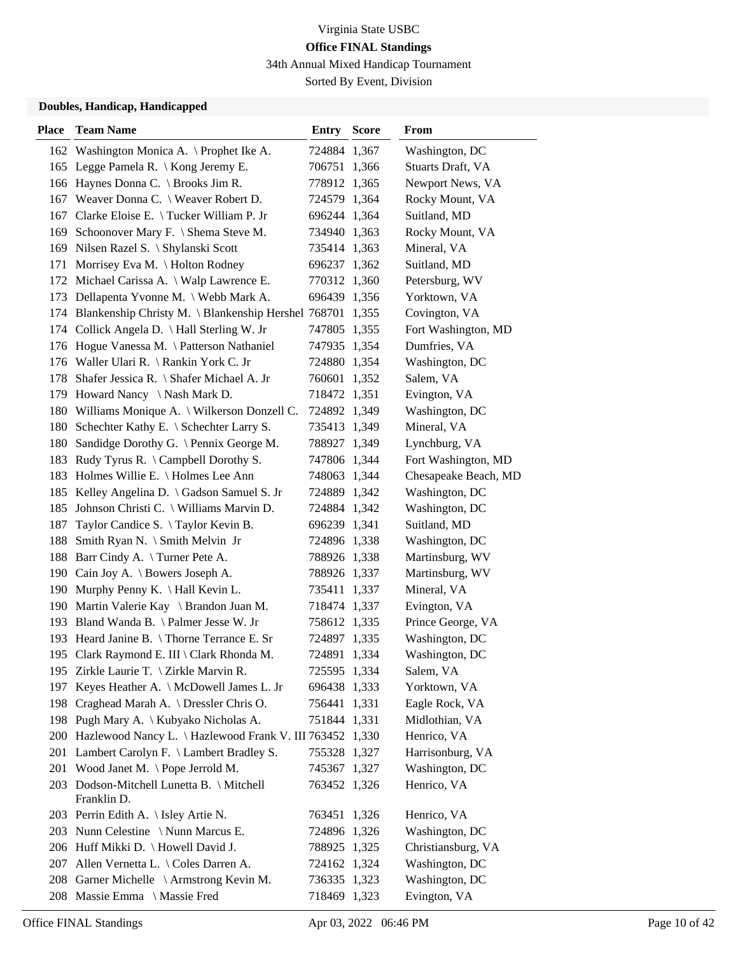34th Annual Mixed Handicap Tournament

Sorted By Event, Division

| <b>Place</b> | <b>Team Name</b>                                              | <b>Entry Score</b> | From                 |
|--------------|---------------------------------------------------------------|--------------------|----------------------|
|              | 162 Washington Monica A. \ Prophet Ike A.                     | 724884 1,367       | Washington, DC       |
|              | 165 Legge Pamela R. \ Kong Jeremy E.                          | 706751 1,366       | Stuarts Draft, VA    |
|              | 166 Haynes Donna C. \ Brooks Jim R.                           | 778912 1,365       | Newport News, VA     |
| 167          | Weaver Donna C. \ Weaver Robert D.                            | 724579 1,364       | Rocky Mount, VA      |
| 167          | Clarke Eloise E. \Tucker William P. Jr                        | 696244 1,364       | Suitland, MD         |
| 169          | Schoonover Mary F. \ Shema Steve M.                           | 734940 1,363       | Rocky Mount, VA      |
|              | 169 Nilsen Razel S. \ Shylanski Scott                         | 735414 1,363       | Mineral, VA          |
| 171          | Morrisey Eva M. $\setminus$ Holton Rodney                     | 696237 1,362       | Suitland, MD         |
|              | 172 Michael Carissa A. \ Walp Lawrence E.                     | 770312 1,360       | Petersburg, WV       |
| 173          | Dellapenta Yvonne M. \ Webb Mark A.                           | 696439 1,356       | Yorktown, VA         |
|              | 174 Blankenship Christy M. \ Blankenship Hershel 768701 1,355 |                    | Covington, VA        |
|              | 174 Collick Angela D. \Hall Sterling W. Jr                    | 747805 1,355       | Fort Washington, MD  |
| 176          | Hogue Vanessa M. \ Patterson Nathaniel                        | 747935 1,354       | Dumfries, VA         |
| 176          | Waller Ulari R. \ Rankin York C. Jr                           | 724880 1,354       | Washington, DC       |
| 178          | Shafer Jessica R. \ Shafer Michael A. Jr                      | 760601 1,352       | Salem, VA            |
|              | 179 Howard Nancy \Nash Mark D.                                | 718472 1,351       | Evington, VA         |
| 180          | Williams Monique A. \ Wilkerson Donzell C.                    | 724892 1,349       | Washington, DC       |
| 180          | Schechter Kathy E. \ Schechter Larry S.                       | 735413 1,349       | Mineral, VA          |
| 180          | Sandidge Dorothy G. \ Pennix George M.                        | 788927 1,349       | Lynchburg, VA        |
| 183          | Rudy Tyrus R. \ Campbell Dorothy S.                           | 747806 1,344       | Fort Washington, MD  |
| 183          | Holmes Willie E. \ Holmes Lee Ann                             | 748063 1,344       | Chesapeake Beach, MD |
| 185          | Kelley Angelina D. \ Gadson Samuel S. Jr                      | 724889 1,342       | Washington, DC       |
| 185          | Johnson Christi C. \ Williams Marvin D.                       | 724884 1,342       | Washington, DC       |
| 187          | Taylor Candice S. \Taylor Kevin B.                            | 696239 1,341       | Suitland, MD         |
| 188          | Smith Ryan N. \ Smith Melvin Jr                               | 724896 1,338       | Washington, DC       |
| 188          | Barr Cindy A. \Turner Pete A.                                 | 788926 1,338       | Martinsburg, WV      |
| 190          | Cain Joy A. \ Bowers Joseph A.                                | 788926 1,337       | Martinsburg, WV      |
| 190          | Murphy Penny K. \ Hall Kevin L.                               | 735411 1,337       | Mineral, VA          |
| 190          | Martin Valerie Kay \ Brandon Juan M.                          | 718474 1,337       | Evington, VA         |
|              | 193 Bland Wanda B. \ Palmer Jesse W. Jr                       | 758612 1,335       | Prince George, VA    |
|              | 193 Heard Janine B. \Thorne Terrance E. Sr                    | 724897 1,335       | Washington, DC       |
|              | 195 Clark Raymond E. III \ Clark Rhonda M.                    | 724891 1,334       | Washington, DC       |
|              | 195 Zirkle Laurie T. \ Zirkle Marvin R.                       | 725595 1,334       | Salem, VA            |
|              | 197 Keyes Heather A. \ McDowell James L. Jr                   | 696438 1,333       | Yorktown, VA         |
|              | 198 Craghead Marah A. \ Dressler Chris O.                     | 756441 1,331       | Eagle Rock, VA       |
|              | 198 Pugh Mary A. \ Kubyako Nicholas A.                        | 751844 1,331       | Midlothian, VA       |
|              | 200 Hazlewood Nancy L. \ Hazlewood Frank V. III 763452 1,330  |                    | Henrico, VA          |
|              | 201 Lambert Carolyn F. \ Lambert Bradley S.                   | 755328 1,327       | Harrisonburg, VA     |
| 201          | Wood Janet M. \Pope Jerrold M.                                | 745367 1,327       | Washington, DC       |
|              | 203 Dodson-Mitchell Lunetta B. \ Mitchell                     | 763452 1,326       | Henrico, VA          |
|              | Franklin D.                                                   |                    |                      |
|              | 203 Perrin Edith A. \ Isley Artie N.                          | 763451 1,326       | Henrico, VA          |
|              | 203 Nunn Celestine \Nunn Marcus E.                            | 724896 1,326       | Washington, DC       |
|              | 206 Huff Mikki D. \ Howell David J.                           | 788925 1,325       | Christiansburg, VA   |
|              | 207 Allen Vernetta L. \ Coles Darren A.                       | 724162 1,324       | Washington, DC       |
|              | 208 Garner Michelle \ Armstrong Kevin M.                      | 736335 1,323       | Washington, DC       |
| 208          | Massie Emma \ Massie Fred                                     | 718469 1,323       | Evington, VA         |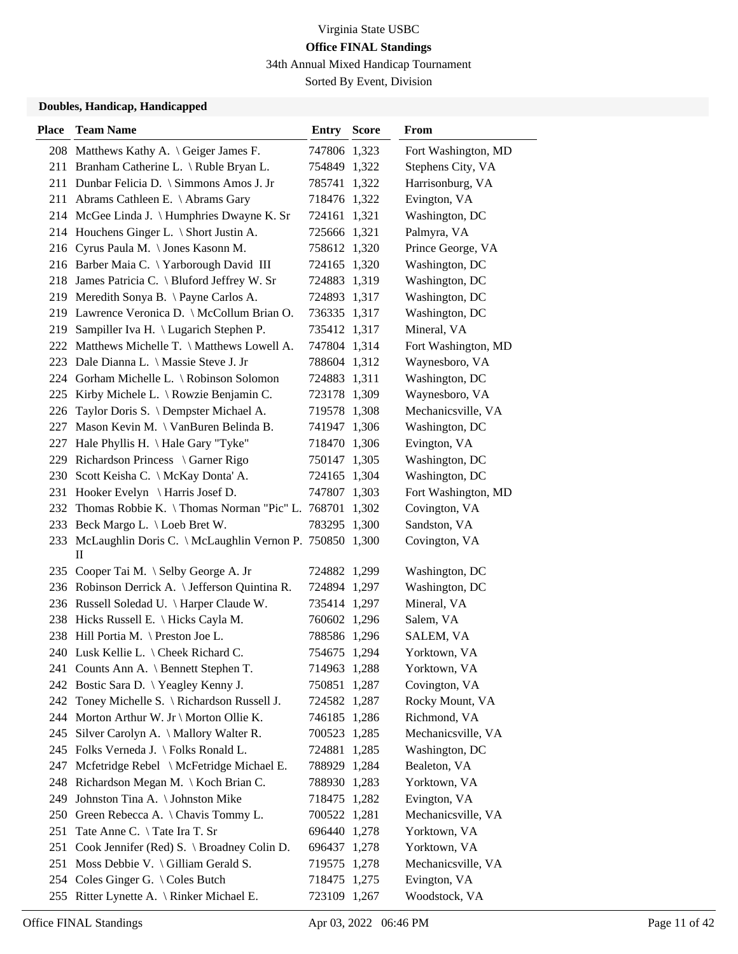34th Annual Mixed Handicap Tournament

Sorted By Event, Division

| <b>Place</b> | <b>Team Name</b>                                                 | <b>Entry Score</b> | <b>From</b>         |
|--------------|------------------------------------------------------------------|--------------------|---------------------|
|              | 208 Matthews Kathy A. \ Geiger James F.                          | 747806 1,323       | Fort Washington, MD |
|              | 211 Branham Catherine L. \ Ruble Bryan L.                        | 754849 1,322       | Stephens City, VA   |
|              | 211 Dunbar Felicia D. \ Simmons Amos J. Jr                       | 785741 1,322       | Harrisonburg, VA    |
|              | 211 Abrams Cathleen E. \ Abrams Gary                             | 718476 1,322       | Evington, VA        |
|              | 214 McGee Linda J. \ Humphries Dwayne K. Sr                      | 724161 1,321       | Washington, DC      |
|              | 214 Houchens Ginger L. \ Short Justin A.                         | 725666 1,321       | Palmyra, VA         |
|              | 216 Cyrus Paula M. \Jones Kasonn M.                              | 758612 1,320       | Prince George, VA   |
|              | 216 Barber Maia C. \ Yarborough David III                        | 724165 1,320       | Washington, DC      |
|              | 218 James Patricia C. \ Bluford Jeffrey W. Sr                    | 724883 1,319       | Washington, DC      |
|              | 219 Meredith Sonya B. \Payne Carlos A.                           | 724893 1,317       | Washington, DC      |
|              | 219 Lawrence Veronica D. \ McCollum Brian O.                     | 736335 1,317       | Washington, DC      |
|              | 219 Sampiller Iva H. \ Lugarich Stephen P.                       | 735412 1,317       | Mineral, VA         |
|              | 222 Matthews Michelle T. \ Matthews Lowell A.                    | 747804 1,314       | Fort Washington, MD |
|              | 223 Dale Dianna L. \ Massie Steve J. Jr                          | 788604 1,312       | Waynesboro, VA      |
|              | 224 Gorham Michelle L. \ Robinson Solomon                        | 724883 1,311       | Washington, DC      |
|              | 225 Kirby Michele L. \ Rowzie Benjamin C.                        | 723178 1,309       | Waynesboro, VA      |
|              | 226 Taylor Doris S. \ Dempster Michael A.                        | 719578 1,308       | Mechanicsville, VA  |
|              | 227 Mason Kevin M. \ VanBuren Belinda B.                         | 741947 1,306       | Washington, DC      |
| 227          | Hale Phyllis H. \ Hale Gary "Tyke"                               | 718470 1,306       | Evington, VA        |
|              | 229 Richardson Princess \ Garner Rigo                            | 750147 1,305       | Washington, DC      |
|              | 230 Scott Keisha C. \ McKay Donta' A.                            | 724165 1,304       | Washington, DC      |
|              | 231 Hooker Evelyn \ Harris Josef D.                              | 747807 1,303       | Fort Washington, MD |
| 232          | Thomas Robbie K. \ Thomas Norman "Pic" L. 768701 1,302           |                    | Covington, VA       |
|              | 233 Beck Margo L. \ Loeb Bret W.                                 | 783295 1,300       | Sandston, VA        |
|              | 233 McLaughlin Doris C. \ McLaughlin Vernon P. 750850 1,300<br>П |                    | Covington, VA       |
|              | 235 Cooper Tai M. \ Selby George A. Jr                           | 724882 1,299       | Washington, DC      |
|              | 236 Robinson Derrick A. \ Jefferson Quintina R.                  | 724894 1,297       | Washington, DC      |
|              | 236 Russell Soledad U. \ Harper Claude W.                        | 735414 1,297       | Mineral, VA         |
|              | 238 Hicks Russell E. \ Hicks Cayla M.                            | 760602 1,296       | Salem, VA           |
|              | 238 Hill Portia M. \ Preston Joe L.                              | 788586 1,296       | SALEM, VA           |
|              | 240 Lusk Kellie L. \ Cheek Richard C.                            | 754675 1,294       | Yorktown, VA        |
|              | 241 Counts Ann A. \ Bennett Stephen T.                           | 714963 1,288       | Yorktown, VA        |
|              | 242 Bostic Sara D. \ Yeagley Kenny J.                            | 750851 1,287       | Covington, VA       |
| 242          | Toney Michelle S. \ Richardson Russell J.                        | 724582 1,287       | Rocky Mount, VA     |
|              | 244 Morton Arthur W. Jr \ Morton Ollie K.                        | 746185 1,286       | Richmond, VA        |
|              | 245 Silver Carolyn A. \ Mallory Walter R.                        | 700523 1,285       | Mechanicsville, VA  |
|              | 245 Folks Verneda J. \ Folks Ronald L.                           | 724881 1,285       | Washington, DC      |
| 247          | Mcfetridge Rebel \ McFetridge Michael E.                         | 788929 1,284       | Bealeton, VA        |
|              | 248 Richardson Megan M. \ Koch Brian C.                          | 788930 1,283       | Yorktown, VA        |
|              | 249 Johnston Tina A. \ Johnston Mike                             | 718475 1,282       | Evington, VA        |
|              | 250 Green Rebecca A. \ Chavis Tommy L.                           | 700522 1,281       | Mechanicsville, VA  |
| 251          | Tate Anne C. \Tate Ira T. Sr                                     | 696440 1,278       | Yorktown, VA        |
| 251          | Cook Jennifer (Red) S. \ Broadney Colin D.                       | 696437 1,278       | Yorktown, VA        |
|              | 251 Moss Debbie V. \ Gilliam Gerald S.                           | 719575 1,278       | Mechanicsville, VA  |
|              | 254 Coles Ginger G. \ Coles Butch                                | 718475 1,275       | Evington, VA        |
|              | 255 Ritter Lynette A. \ Rinker Michael E.                        | 723109 1,267       | Woodstock, VA       |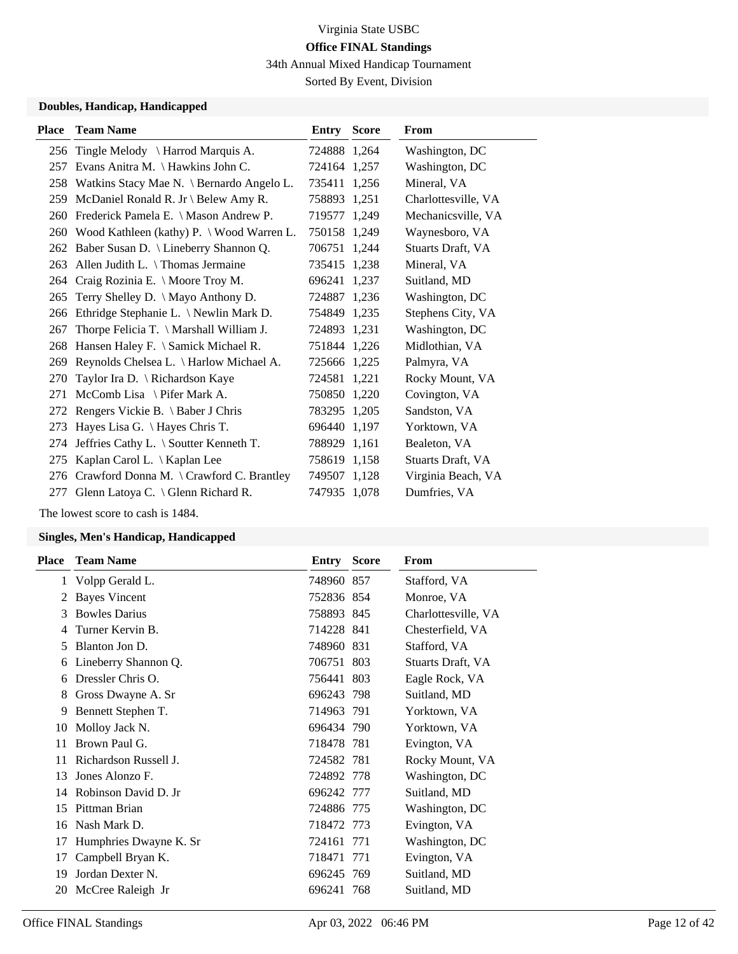34th Annual Mixed Handicap Tournament

Sorted By Event, Division

### **Doubles, Handicap, Handicapped**

| <b>Place</b> | <b>Team Name</b>                               | Entry        | <b>Score</b> | <b>From</b>         |
|--------------|------------------------------------------------|--------------|--------------|---------------------|
| 256          | Tingle Melody \ Harrod Marquis A.              | 724888 1,264 |              | Washington, DC      |
| 257          | Evans Anitra M. \Hawkins John C.               | 724164 1,257 |              | Washington, DC      |
| 258          | Watkins Stacy Mae N. \ Bernardo Angelo L.      | 735411 1,256 |              | Mineral, VA         |
| 259          | McDaniel Ronald R. Jr \ Belew Amy R.           | 758893 1,251 |              | Charlottesville, VA |
| 260          | Frederick Pamela E. \ Mason Andrew P.          | 719577 1,249 |              | Mechanicsville, VA  |
| 260          | Wood Kathleen (kathy) $P \sim W$ ood Warren L. | 750158 1,249 |              | Waynesboro, VA      |
| 262          | Baber Susan D. \ Lineberry Shannon Q.          | 706751 1,244 |              | Stuarts Draft, VA   |
| 263          | Allen Judith L. $\{$ Thomas Jermaine           | 735415 1,238 |              | Mineral, VA         |
| 264          | Craig Rozinia E. \ Moore Troy M.               | 696241 1,237 |              | Suitland, MD        |
| 265          | Terry Shelley D. \ Mayo Anthony D.             | 724887 1,236 |              | Washington, DC      |
| 266          | Ethridge Stephanie L. \ Newlin Mark D.         | 754849 1,235 |              | Stephens City, VA   |
| 267          | Thorpe Felicia T. \ Marshall William J.        | 724893 1,231 |              | Washington, DC      |
| 268          | Hansen Haley F. \ Samick Michael R.            | 751844 1,226 |              | Midlothian, VA      |
| 269          | Reynolds Chelsea L. \ Harlow Michael A.        | 725666 1,225 |              | Palmyra, VA         |
| 270          | Taylor Ira D. \ Richardson Kaye                | 724581 1,221 |              | Rocky Mount, VA     |
| 271          | McComb Lisa \ Pifer Mark A.                    | 750850 1,220 |              | Covington, VA       |
| 272          | Rengers Vickie B. \ Baber J Chris              | 783295 1,205 |              | Sandston, VA        |
| 273          | Hayes Lisa G. \ Hayes Chris T.                 | 696440 1,197 |              | Yorktown, VA        |
| 274          | Jeffries Cathy L. \ Soutter Kenneth T.         | 788929 1,161 |              | Bealeton, VA        |
| 275          | Kaplan Carol L.   Kaplan Lee                   | 758619 1,158 |              | Stuarts Draft, VA   |
| 276          | Crawford Donna M. \ Crawford C. Brantley       | 749507 1,128 |              | Virginia Beach, VA  |
| 277          | Glenn Latoya C. \ Glenn Richard R.             | 747935 1,078 |              | Dumfries, VA        |

The lowest score to cash is 1484.

| Place | <b>Team Name</b>       | Entry      | <b>Score</b> | From                |
|-------|------------------------|------------|--------------|---------------------|
| 1     | Volpp Gerald L.        | 748960 857 |              | Stafford, VA        |
| 2     | <b>Bayes Vincent</b>   | 752836 854 |              | Monroe, VA          |
| 3     | <b>Bowles Darius</b>   | 758893 845 |              | Charlottesville, VA |
| 4     | Turner Kervin B.       | 714228 841 |              | Chesterfield, VA    |
| 5     | Blanton Jon D.         | 748960 831 |              | Stafford, VA        |
| 6     | Lineberry Shannon Q.   | 706751 803 |              | Stuarts Draft, VA   |
| 6     | Dressler Chris O.      | 756441 803 |              | Eagle Rock, VA      |
| 8     | Gross Dwayne A. Sr     | 696243 798 |              | Suitland, MD        |
| 9     | Bennett Stephen T.     | 714963 791 |              | Yorktown, VA        |
| 10    | Molloy Jack N.         | 696434 790 |              | Yorktown, VA        |
| 11    | Brown Paul G.          | 718478 781 |              | Evington, VA        |
| 11    | Richardson Russell J.  | 724582 781 |              | Rocky Mount, VA     |
| 13    | Jones Alonzo F.        | 724892 778 |              | Washington, DC      |
| 14    | Robinson David D. Jr   | 696242 777 |              | Suitland, MD        |
| 15    | Pittman Brian          | 724886 775 |              | Washington, DC      |
| 16    | Nash Mark D.           | 718472 773 |              | Evington, VA        |
| 17    | Humphries Dwayne K. Sr | 724161 771 |              | Washington, DC      |
| 17    | Campbell Bryan K.      | 718471 771 |              | Evington, VA        |
| 19    | Jordan Dexter N.       | 696245 769 |              | Suitland, MD        |
| 20    | McCree Raleigh Jr      | 696241 768 |              | Suitland, MD        |
|       |                        |            |              |                     |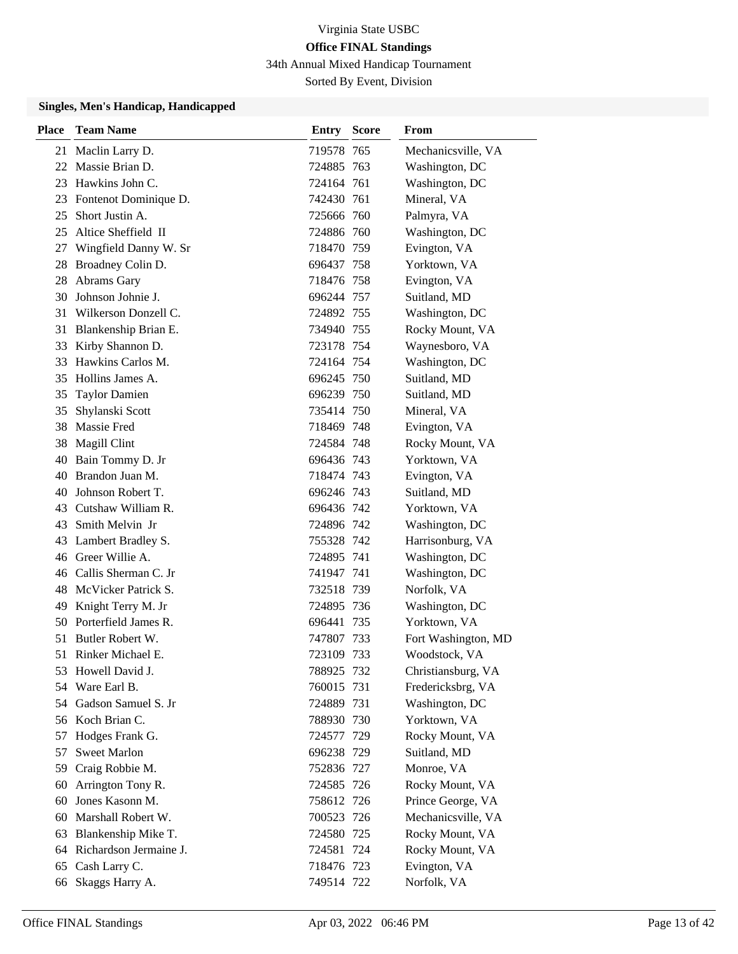34th Annual Mixed Handicap Tournament

Sorted By Event, Division

| Place | <b>Team Name</b>          | <b>Entry Score</b> | From                |
|-------|---------------------------|--------------------|---------------------|
|       | 21 Maclin Larry D.        | 719578 765         | Mechanicsville, VA  |
| 22    | Massie Brian D.           | 724885 763         | Washington, DC      |
| 23    | Hawkins John C.           | 724164 761         | Washington, DC      |
|       | 23 Fontenot Dominique D.  | 742430 761         | Mineral, VA         |
| 25    | Short Justin A.           | 725666 760         | Palmyra, VA         |
| 25    | Altice Sheffield II       | 724886 760         | Washington, DC      |
| 27    | Wingfield Danny W. Sr     | 718470 759         | Evington, VA        |
| 28    | Broadney Colin D.         | 696437 758         | Yorktown, VA        |
| 28    | Abrams Gary               | 718476 758         | Evington, VA        |
| 30    | Johnson Johnie J.         | 696244 757         | Suitland, MD        |
| 31    | Wilkerson Donzell C.      | 724892 755         | Washington, DC      |
|       | 31 Blankenship Brian E.   | 734940 755         | Rocky Mount, VA     |
| 33    | Kirby Shannon D.          | 723178 754         | Waynesboro, VA      |
| 33    | Hawkins Carlos M.         | 724164 754         | Washington, DC      |
|       | 35 Hollins James A.       | 696245 750         | Suitland, MD        |
| 35    | <b>Taylor Damien</b>      | 696239 750         | Suitland, MD        |
| 35    | Shylanski Scott           | 735414 750         | Mineral, VA         |
| 38    | Massie Fred               | 718469 748         | Evington, VA        |
| 38    | Magill Clint              | 724584 748         | Rocky Mount, VA     |
| 40    | Bain Tommy D. Jr          | 696436 743         | Yorktown, VA        |
| 40    | Brandon Juan M.           | 718474 743         | Evington, VA        |
| 40    | Johnson Robert T.         | 696246 743         | Suitland, MD        |
|       | 43 Cutshaw William R.     | 696436 742         | Yorktown, VA        |
| 43    | Smith Melvin Jr           | 724896 742         | Washington, DC      |
| 43    | Lambert Bradley S.        | 755328 742         | Harrisonburg, VA    |
|       | 46 Greer Willie A.        | 724895 741         | Washington, DC      |
| 46    | Callis Sherman C. Jr      | 741947 741         | Washington, DC      |
| 48    | McVicker Patrick S.       | 732518 739         | Norfolk, VA         |
| 49    | Knight Terry M. Jr        | 724895 736         | Washington, DC      |
|       | 50 Porterfield James R.   | 696441 735         | Yorktown, VA        |
| 51    | Butler Robert W.          | 747807 733         | Fort Washington, MD |
|       | 51 Rinker Michael E.      | 723109 733         | Woodstock, VA       |
| 53    | Howell David J.           | 788925 732         | Christiansburg, VA  |
| 54    | Ware Earl B.              | 760015 731         | Fredericksbrg, VA   |
| 54    | Gadson Samuel S. Jr       | 724889 731         | Washington, DC      |
|       | 56 Koch Brian C.          | 788930 730         | Yorktown, VA        |
| 57    | Hodges Frank G.           | 724577 729         | Rocky Mount, VA     |
| 57    | <b>Sweet Marlon</b>       | 696238 729         | Suitland, MD        |
| 59    | Craig Robbie M.           | 752836 727         | Monroe, VA          |
| 60    | Arrington Tony R.         | 724585 726         | Rocky Mount, VA     |
| 60    | Jones Kasonn M.           | 758612 726         | Prince George, VA   |
| 60    | Marshall Robert W.        | 700523 726         | Mechanicsville, VA  |
| 63    | Blankenship Mike T.       | 724580 725         | Rocky Mount, VA     |
|       | 64 Richardson Jermaine J. | 724581 724         | Rocky Mount, VA     |
| 65    | Cash Larry C.             | 718476 723         | Evington, VA        |
| 66    | Skaggs Harry A.           | 749514 722         | Norfolk, VA         |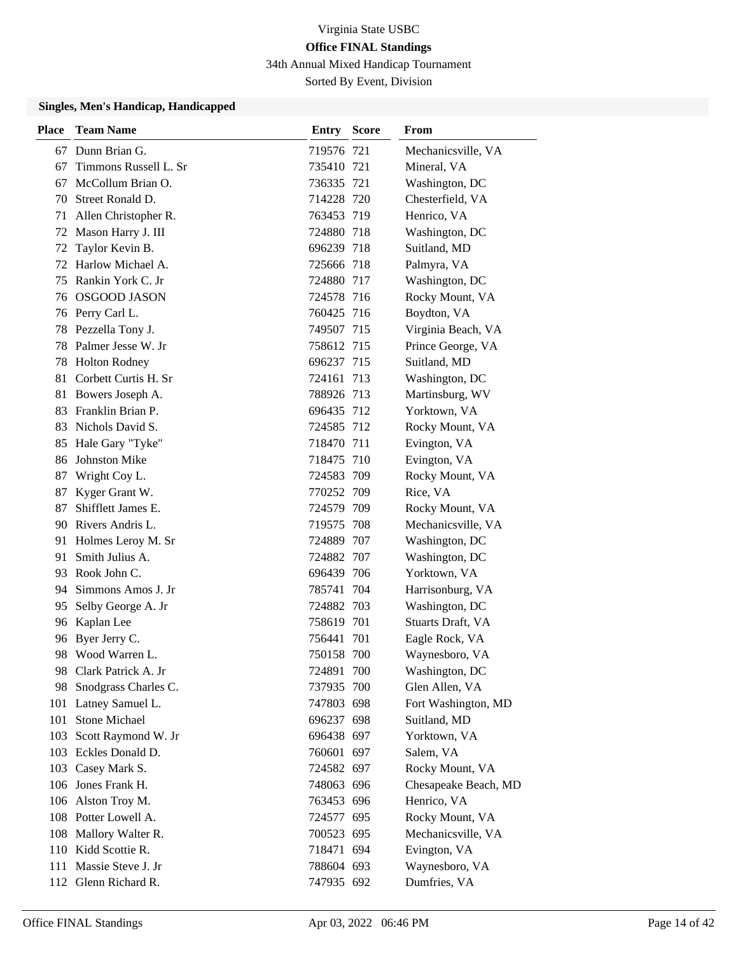34th Annual Mixed Handicap Tournament

Sorted By Event, Division

| <b>Place</b> | <b>Team Name</b>      | <b>Entry Score</b> |     | From                 |
|--------------|-----------------------|--------------------|-----|----------------------|
| 67           | Dunn Brian G.         | 719576 721         |     | Mechanicsville, VA   |
| 67           | Timmons Russell L. Sr | 735410 721         |     | Mineral, VA          |
| 67           | McCollum Brian O.     | 736335 721         |     | Washington, DC       |
| 70           | Street Ronald D.      | 714228 720         |     | Chesterfield, VA     |
| 71           | Allen Christopher R.  | 763453 719         |     | Henrico, VA          |
| 72           | Mason Harry J. III    | 724880 718         |     | Washington, DC       |
| 72           | Taylor Kevin B.       | 696239 718         |     | Suitland, MD         |
| 72           | Harlow Michael A.     | 725666 718         |     | Palmyra, VA          |
| 75           | Rankin York C. Jr     | 724880 717         |     | Washington, DC       |
| 76           | <b>OSGOOD JASON</b>   | 724578 716         |     | Rocky Mount, VA      |
|              | 76 Perry Carl L.      | 760425 716         |     | Boydton, VA          |
| 78           | Pezzella Tony J.      | 749507 715         |     | Virginia Beach, VA   |
| 78           | Palmer Jesse W. Jr    | 758612 715         |     | Prince George, VA    |
| 78           | <b>Holton Rodney</b>  | 696237 715         |     | Suitland, MD         |
| 81           | Corbett Curtis H. Sr  | 724161 713         |     | Washington, DC       |
| 81           | Bowers Joseph A.      | 788926 713         |     | Martinsburg, WV      |
| 83           | Franklin Brian P.     | 696435 712         |     | Yorktown, VA         |
| 83           | Nichols David S.      | 724585 712         |     | Rocky Mount, VA      |
| 85           | Hale Gary "Tyke"      | 718470 711         |     | Evington, VA         |
| 86           | <b>Johnston Mike</b>  | 718475 710         |     | Evington, VA         |
| 87           | Wright Coy L.         | 724583 709         |     | Rocky Mount, VA      |
| 87           | Kyger Grant W.        | 770252 709         |     | Rice, VA             |
| 87           | Shifflett James E.    | 724579 709         |     | Rocky Mount, VA      |
|              | 90 Rivers Andris L.   | 719575 708         |     | Mechanicsville, VA   |
| 91           | Holmes Leroy M. Sr    | 724889 707         |     | Washington, DC       |
| 91           | Smith Julius A.       | 724882 707         |     | Washington, DC       |
| 93           | Rook John C.          | 696439 706         |     | Yorktown, VA         |
| 94           | Simmons Amos J. Jr    | 785741 704         |     | Harrisonburg, VA     |
| 95           | Selby George A. Jr    | 724882 703         |     | Washington, DC       |
| 96           | Kaplan Lee            | 758619 701         |     | Stuarts Draft, VA    |
| 96           | Byer Jerry C.         | 756441             | 701 | Eagle Rock, VA       |
| 98           | Wood Warren L.        | 750158 700         |     | Waynesboro, VA       |
| 98.          | Clark Patrick A. Jr   | 724891 700         |     | Washington, DC       |
| 98           | Snodgrass Charles C.  | 737935 700         |     | Glen Allen, VA       |
| 101          | Latney Samuel L.      | 747803 698         |     | Fort Washington, MD  |
| 101          | Stone Michael         | 696237 698         |     | Suitland, MD         |
| 103          | Scott Raymond W. Jr   | 696438 697         |     | Yorktown, VA         |
|              | 103 Eckles Donald D.  | 760601 697         |     | Salem, VA            |
| 103          | Casey Mark S.         | 724582 697         |     | Rocky Mount, VA      |
|              | 106 Jones Frank H.    | 748063 696         |     | Chesapeake Beach, MD |
|              | 106 Alston Troy M.    | 763453 696         |     | Henrico, VA          |
|              | 108 Potter Lowell A.  | 724577 695         |     | Rocky Mount, VA      |
|              | 108 Mallory Walter R. | 700523 695         |     | Mechanicsville, VA   |
|              | 110 Kidd Scottie R.   | 718471 694         |     | Evington, VA         |
| 111          | Massie Steve J. Jr    | 788604 693         |     | Waynesboro, VA       |
|              | 112 Glenn Richard R.  | 747935 692         |     | Dumfries, VA         |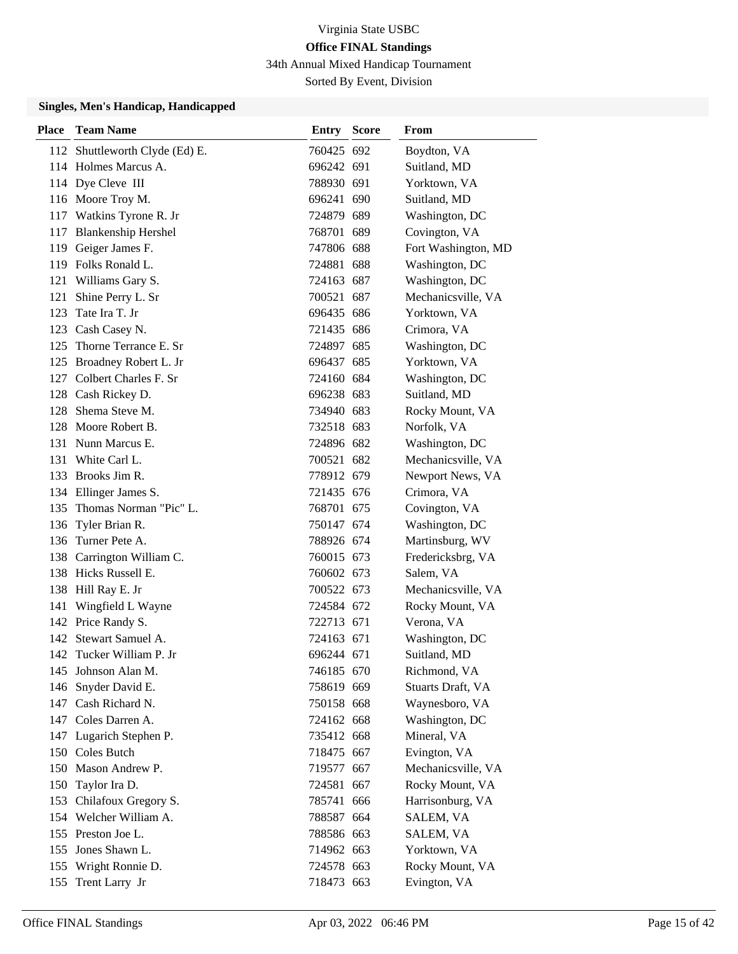34th Annual Mixed Handicap Tournament

Sorted By Event, Division

| <b>Place</b> | <b>Team Name</b>               | <b>Entry Score</b> | From                |
|--------------|--------------------------------|--------------------|---------------------|
|              | 112 Shuttleworth Clyde (Ed) E. | 760425 692         | Boydton, VA         |
|              | 114 Holmes Marcus A.           | 696242 691         | Suitland, MD        |
|              | 114 Dye Cleve III              | 788930 691         | Yorktown, VA        |
|              | 116 Moore Troy M.              | 696241 690         | Suitland, MD        |
|              | 117 Watkins Tyrone R. Jr       | 724879 689         | Washington, DC      |
|              | 117 Blankenship Hershel        | 768701 689         | Covington, VA       |
|              | 119 Geiger James F.            | 747806 688         | Fort Washington, MD |
|              | 119 Folks Ronald L.            | 724881 688         | Washington, DC      |
|              | 121 Williams Gary S.           | 724163 687         | Washington, DC      |
| 121          | Shine Perry L. Sr              | 700521 687         | Mechanicsville, VA  |
| 123          | Tate Ira T. Jr                 | 696435 686         | Yorktown, VA        |
|              | 123 Cash Casey N.              | 721435 686         | Crimora, VA         |
| 125          | Thorne Terrance E. Sr          | 724897 685         | Washington, DC      |
|              | 125 Broadney Robert L. Jr      | 696437 685         | Yorktown, VA        |
|              | 127 Colbert Charles F. Sr      | 724160 684         | Washington, DC      |
|              | 128 Cash Rickey D.             | 696238 683         | Suitland, MD        |
|              | 128 Shema Steve M.             | 734940 683         | Rocky Mount, VA     |
|              | 128 Moore Robert B.            | 732518 683         | Norfolk, VA         |
|              | 131 Nunn Marcus E.             | 724896 682         | Washington, DC      |
|              | 131 White Carl L.              | 700521 682         | Mechanicsville, VA  |
|              | 133 Brooks Jim R.              | 778912 679         | Newport News, VA    |
|              | 134 Ellinger James S.          | 721435 676         | Crimora, VA         |
| 135          | Thomas Norman "Pic" L.         | 768701 675         | Covington, VA       |
|              | 136 Tyler Brian R.             | 750147 674         | Washington, DC      |
| 136          | Turner Pete A.                 | 788926 674         | Martinsburg, WV     |
| 138          | Carrington William C.          | 760015 673         | Fredericksbrg, VA   |
|              | 138 Hicks Russell E.           | 760602 673         | Salem, VA           |
|              | 138 Hill Ray E. Jr             | 700522 673         | Mechanicsville, VA  |
| 141          | Wingfield L Wayne              | 724584 672         | Rocky Mount, VA     |
|              | 142 Price Randy S.             | 722713 671         | Verona, VA          |
|              | 142 Stewart Samuel A.          | 724163 671         | Washington, DC      |
|              | 142 Tucker William P. Jr       | 696244 671         | Suitland, MD        |
|              | 145 Johnson Alan M.            | 746185 670         | Richmond, VA        |
|              | 146 Snyder David E.            | 758619 669         | Stuarts Draft, VA   |
|              | 147 Cash Richard N.            | 750158 668         | Waynesboro, VA      |
|              | 147 Coles Darren A.            | 724162 668         | Washington, DC      |
|              | 147 Lugarich Stephen P.        | 735412 668         | Mineral, VA         |
|              | 150 Coles Butch                | 718475 667         | Evington, VA        |
|              | 150 Mason Andrew P.            | 719577 667         | Mechanicsville, VA  |
|              | 150 Taylor Ira D.              | 724581 667         | Rocky Mount, VA     |
| 153          | Chilafoux Gregory S.           | 785741 666         | Harrisonburg, VA    |
|              | 154 Welcher William A.         | 788587 664         | SALEM, VA           |
|              | 155 Preston Joe L.             | 788586 663         | SALEM, VA           |
|              | 155 Jones Shawn L.             | 714962 663         | Yorktown, VA        |
|              | 155 Wright Ronnie D.           | 724578 663         | Rocky Mount, VA     |
|              | 155 Trent Larry Jr             | 718473 663         | Evington, VA        |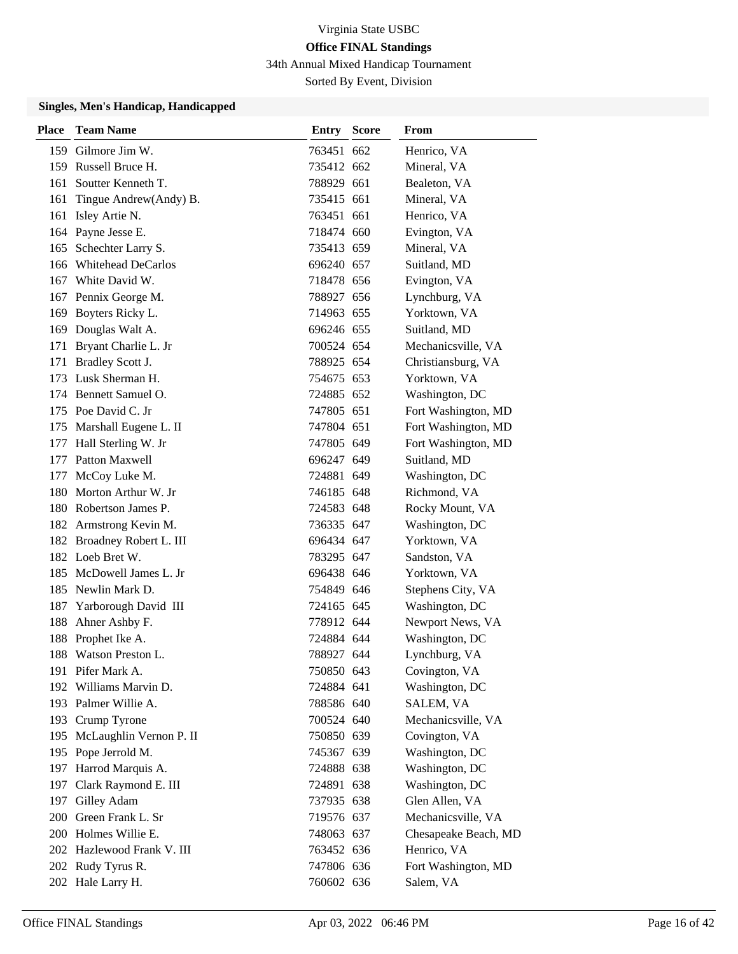34th Annual Mixed Handicap Tournament

Sorted By Event, Division

| <b>Place</b> | <b>Team Name</b>           | <b>Entry Score</b> | From                 |
|--------------|----------------------------|--------------------|----------------------|
|              | 159 Gilmore Jim W.         | 763451 662         | Henrico, VA          |
|              | 159 Russell Bruce H.       | 735412 662         | Mineral, VA          |
| 161          | Soutter Kenneth T.         | 788929 661         | Bealeton, VA         |
| 161          | Tingue Andrew(Andy) B.     | 735415 661         | Mineral, VA          |
| 161          | Isley Artie N.             | 763451 661         | Henrico, VA          |
|              | 164 Payne Jesse E.         | 718474 660         | Evington, VA         |
| 165          | Schechter Larry S.         | 735413 659         | Mineral, VA          |
|              | 166 Whitehead DeCarlos     | 696240 657         | Suitland, MD         |
| 167          | White David W.             | 718478 656         | Evington, VA         |
|              | 167 Pennix George M.       | 788927 656         | Lynchburg, VA        |
|              | 169 Boyters Ricky L.       | 714963 655         | Yorktown, VA         |
|              | 169 Douglas Walt A.        | 696246 655         | Suitland, MD         |
| 171          | Bryant Charlie L. Jr       | 700524 654         | Mechanicsville, VA   |
| 171          | Bradley Scott J.           | 788925 654         | Christiansburg, VA   |
| 173          | Lusk Sherman H.            | 754675 653         | Yorktown, VA         |
|              | 174 Bennett Samuel O.      | 724885 652         | Washington, DC       |
|              | 175 Poe David C. Jr        | 747805 651         | Fort Washington, MD  |
|              | 175 Marshall Eugene L. II  | 747804 651         | Fort Washington, MD  |
| 177          | Hall Sterling W. Jr        | 747805 649         | Fort Washington, MD  |
|              | 177 Patton Maxwell         | 696247 649         | Suitland, MD         |
| 177          | McCoy Luke M.              | 724881 649         | Washington, DC       |
|              | 180 Morton Arthur W. Jr    | 746185 648         | Richmond, VA         |
|              | 180 Robertson James P.     | 724583 648         | Rocky Mount, VA      |
|              | 182 Armstrong Kevin M.     | 736335 647         | Washington, DC       |
|              | 182 Broadney Robert L. III | 696434 647         | Yorktown, VA         |
|              | 182 Loeb Bret W.           | 783295 647         | Sandston, VA         |
| 185          | McDowell James L. Jr       | 696438 646         | Yorktown, VA         |
|              | 185 Newlin Mark D.         | 754849 646         | Stephens City, VA    |
| 187          | Yarborough David III       | 724165 645         | Washington, DC       |
| 188          | Ahner Ashby F.             | 778912 644         | Newport News, VA     |
| 188          | Prophet Ike A.             | 724884 644         | Washington, DC       |
| 188          | Watson Preston L.          | 788927 644         | Lynchburg, VA        |
|              | 191 Pifer Mark A.          | 750850 643         | Covington, VA        |
|              | 192 Williams Marvin D.     | 724884 641         | Washington, DC       |
|              | 193 Palmer Willie A.       | 788586 640         | SALEM, VA            |
|              | 193 Crump Tyrone           | 700524 640         | Mechanicsville, VA   |
| 195          | McLaughlin Vernon P. II    | 750850 639         | Covington, VA        |
|              | 195 Pope Jerrold M.        | 745367 639         | Washington, DC       |
| 197          | Harrod Marquis A.          | 724888 638         | Washington, DC       |
| 197          | Clark Raymond E. III       | 724891 638         | Washington, DC       |
|              | 197 Gilley Adam            | 737935 638         | Glen Allen, VA       |
|              | 200 Green Frank L. Sr      | 719576 637         | Mechanicsville, VA   |
|              | 200 Holmes Willie E.       | 748063 637         | Chesapeake Beach, MD |
|              | 202 Hazlewood Frank V. III | 763452 636         | Henrico, VA          |
|              | 202 Rudy Tyrus R.          | 747806 636         | Fort Washington, MD  |
|              | 202 Hale Larry H.          | 760602 636         | Salem, VA            |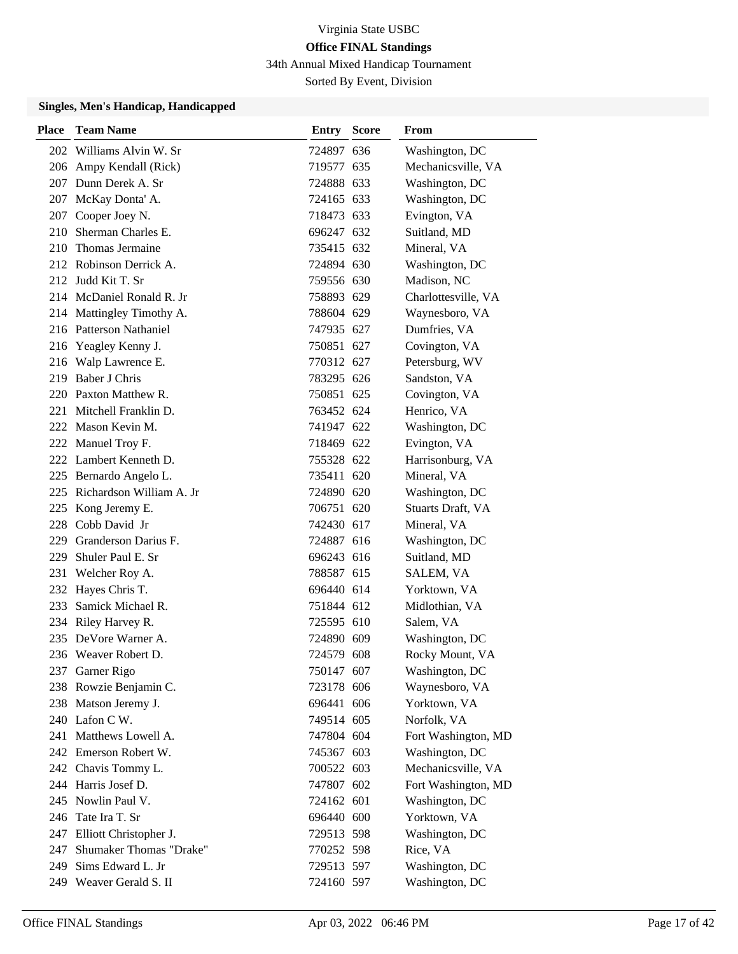34th Annual Mixed Handicap Tournament

Sorted By Event, Division

| <b>Place</b> | <b>Team Name</b>             | <b>Entry Score</b> | From                |
|--------------|------------------------------|--------------------|---------------------|
|              | 202 Williams Alvin W. Sr     | 724897 636         | Washington, DC      |
|              | 206 Ampy Kendall (Rick)      | 719577 635         | Mechanicsville, VA  |
|              | 207 Dunn Derek A. Sr         | 724888 633         | Washington, DC      |
|              | 207 McKay Donta' A.          | 724165 633         | Washington, DC      |
|              | 207 Cooper Joey N.           | 718473 633         | Evington, VA        |
|              | 210 Sherman Charles E.       | 696247 632         | Suitland, MD        |
|              | 210 Thomas Jermaine          | 735415 632         | Mineral, VA         |
|              | 212 Robinson Derrick A.      | 724894 630         | Washington, DC      |
|              | 212 Judd Kit T. Sr           | 759556 630         | Madison, NC         |
|              | 214 McDaniel Ronald R. Jr    | 758893 629         | Charlottesville, VA |
|              | 214 Mattingley Timothy A.    | 788604 629         | Waynesboro, VA      |
|              | 216 Patterson Nathaniel      | 747935 627         | Dumfries, VA        |
|              | 216 Yeagley Kenny J.         | 750851 627         | Covington, VA       |
|              | 216 Walp Lawrence E.         | 770312 627         | Petersburg, WV      |
|              | 219 Baber J Chris            | 783295 626         | Sandston, VA        |
|              | 220 Paxton Matthew R.        | 750851 625         | Covington, VA       |
|              | 221 Mitchell Franklin D.     | 763452 624         | Henrico, VA         |
|              | 222 Mason Kevin M.           | 741947 622         | Washington, DC      |
|              | 222 Manuel Troy F.           | 718469 622         | Evington, VA        |
|              | 222 Lambert Kenneth D.       | 755328 622         | Harrisonburg, VA    |
|              | 225 Bernardo Angelo L.       | 735411 620         | Mineral, VA         |
|              | 225 Richardson William A. Jr | 724890 620         | Washington, DC      |
|              | 225 Kong Jeremy E.           | 706751 620         | Stuarts Draft, VA   |
|              | 228 Cobb David Jr            | 742430 617         | Mineral, VA         |
| 229          | Granderson Darius F.         | 724887 616         | Washington, DC      |
| 229          | Shuler Paul E. Sr            | 696243 616         | Suitland, MD        |
| 231          | Welcher Roy A.               | 788587 615         | SALEM, VA           |
|              | 232 Hayes Chris T.           | 696440 614         | Yorktown, VA        |
| 233          | Samick Michael R.            | 751844 612         | Midlothian, VA      |
|              | 234 Riley Harvey R.          | 725595 610         | Salem, VA           |
| 235          | DeVore Warner A.             | 724890 609         | Washington, DC      |
|              | 236 Weaver Robert D.         | 724579 608         | Rocky Mount, VA     |
|              | 237 Garner Rigo              | 750147 607         | Washington, DC      |
|              | 238 Rowzie Benjamin C.       | 723178 606         | Waynesboro, VA      |
|              | 238 Matson Jeremy J.         | 696441 606         | Yorktown, VA        |
|              | 240 Lafon C W.               | 749514 605         | Norfolk, VA         |
|              | 241 Matthews Lowell A.       | 747804 604         | Fort Washington, MD |
|              | 242 Emerson Robert W.        | 745367 603         | Washington, DC      |
|              | 242 Chavis Tommy L.          | 700522 603         | Mechanicsville, VA  |
|              | 244 Harris Josef D.          | 747807 602         | Fort Washington, MD |
|              | 245 Nowlin Paul V.           | 724162 601         | Washington, DC      |
|              | 246 Tate Ira T. Sr           | 696440 600         | Yorktown, VA        |
|              | 247 Elliott Christopher J.   | 729513 598         | Washington, DC      |
| 247          | Shumaker Thomas "Drake"      | 770252 598         | Rice, VA            |
| 249          | Sims Edward L. Jr            | 729513 597         | Washington, DC      |
|              | 249 Weaver Gerald S. II      | 724160 597         | Washington, DC      |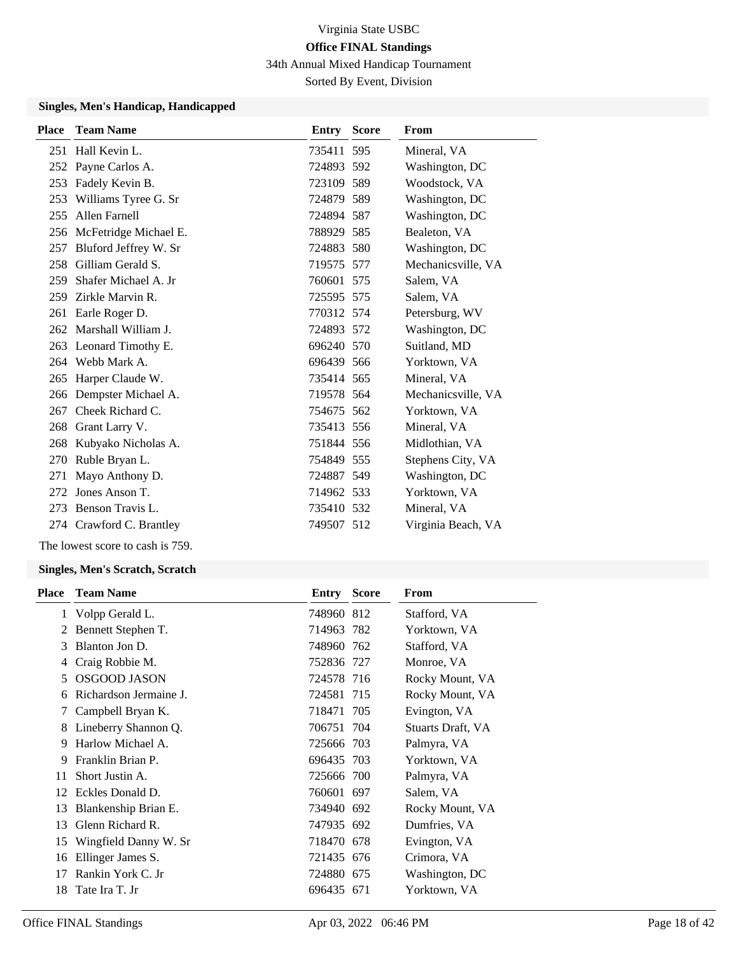34th Annual Mixed Handicap Tournament

Sorted By Event, Division

#### **Singles, Men's Handicap, Handicapped**

| Place | <b>Team Name</b>          | <b>Entry Score</b> | From               |
|-------|---------------------------|--------------------|--------------------|
|       | 251 Hall Kevin L.         | 735411 595         | Mineral, VA        |
|       | 252 Payne Carlos A.       | 724893 592         | Washington, DC     |
|       | 253 Fadely Kevin B.       | 723109 589         | Woodstock, VA      |
| 253   | Williams Tyree G. Sr      | 724879 589         | Washington, DC     |
| 255   | Allen Farnell             | 724894 587         | Washington, DC     |
|       | 256 McFetridge Michael E. | 788929 585         | Bealeton, VA       |
| 257   | Bluford Jeffrey W. Sr     | 724883 580         | Washington, DC     |
| 258   | Gilliam Gerald S.         | 719575 577         | Mechanicsville, VA |
| 259   | Shafer Michael A. Jr      | 760601 575         | Salem, VA          |
| 259   | Zirkle Marvin R.          | 725595 575         | Salem, VA          |
| 261   | Earle Roger D.            | 770312 574         | Petersburg, WV     |
|       | 262 Marshall William J.   | 724893 572         | Washington, DC     |
|       | 263 Leonard Timothy E.    | 696240 570         | Suitland, MD       |
|       | 264 Webb Mark A.          | 696439 566         | Yorktown, VA       |
| 265   | Harper Claude W.          | 735414 565         | Mineral, VA        |
|       | 266 Dempster Michael A.   | 719578 564         | Mechanicsville, VA |
|       | 267 Cheek Richard C.      | 754675 562         | Yorktown, VA       |
|       | 268 Grant Larry V.        | 735413 556         | Mineral, VA        |
|       | 268 Kubyako Nicholas A.   | 751844 556         | Midlothian, VA     |
| 270   | Ruble Bryan L.            | 754849 555         | Stephens City, VA  |
| 271   | Mayo Anthony D.           | 724887 549         | Washington, DC     |
| 272   | Jones Anson T.            | 714962 533         | Yorktown, VA       |
|       | 273 Benson Travis L.      | 735410 532         | Mineral, VA        |
|       | 274 Crawford C. Brantley  | 749507 512         | Virginia Beach, VA |
|       |                           |                    |                    |

The lowest score to cash is 759.

#### **Singles, Men's Scratch, Scratch**

| <b>Place</b> | <b>Team Name</b>       | Entry      | <b>Score</b> | From              |
|--------------|------------------------|------------|--------------|-------------------|
| 1            | Volpp Gerald L.        | 748960 812 |              | Stafford, VA      |
| 2            | Bennett Stephen T.     | 714963 782 |              | Yorktown, VA      |
| 3            | Blanton Jon D.         | 748960 762 |              | Stafford, VA      |
| 4            | Craig Robbie M.        | 752836 727 |              | Monroe, VA        |
| 5            | <b>OSGOOD JASON</b>    | 724578 716 |              | Rocky Mount, VA   |
| 6            | Richardson Jermaine J. | 724581 715 |              | Rocky Mount, VA   |
| 7            | Campbell Bryan K.      | 718471 705 |              | Evington, VA      |
| 8            | Lineberry Shannon Q.   | 706751 704 |              | Stuarts Draft, VA |
| 9            | Harlow Michael A.      | 725666 703 |              | Palmyra, VA       |
| 9            | Franklin Brian P.      | 696435 703 |              | Yorktown, VA      |
| 11           | Short Justin A.        | 725666 700 |              | Palmyra, VA       |
| 12           | Eckles Donald D.       | 760601 697 |              | Salem, VA         |
| 13           | Blankenship Brian E.   | 734940 692 |              | Rocky Mount, VA   |
| 13           | Glenn Richard R.       | 747935 692 |              | Dumfries, VA      |
| 15           | Wingfield Danny W. Sr  | 718470 678 |              | Evington, VA      |
| 16           | Ellinger James S.      | 721435 676 |              | Crimora, VA       |
| 17           | Rankin York C. Jr      | 724880 675 |              | Washington, DC    |
| 18           | Tate Ira T. Jr         | 696435 671 |              | Yorktown, VA      |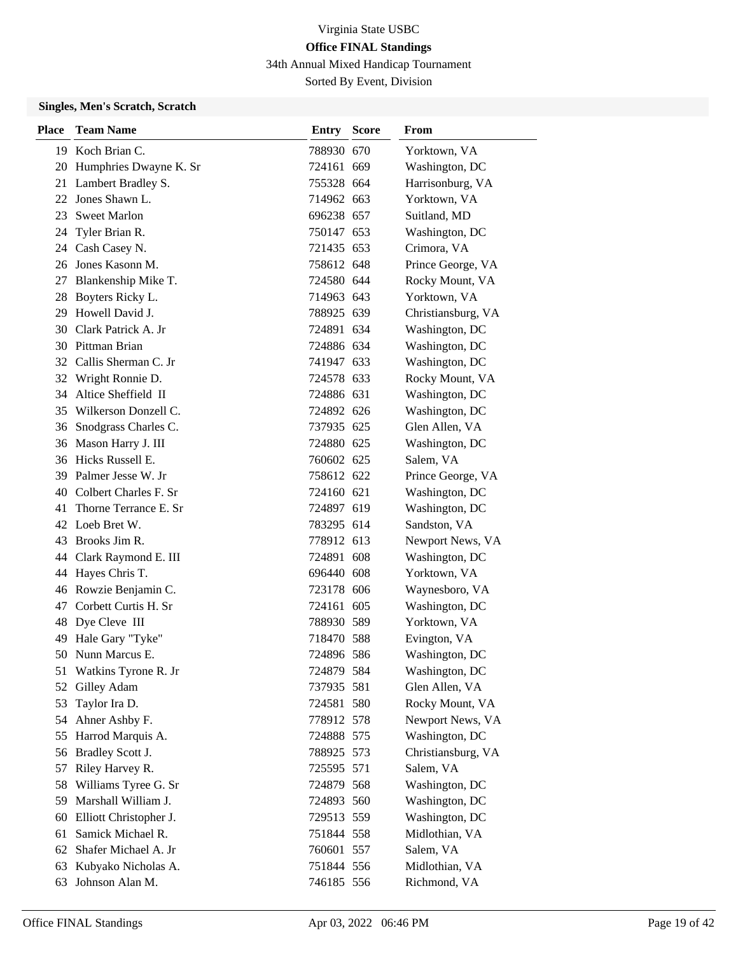34th Annual Mixed Handicap Tournament

Sorted By Event, Division

### **Singles, Men's Scratch, Scratch**

| Place | <b>Team Name</b>       | <b>Entry Score</b> | From               |
|-------|------------------------|--------------------|--------------------|
|       | 19 Koch Brian C.       | 788930 670         | Yorktown, VA       |
| 20    | Humphries Dwayne K. Sr | 724161 669         | Washington, DC     |
| 21    | Lambert Bradley S.     | 755328 664         | Harrisonburg, VA   |
| 22    | Jones Shawn L.         | 714962 663         | Yorktown, VA       |
| 23    | <b>Sweet Marlon</b>    | 696238 657         | Suitland, MD       |
| 24    | Tyler Brian R.         | 750147 653         | Washington, DC     |
|       | 24 Cash Casey N.       | 721435 653         | Crimora, VA        |
| 26    | Jones Kasonn M.        | 758612 648         | Prince George, VA  |
| 27    | Blankenship Mike T.    | 724580 644         | Rocky Mount, VA    |
| 28    | Boyters Ricky L.       | 714963 643         | Yorktown, VA       |
| 29    | Howell David J.        | 788925 639         | Christiansburg, VA |
|       | 30 Clark Patrick A. Jr | 724891 634         | Washington, DC     |
| 30    | Pittman Brian          | 724886 634         | Washington, DC     |
| 32    | Callis Sherman C. Jr   | 741947 633         | Washington, DC     |
| 32    | Wright Ronnie D.       | 724578 633         | Rocky Mount, VA    |
| 34    | Altice Sheffield II    | 724886 631         | Washington, DC     |
| 35    | Wilkerson Donzell C.   | 724892 626         | Washington, DC     |
| 36    | Snodgrass Charles C.   | 737935 625         | Glen Allen, VA     |
| 36    | Mason Harry J. III     | 724880 625         | Washington, DC     |
|       | 36 Hicks Russell E.    | 760602 625         | Salem, VA          |
| 39    | Palmer Jesse W. Jr     | 758612 622         | Prince George, VA  |
| 40    | Colbert Charles F. Sr  | 724160 621         | Washington, DC     |
| 41    | Thorne Terrance E. Sr  | 724897 619         | Washington, DC     |
| 42    | Loeb Bret W.           | 783295 614         | Sandston, VA       |
| 43    | Brooks Jim R.          | 778912 613         | Newport News, VA   |
| 44    | Clark Raymond E. III   | 724891 608         | Washington, DC     |
| 44    | Hayes Chris T.         | 696440 608         | Yorktown, VA       |
| 46    | Rowzie Benjamin C.     | 723178 606         | Waynesboro, VA     |
| 47    | Corbett Curtis H. Sr   | 724161 605         | Washington, DC     |
| 48    | Dye Cleve III          | 788930 589         | Yorktown, VA       |
| 49    | Hale Gary "Tyke"       | 718470 588         | Evington, VA       |
|       | 50 Nunn Marcus E.      | 724896 586         | Washington, DC     |
| 51    | Watkins Tyrone R. Jr   | 724879 584         | Washington, DC     |
| 52    | Gilley Adam            | 737935 581         | Glen Allen, VA     |
| 53    | Taylor Ira D.          | 724581 580         | Rocky Mount, VA    |
| 54    | Ahner Ashby F.         | 778912 578         | Newport News, VA   |
| 55    | Harrod Marquis A.      | 724888 575         | Washington, DC     |
| 56    | Bradley Scott J.       | 788925 573         | Christiansburg, VA |
| 57    | Riley Harvey R.        | 725595 571         | Salem, VA          |
| 58    | Williams Tyree G. Sr   | 724879 568         | Washington, DC     |
| 59    | Marshall William J.    | 724893 560         | Washington, DC     |
| 60    | Elliott Christopher J. | 729513 559         | Washington, DC     |
| 61    | Samick Michael R.      | 751844 558         | Midlothian, VA     |
| 62    | Shafer Michael A. Jr   | 760601 557         | Salem, VA          |
| 63    | Kubyako Nicholas A.    | 751844 556         | Midlothian, VA     |
| 63    | Johnson Alan M.        | 746185 556         | Richmond, VA       |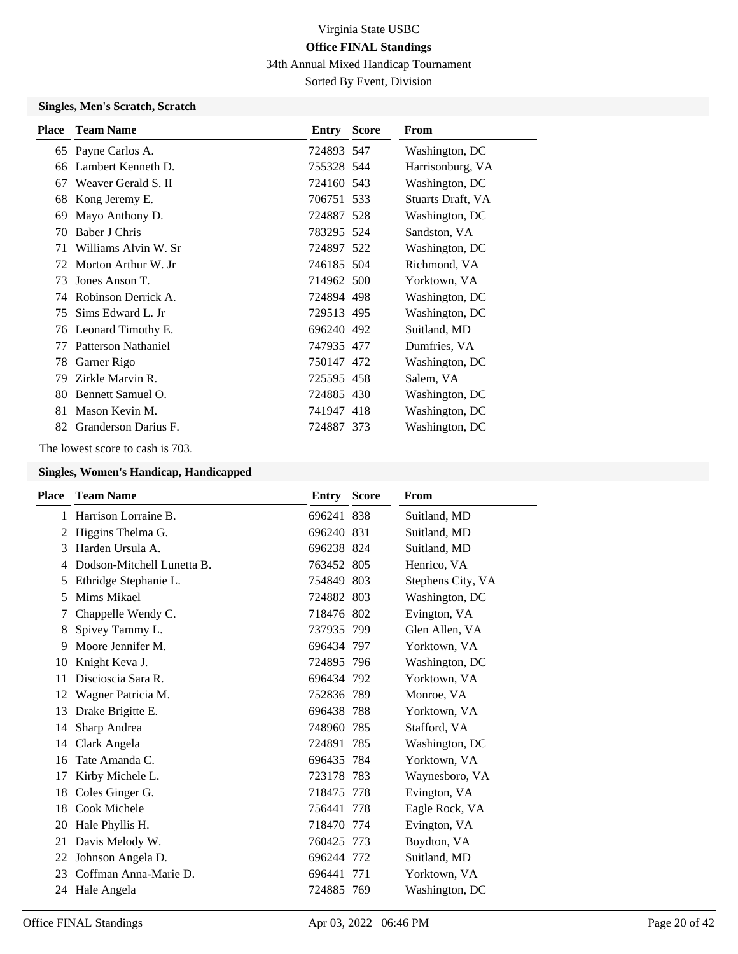34th Annual Mixed Handicap Tournament

Sorted By Event, Division

### **Singles, Men's Scratch, Scratch**

| <b>Place</b> | <b>Team Name</b>     | <b>Entry Score</b> | From              |
|--------------|----------------------|--------------------|-------------------|
|              | 65 Payne Carlos A.   | 724893 547         | Washington, DC    |
| 66           | Lambert Kenneth D.   | 755328 544         | Harrisonburg, VA  |
| 67           | Weaver Gerald S. II  | 724160 543         | Washington, DC    |
| 68           | Kong Jeremy E.       | 706751 533         | Stuarts Draft, VA |
| 69           | Mayo Anthony D.      | 724887 528         | Washington, DC    |
| 70           | Baber J Chris        | 783295 524         | Sandston, VA      |
| 71           | Williams Alvin W. Sr | 724897 522         | Washington, DC    |
| 72           | Morton Arthur W. Jr  | 746185 504         | Richmond, VA      |
| 73           | Jones Anson T.       | 714962 500         | Yorktown, VA      |
| 74           | Robinson Derrick A.  | 724894 498         | Washington, DC    |
| 75           | Sims Edward L. Jr    | 729513 495         | Washington, DC    |
| 76           | Leonard Timothy E.   | 696240 492         | Suitland, MD      |
| 77           | Patterson Nathaniel  | 747935 477         | Dumfries, VA      |
| 78           | Garner Rigo          | 750147 472         | Washington, DC    |
| 79           | Zirkle Marvin R.     | 725595 458         | Salem, VA         |
| 80           | Bennett Samuel O.    | 724885 430         | Washington, DC    |
| 81           | Mason Kevin M.       | 741947 418         | Washington, DC    |
| 82           | Granderson Darius F. | 724887 373         | Washington, DC    |

The lowest score to cash is 703.

| <b>Place</b> | <b>Team Name</b>           | <b>Entry Score</b> | From              |
|--------------|----------------------------|--------------------|-------------------|
| 1            | Harrison Lorraine B.       | 696241 838         | Suitland, MD      |
| 2            | Higgins Thelma G.          | 696240 831         | Suitland, MD      |
| 3            | Harden Ursula A.           | 696238 824         | Suitland, MD      |
| 4            | Dodson-Mitchell Lunetta B. | 763452 805         | Henrico, VA       |
| 5            | Ethridge Stephanie L.      | 754849 803         | Stephens City, VA |
| 5            | Mims Mikael                | 724882 803         | Washington, DC    |
| 7            | Chappelle Wendy C.         | 718476 802         | Evington, VA      |
| 8            | Spivey Tammy L.            | 737935 799         | Glen Allen, VA    |
| 9            | Moore Jennifer M.          | 696434 797         | Yorktown, VA      |
| 10           | Knight Keva J.             | 724895 796         | Washington, DC    |
| 11           | Discioscia Sara R.         | 696434 792         | Yorktown, VA      |
| 12           | Wagner Patricia M.         | 752836 789         | Monroe, VA        |
| 13           | Drake Brigitte E.          | 696438 788         | Yorktown, VA      |
| 14           | Sharp Andrea               | 748960 785         | Stafford, VA      |
| 14           | Clark Angela               | 724891 785         | Washington, DC    |
| 16           | Tate Amanda C.             | 696435 784         | Yorktown, VA      |
| 17           | Kirby Michele L.           | 723178 783         | Waynesboro, VA    |
| 18           | Coles Ginger G.            | 718475 778         | Evington, VA      |
| 18           | Cook Michele               | 756441 778         | Eagle Rock, VA    |
| 20           | Hale Phyllis H.            | 718470 774         | Evington, VA      |
| 21           | Davis Melody W.            | 760425 773         | Boydton, VA       |
| 22           | Johnson Angela D.          | 696244 772         | Suitland, MD      |
| 23           | Coffman Anna-Marie D.      | 696441 771         | Yorktown, VA      |
|              | 24 Hale Angela             | 724885 769         | Washington, DC    |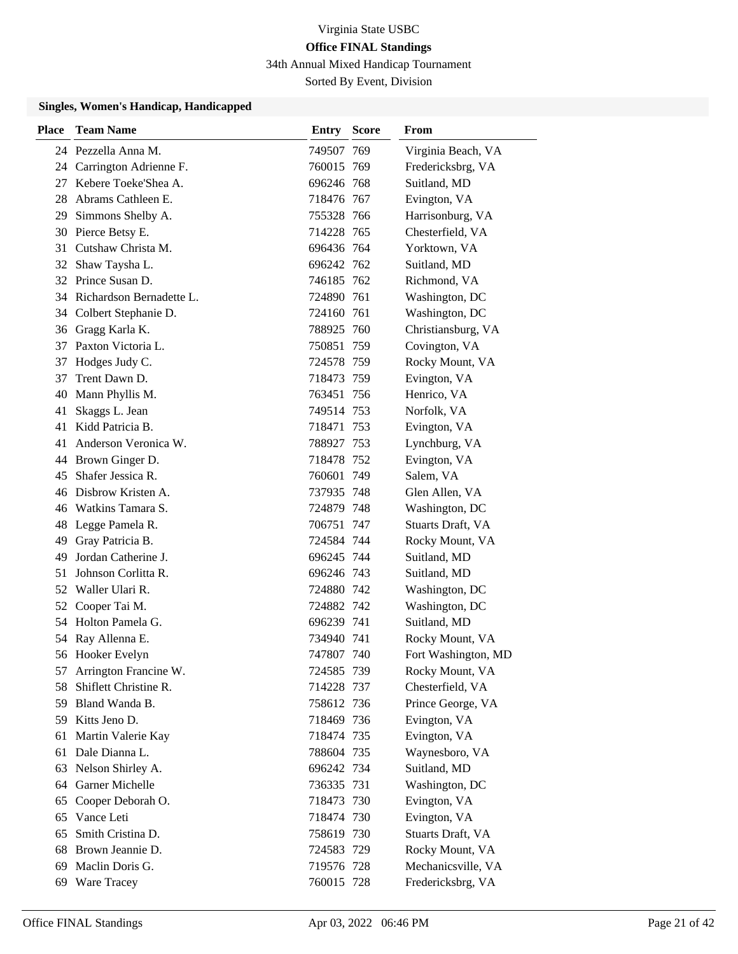34th Annual Mixed Handicap Tournament

Sorted By Event, Division

| <b>Place</b> | <b>Team Name</b>            | <b>Entry Score</b> | From                |
|--------------|-----------------------------|--------------------|---------------------|
|              | 24 Pezzella Anna M.         | 749507 769         | Virginia Beach, VA  |
| 24           | Carrington Adrienne F.      | 760015 769         | Fredericksbrg, VA   |
| 27           | Kebere Toeke'Shea A.        | 696246 768         | Suitland, MD        |
|              | 28 Abrams Cathleen E.       | 718476 767         | Evington, VA        |
| 29           | Simmons Shelby A.           | 755328 766         | Harrisonburg, VA    |
|              | 30 Pierce Betsy E.          | 714228 765         | Chesterfield, VA    |
| 31           | Cutshaw Christa M.          | 696436 764         | Yorktown, VA        |
|              | 32 Shaw Taysha L.           | 696242 762         | Suitland, MD        |
|              | 32 Prince Susan D.          | 746185 762         | Richmond, VA        |
|              | 34 Richardson Bernadette L. | 724890 761         | Washington, DC      |
| 34           | Colbert Stephanie D.        | 724160 761         | Washington, DC      |
|              | 36 Gragg Karla K.           | 788925 760         | Christiansburg, VA  |
| 37           | Paxton Victoria L.          | 750851 759         | Covington, VA       |
| 37           | Hodges Judy C.              | 724578 759         | Rocky Mount, VA     |
| 37           | Trent Dawn D.               | 718473 759         | Evington, VA        |
| 40           | Mann Phyllis M.             | 763451 756         | Henrico, VA         |
| 41           | Skaggs L. Jean              | 749514 753         | Norfolk, VA         |
| 41           | Kidd Patricia B.            | 718471 753         | Evington, VA        |
| 41           | Anderson Veronica W.        | 788927 753         | Lynchburg, VA       |
|              | 44 Brown Ginger D.          | 718478 752         | Evington, VA        |
| 45           | Shafer Jessica R.           | 760601 749         | Salem, VA           |
|              | 46 Disbrow Kristen A.       | 737935 748         | Glen Allen, VA      |
|              | 46 Watkins Tamara S.        | 724879 748         | Washington, DC      |
|              | 48 Legge Pamela R.          | 706751 747         | Stuarts Draft, VA   |
| 49           | Gray Patricia B.            | 724584 744         | Rocky Mount, VA     |
| 49           | Jordan Catherine J.         | 696245 744         | Suitland, MD        |
| 51           | Johnson Corlitta R.         | 696246 743         | Suitland, MD        |
|              | 52 Waller Ulari R.          | 724880 742         | Washington, DC      |
| 52           | Cooper Tai M.               | 724882 742         | Washington, DC      |
|              | 54 Holton Pamela G.         | 696239 741         | Suitland, MD        |
| 54           | Ray Allenna E.              | 734940 741         | Rocky Mount, VA     |
|              | 56 Hooker Evelyn            | 747807 740         | Fort Washington, MD |
| 57           | Arrington Francine W.       | 724585 739         | Rocky Mount, VA     |
| 58           | Shiflett Christine R.       | 714228 737         | Chesterfield, VA    |
| 59           | Bland Wanda B.              | 758612 736         | Prince George, VA   |
|              | 59 Kitts Jeno D.            | 718469 736         | Evington, VA        |
| 61           | Martin Valerie Kay          | 718474 735         | Evington, VA        |
| 61           | Dale Dianna L.              | 788604 735         | Waynesboro, VA      |
| 63           | Nelson Shirley A.           | 696242 734         | Suitland, MD        |
| 64           | Garner Michelle             | 736335 731         | Washington, DC      |
| 65           | Cooper Deborah O.           | 718473 730         | Evington, VA        |
| 65           | Vance Leti                  | 718474 730         | Evington, VA        |
| 65           | Smith Cristina D.           | 758619 730         | Stuarts Draft, VA   |
| 68           | Brown Jeannie D.            | 724583 729         | Rocky Mount, VA     |
| 69           | Maclin Doris G.             | 719576 728         | Mechanicsville, VA  |
| 69           | <b>Ware Tracey</b>          | 760015 728         | Fredericksbrg, VA   |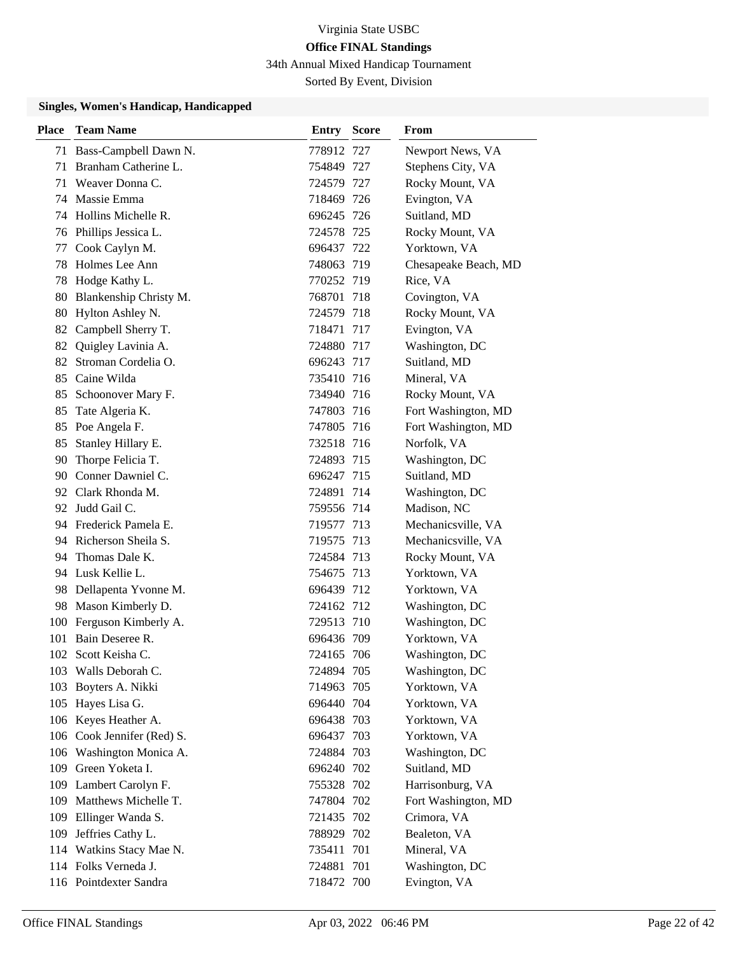34th Annual Mixed Handicap Tournament

Sorted By Event, Division

| <b>Place</b> | <b>Team Name</b>           | <b>Entry Score</b> | From                 |
|--------------|----------------------------|--------------------|----------------------|
|              | 71 Bass-Campbell Dawn N.   | 778912 727         | Newport News, VA     |
| 71           | Branham Catherine L.       | 754849 727         | Stephens City, VA    |
| 71           | Weaver Donna C.            | 724579 727         | Rocky Mount, VA      |
|              | 74 Massie Emma             | 718469 726         | Evington, VA         |
|              | 74 Hollins Michelle R.     | 696245 726         | Suitland, MD         |
| 76           | Phillips Jessica L.        | 724578 725         | Rocky Mount, VA      |
| 77           | Cook Caylyn M.             | 696437 722         | Yorktown, VA         |
| 78           | Holmes Lee Ann             | 748063 719         | Chesapeake Beach, MD |
| 78           | Hodge Kathy L.             | 770252 719         | Rice, VA             |
|              | 80 Blankenship Christy M.  | 768701 718         | Covington, VA        |
| 80           | Hylton Ashley N.           | 724579 718         | Rocky Mount, VA      |
|              | 82 Campbell Sherry T.      | 718471 717         | Evington, VA         |
| 82           | Quigley Lavinia A.         | 724880 717         | Washington, DC       |
| 82           | Stroman Cordelia O.        | 696243 717         | Suitland, MD         |
|              | 85 Caine Wilda             | 735410 716         | Mineral, VA          |
|              | 85 Schoonover Mary F.      | 734940 716         | Rocky Mount, VA      |
| 85           | Tate Algeria K.            | 747803 716         | Fort Washington, MD  |
| 85           | Poe Angela F.              | 747805 716         | Fort Washington, MD  |
| 85           | Stanley Hillary E.         | 732518 716         | Norfolk, VA          |
|              | 90 Thorpe Felicia T.       | 724893 715         | Washington, DC       |
|              | 90 Conner Dawniel C.       | 696247 715         | Suitland, MD         |
|              | 92 Clark Rhonda M.         | 724891 714         | Washington, DC       |
|              | 92 Judd Gail C.            | 759556 714         | Madison, NC          |
|              | 94 Frederick Pamela E.     | 719577 713         | Mechanicsville, VA   |
|              | 94 Richerson Sheila S.     | 719575 713         | Mechanicsville, VA   |
| 94           | Thomas Dale K.             | 724584 713         | Rocky Mount, VA      |
|              | 94 Lusk Kellie L.          | 754675 713         | Yorktown, VA         |
|              | 98 Dellapenta Yvonne M.    | 696439 712         | Yorktown, VA         |
|              | 98 Mason Kimberly D.       | 724162 712         | Washington, DC       |
|              | 100 Ferguson Kimberly A.   | 729513 710         | Washington, DC       |
| 101          | Bain Deseree R.            | 696436 709         | Yorktown, VA         |
|              | 102 Scott Keisha C.        | 724165 706         | Washington, DC       |
|              | 103 Walls Deborah C.       | 724894 705         | Washington, DC       |
|              | 103 Boyters A. Nikki       | 714963 705         | Yorktown, VA         |
|              | 105 Hayes Lisa G.          | 696440 704         | Yorktown, VA         |
|              | 106 Keyes Heather A.       | 696438 703         | Yorktown, VA         |
|              | 106 Cook Jennifer (Red) S. | 696437 703         | Yorktown, VA         |
|              | 106 Washington Monica A.   | 724884 703         | Washington, DC       |
|              | 109 Green Yoketa I.        | 696240 702         | Suitland, MD         |
|              | 109 Lambert Carolyn F.     | 755328 702         | Harrisonburg, VA     |
|              | 109 Matthews Michelle T.   | 747804 702         | Fort Washington, MD  |
|              | 109 Ellinger Wanda S.      | 721435 702         | Crimora, VA          |
|              | 109 Jeffries Cathy L.      | 788929 702         | Bealeton, VA         |
|              | 114 Watkins Stacy Mae N.   | 735411 701         | Mineral, VA          |
|              | 114 Folks Verneda J.       | 724881 701         | Washington, DC       |
|              | 116 Pointdexter Sandra     | 718472 700         | Evington, VA         |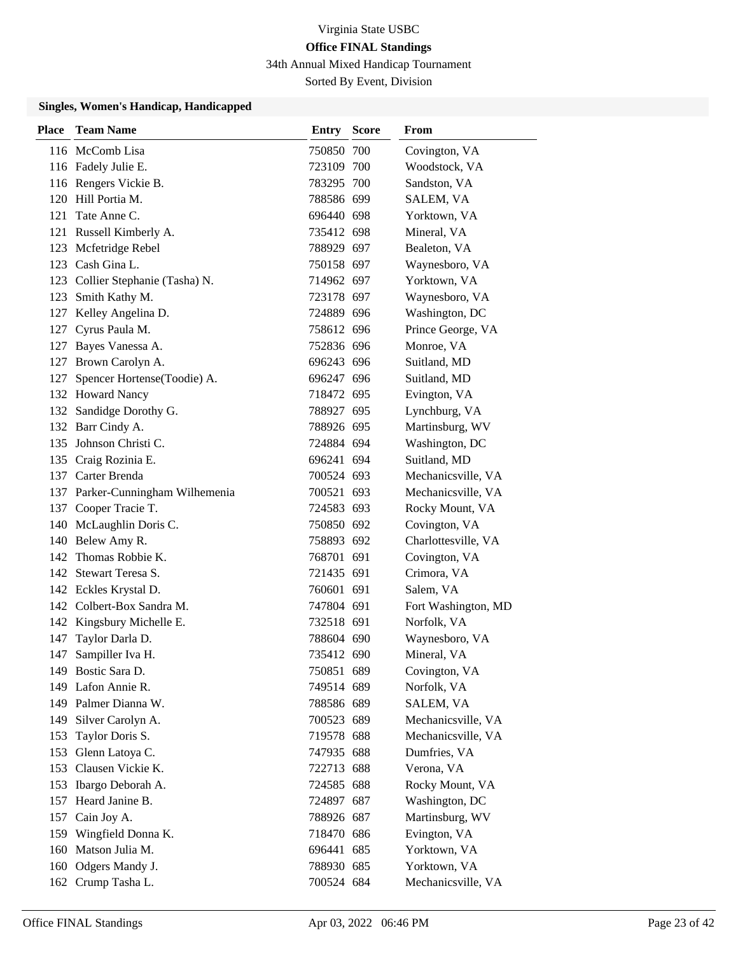34th Annual Mixed Handicap Tournament

Sorted By Event, Division

| Place | <b>Team Name</b>                 | <b>Entry Score</b> | From                |
|-------|----------------------------------|--------------------|---------------------|
|       | 116 McComb Lisa                  | 750850 700         | Covington, VA       |
|       | 116 Fadely Julie E.              | 723109 700         | Woodstock, VA       |
|       | 116 Rengers Vickie B.            | 783295 700         | Sandston, VA        |
|       | 120 Hill Portia M.               | 788586 699         | SALEM, VA           |
| 121   | Tate Anne C.                     | 696440 698         | Yorktown, VA        |
|       | 121 Russell Kimberly A.          | 735412 698         | Mineral, VA         |
|       | 123 Mcfetridge Rebel             | 788929 697         | Bealeton, VA        |
|       | 123 Cash Gina L.                 | 750158 697         | Waynesboro, VA      |
|       | 123 Collier Stephanie (Tasha) N. | 714962 697         | Yorktown, VA        |
|       | 123 Smith Kathy M.               | 723178 697         | Waynesboro, VA      |
|       | 127 Kelley Angelina D.           | 724889 696         | Washington, DC      |
|       | 127 Cyrus Paula M.               | 758612 696         | Prince George, VA   |
|       | 127 Bayes Vanessa A.             | 752836 696         | Monroe, VA          |
|       | 127 Brown Carolyn A.             | 696243 696         | Suitland, MD        |
|       | 127 Spencer Hortense(Toodie) A.  | 696247 696         | Suitland, MD        |
|       | 132 Howard Nancy                 | 718472 695         | Evington, VA        |
|       | 132 Sandidge Dorothy G.          | 788927 695         | Lynchburg, VA       |
|       | 132 Barr Cindy A.                | 788926 695         | Martinsburg, WV     |
|       | 135 Johnson Christi C.           | 724884 694         | Washington, DC      |
|       | 135 Craig Rozinia E.             | 696241 694         | Suitland, MD        |
|       | 137 Carter Brenda                | 700524 693         | Mechanicsville, VA  |
|       | 137 Parker-Cunningham Wilhemenia | 700521 693         | Mechanicsville, VA  |
|       | 137 Cooper Tracie T.             | 724583 693         | Rocky Mount, VA     |
|       | 140 McLaughlin Doris C.          | 750850 692         | Covington, VA       |
|       | 140 Belew Amy R.                 | 758893 692         | Charlottesville, VA |
| 142   | Thomas Robbie K.                 | 768701 691         | Covington, VA       |
|       | 142 Stewart Teresa S.            | 721435 691         | Crimora, VA         |
|       | 142 Eckles Krystal D.            | 760601 691         | Salem, VA           |
|       | 142 Colbert-Box Sandra M.        | 747804 691         | Fort Washington, MD |
|       | 142 Kingsbury Michelle E.        | 732518 691         | Norfolk, VA         |
| 147   | Taylor Darla D.                  | 788604 690         | Waynesboro, VA      |
| 147   | Sampiller Iva H.                 | 735412 690         | Mineral, VA         |
|       | 149 Bostic Sara D.               | 750851 689         | Covington, VA       |
|       | 149 Lafon Annie R.               | 749514 689         | Norfolk, VA         |
|       | 149 Palmer Dianna W.             | 788586 689         | SALEM, VA           |
|       | 149 Silver Carolyn A.            | 700523 689         | Mechanicsville, VA  |
| 153   | Taylor Doris S.                  | 719578 688         | Mechanicsville, VA  |
| 153   | Glenn Latoya C.                  | 747935 688         | Dumfries, VA        |
|       | 153 Clausen Vickie K.            | 722713 688         | Verona, VA          |
|       | 153 Ibargo Deborah A.            | 724585 688         | Rocky Mount, VA     |
| 157   | Heard Janine B.                  | 724897 687         | Washington, DC      |
| 157   | Cain Joy A.                      | 788926 687         | Martinsburg, WV     |
|       | 159 Wingfield Donna K.           | 718470 686         | Evington, VA        |
| 160   | Matson Julia M.                  | 696441 685         | Yorktown, VA        |
| 160   | Odgers Mandy J.                  | 788930 685         | Yorktown, VA        |
|       | 162 Crump Tasha L.               | 700524 684         | Mechanicsville, VA  |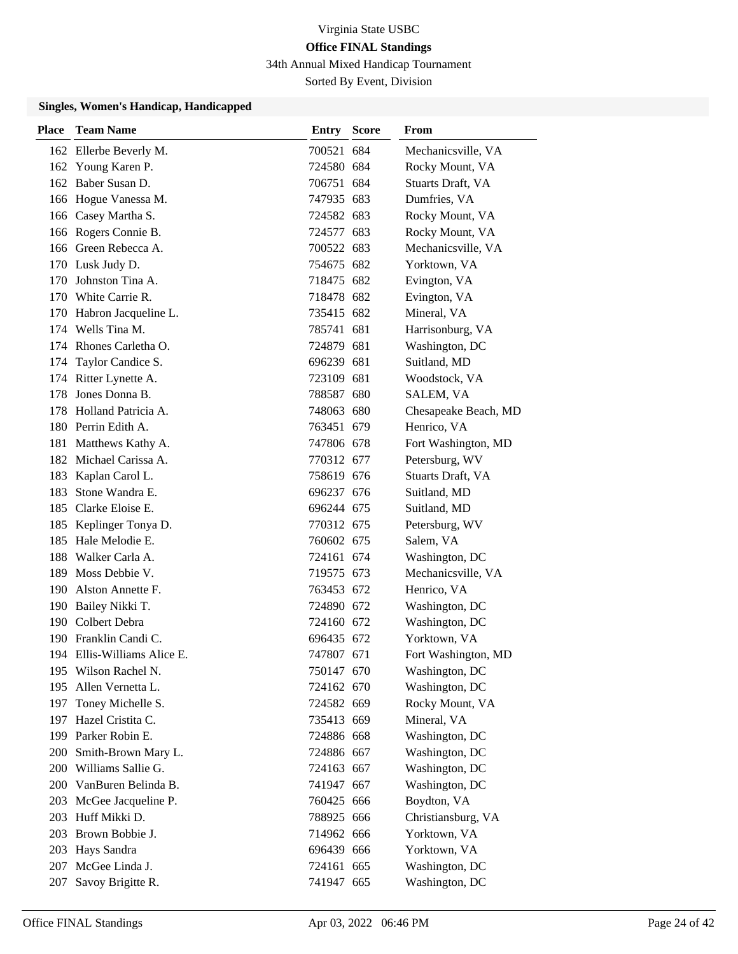34th Annual Mixed Handicap Tournament

Sorted By Event, Division

| Place | <b>Team Name</b>            | <b>Entry Score</b> | From                 |
|-------|-----------------------------|--------------------|----------------------|
|       | 162 Ellerbe Beverly M.      | 700521 684         | Mechanicsville, VA   |
|       | 162 Young Karen P.          | 724580 684         | Rocky Mount, VA      |
|       | 162 Baber Susan D.          | 706751 684         | Stuarts Draft, VA    |
|       | 166 Hogue Vanessa M.        | 747935 683         | Dumfries, VA         |
|       | 166 Casey Martha S.         | 724582 683         | Rocky Mount, VA      |
|       | 166 Rogers Connie B.        | 724577 683         | Rocky Mount, VA      |
|       | 166 Green Rebecca A.        | 700522 683         | Mechanicsville, VA   |
|       | 170 Lusk Judy D.            | 754675 682         | Yorktown, VA         |
| 170   | Johnston Tina A.            | 718475 682         | Evington, VA         |
|       | 170 White Carrie R.         | 718478 682         | Evington, VA         |
|       | 170 Habron Jacqueline L.    | 735415 682         | Mineral, VA          |
|       | 174 Wells Tina M.           | 785741 681         | Harrisonburg, VA     |
|       | 174 Rhones Carletha O.      | 724879 681         | Washington, DC       |
| 174   | Taylor Candice S.           | 696239 681         | Suitland, MD         |
|       | 174 Ritter Lynette A.       | 723109 681         | Woodstock, VA        |
| 178   | Jones Donna B.              | 788587 680         | SALEM, VA            |
| 178   | Holland Patricia A.         | 748063 680         | Chesapeake Beach, MD |
|       | 180 Perrin Edith A.         | 763451 679         | Henrico, VA          |
|       | 181 Matthews Kathy A.       | 747806 678         | Fort Washington, MD  |
|       | 182 Michael Carissa A.      | 770312 677         | Petersburg, WV       |
|       | 183 Kaplan Carol L.         | 758619 676         | Stuarts Draft, VA    |
| 183   | Stone Wandra E.             | 696237 676         | Suitland, MD         |
|       | 185 Clarke Eloise E.        | 696244 675         | Suitland, MD         |
| 185   | Keplinger Tonya D.          | 770312 675         | Petersburg, WV       |
|       | 185 Hale Melodie E.         | 760602 675         | Salem, VA            |
|       | 188 Walker Carla A.         | 724161 674         | Washington, DC       |
| 189   | Moss Debbie V.              | 719575 673         | Mechanicsville, VA   |
| 190   | Alston Annette F.           | 763453 672         | Henrico, VA          |
|       | 190 Bailey Nikki T.         | 724890 672         | Washington, DC       |
|       | 190 Colbert Debra           | 724160 672         | Washington, DC       |
|       | 190 Franklin Candi C.       | 696435 672         | Yorktown, VA         |
|       | 194 Ellis-Williams Alice E. | 747807 671         | Fort Washington, MD  |
|       | 195 Wilson Rachel N.        | 750147 670         | Washington, DC       |
| 195   | Allen Vernetta L.           | 724162 670         | Washington, DC       |
| 197   | Toney Michelle S.           | 724582 669         | Rocky Mount, VA      |
|       | 197 Hazel Cristita C.       | 735413 669         | Mineral, VA          |
|       | 199 Parker Robin E.         | 724886 668         | Washington, DC       |
| 200   | Smith-Brown Mary L.         | 724886 667         | Washington, DC       |
| 200   | Williams Sallie G.          | 724163 667         | Washington, DC       |
|       | 200 VanBuren Belinda B.     | 741947 667         | Washington, DC       |
|       | 203 McGee Jacqueline P.     | 760425 666         | Boydton, VA          |
| 203   | Huff Mikki D.               | 788925 666         | Christiansburg, VA   |
| 203   | Brown Bobbie J.             | 714962 666         | Yorktown, VA         |
| 203   | Hays Sandra                 | 696439 666         | Yorktown, VA         |
| 207   | McGee Linda J.              | 724161 665         | Washington, DC       |
| 207   | Savoy Brigitte R.           | 741947 665         | Washington, DC       |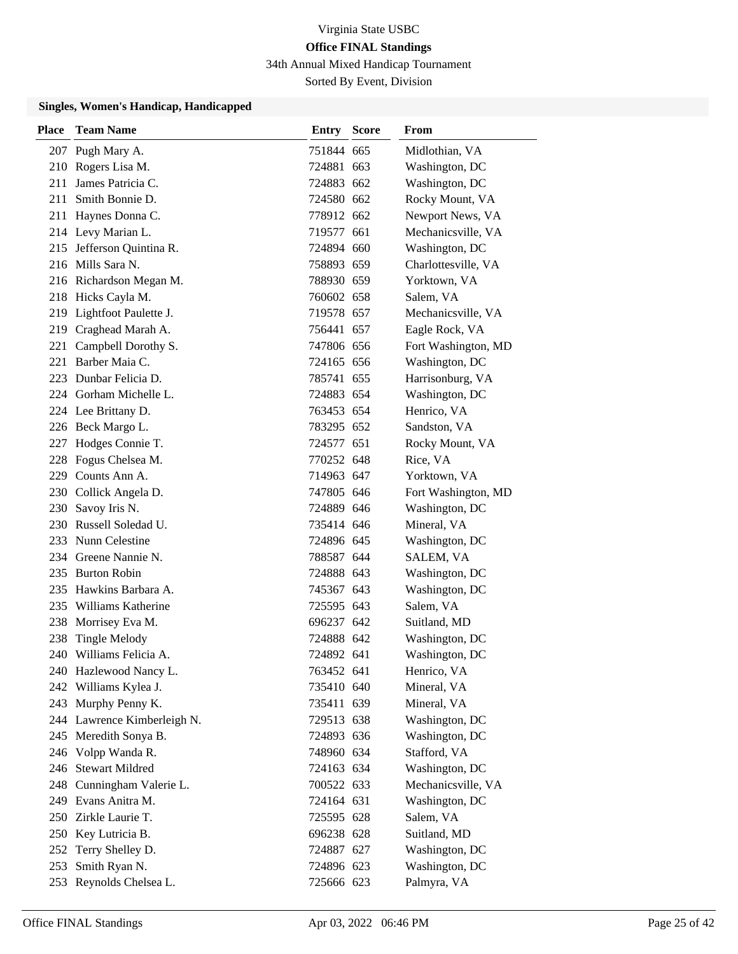34th Annual Mixed Handicap Tournament

Sorted By Event, Division

| Place | <b>Team Name</b>            | <b>Entry Score</b> | From                |
|-------|-----------------------------|--------------------|---------------------|
|       | 207 Pugh Mary A.            | 751844 665         | Midlothian, VA      |
|       | 210 Rogers Lisa M.          | 724881 663         | Washington, DC      |
|       | 211 James Patricia C.       | 724883 662         | Washington, DC      |
|       | 211 Smith Bonnie D.         | 724580 662         | Rocky Mount, VA     |
|       | 211 Haynes Donna C.         | 778912 662         | Newport News, VA    |
|       | 214 Levy Marian L.          | 719577 661         | Mechanicsville, VA  |
|       | 215 Jefferson Quintina R.   | 724894 660         | Washington, DC      |
|       | 216 Mills Sara N.           | 758893 659         | Charlottesville, VA |
|       | 216 Richardson Megan M.     | 788930 659         | Yorktown, VA        |
|       | 218 Hicks Cayla M.          | 760602 658         | Salem, VA           |
|       | 219 Lightfoot Paulette J.   | 719578 657         | Mechanicsville, VA  |
|       | 219 Craghead Marah A.       | 756441 657         | Eagle Rock, VA      |
|       | 221 Campbell Dorothy S.     | 747806 656         | Fort Washington, MD |
|       | 221 Barber Maia C.          | 724165 656         | Washington, DC      |
|       | 223 Dunbar Felicia D.       | 785741 655         | Harrisonburg, VA    |
|       | 224 Gorham Michelle L.      | 724883 654         | Washington, DC      |
|       | 224 Lee Brittany D.         | 763453 654         | Henrico, VA         |
|       | 226 Beck Margo L.           | 783295 652         | Sandston, VA        |
|       | 227 Hodges Connie T.        | 724577 651         | Rocky Mount, VA     |
|       | 228 Fogus Chelsea M.        | 770252 648         | Rice, VA            |
|       | 229 Counts Ann A.           | 714963 647         | Yorktown, VA        |
|       | 230 Collick Angela D.       | 747805 646         | Fort Washington, MD |
|       | 230 Savoy Iris N.           | 724889 646         | Washington, DC      |
|       | 230 Russell Soledad U.      | 735414 646         | Mineral, VA         |
|       | 233 Nunn Celestine          | 724896 645         | Washington, DC      |
|       | 234 Greene Nannie N.        | 788587 644         | SALEM, VA           |
|       | 235 Burton Robin            | 724888 643         | Washington, DC      |
|       | 235 Hawkins Barbara A.      | 745367 643         | Washington, DC      |
|       | 235 Williams Katherine      | 725595 643         | Salem, VA           |
|       | 238 Morrisey Eva M.         | 696237 642         | Suitland, MD        |
| 238   | <b>Tingle Melody</b>        | 724888 642         | Washington, DC      |
| 240   | Williams Felicia A.         | 724892 641         | Washington, DC      |
|       | 240 Hazlewood Nancy L.      | 763452 641         | Henrico, VA         |
|       | 242 Williams Kylea J.       | 735410 640         | Mineral, VA         |
|       | 243 Murphy Penny K.         | 735411 639         | Mineral, VA         |
|       | 244 Lawrence Kimberleigh N. | 729513 638         | Washington, DC      |
|       | 245 Meredith Sonya B.       | 724893 636         | Washington, DC      |
|       | 246 Volpp Wanda R.          | 748960 634         | Stafford, VA        |
| 246   | <b>Stewart Mildred</b>      | 724163 634         | Washington, DC      |
|       | 248 Cunningham Valerie L.   | 700522 633         | Mechanicsville, VA  |
|       | 249 Evans Anitra M.         | 724164 631         | Washington, DC      |
|       | 250 Zirkle Laurie T.        | 725595 628         | Salem, VA           |
|       | 250 Key Lutricia B.         | 696238 628         | Suitland, MD        |
|       | 252 Terry Shelley D.        | 724887 627         | Washington, DC      |
| 253   | Smith Ryan N.               | 724896 623         | Washington, DC      |
| 253   | Reynolds Chelsea L.         | 725666 623         | Palmyra, VA         |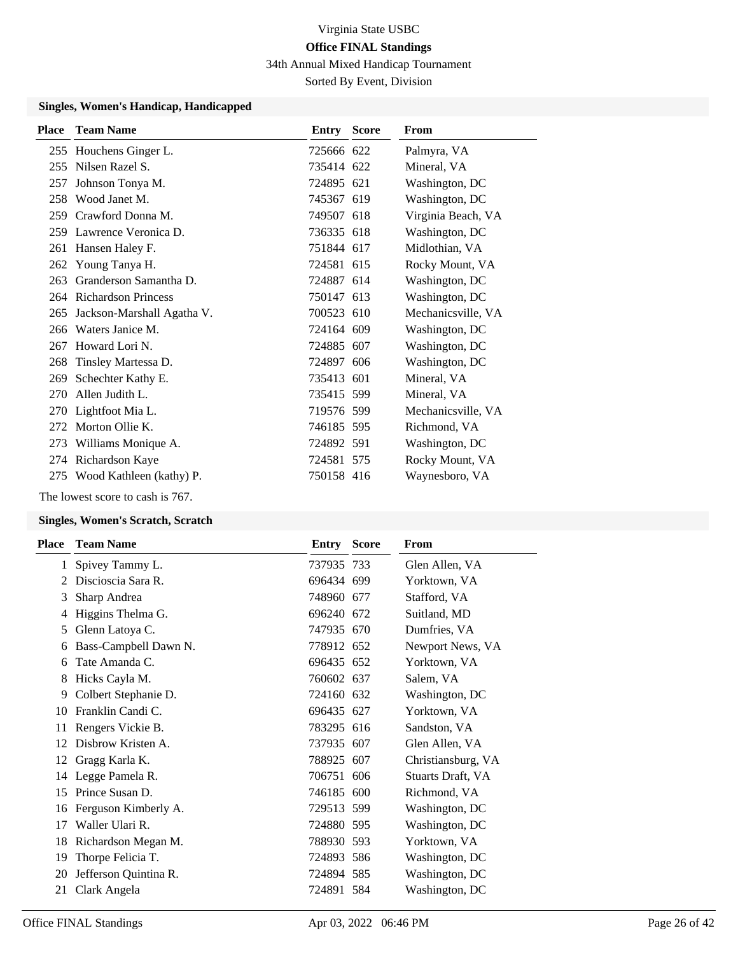34th Annual Mixed Handicap Tournament

Sorted By Event, Division

#### **Singles, Women's Handicap, Handicapped**

| <b>Place</b> | <b>Team Name</b>           | <b>Entry Score</b> | From               |
|--------------|----------------------------|--------------------|--------------------|
|              | 255 Houchens Ginger L.     | 725666 622         | Palmyra, VA        |
| 255          | Nilsen Razel S.            | 735414 622         | Mineral, VA        |
| 257          | Johnson Tonya M.           | 724895 621         | Washington, DC     |
| 258          | Wood Janet M.              | 745367 619         | Washington, DC     |
| 259          | Crawford Donna M.          | 749507 618         | Virginia Beach, VA |
| 259          | Lawrence Veronica D.       | 736335 618         | Washington, DC     |
| 261          | Hansen Haley F.            | 751844 617         | Midlothian, VA     |
|              | 262 Young Tanya H.         | 724581 615         | Rocky Mount, VA    |
| 263          | Granderson Samantha D.     | 724887 614         | Washington, DC     |
|              | 264 Richardson Princess    | 750147 613         | Washington, DC     |
| 265          | Jackson-Marshall Agatha V. | 700523 610         | Mechanicsville, VA |
| 266          | Waters Janice M.           | 724164 609         | Washington, DC     |
| 267          | Howard Lori N.             | 724885 607         | Washington, DC     |
| 268          | Tinsley Martessa D.        | 724897 606         | Washington, DC     |
| 269          | Schechter Kathy E.         | 735413 601         | Mineral, VA        |
| 270          | Allen Judith L.            | 735415 599         | Mineral, VA        |
| 270          | Lightfoot Mia L.           | 719576 599         | Mechanicsville, VA |
| 272          | Morton Ollie K.            | 746185 595         | Richmond, VA       |
| 273          | Williams Monique A.        | 724892 591         | Washington, DC     |
| 274          | Richardson Kaye            | 724581 575         | Rocky Mount, VA    |
| 275          | Wood Kathleen (kathy) P.   | 750158 416         | Waynesboro, VA     |

The lowest score to cash is 767.

#### **Singles, Women's Scratch, Scratch**

| Place | <b>Team Name</b>      | Entry      | <b>Score</b> | From               |
|-------|-----------------------|------------|--------------|--------------------|
| 1     | Spivey Tammy L.       | 737935 733 |              | Glen Allen, VA     |
|       | Discioscia Sara R.    | 696434 699 |              | Yorktown, VA       |
| 3     | Sharp Andrea          | 748960 677 |              | Stafford, VA       |
| 4     | Higgins Thelma G.     | 696240 672 |              | Suitland, MD       |
| 5     | Glenn Latoya C.       | 747935 670 |              | Dumfries, VA       |
| 6     | Bass-Campbell Dawn N. | 778912 652 |              | Newport News, VA   |
| 6     | Tate Amanda C.        | 696435 652 |              | Yorktown, VA       |
| 8     | Hicks Cayla M.        | 760602 637 |              | Salem, VA          |
| 9     | Colbert Stephanie D.  | 724160 632 |              | Washington, DC     |
| 10    | Franklin Candi C.     | 696435 627 |              | Yorktown, VA       |
| 11    | Rengers Vickie B.     | 783295 616 |              | Sandston, VA       |
| 12    | Disbrow Kristen A.    | 737935 607 |              | Glen Allen, VA     |
| 12    | Gragg Karla K.        | 788925 607 |              | Christiansburg, VA |
| 14    | Legge Pamela R.       | 706751 606 |              | Stuarts Draft, VA  |
| 15    | Prince Susan D.       | 746185 600 |              | Richmond, VA       |
| 16    | Ferguson Kimberly A.  | 729513 599 |              | Washington, DC     |
| 17    | Waller Ulari R.       | 724880 595 |              | Washington, DC     |
| 18    | Richardson Megan M.   | 788930 593 |              | Yorktown, VA       |
| 19    | Thorpe Felicia T.     | 724893 586 |              | Washington, DC     |
| 20    | Jefferson Quintina R. | 724894 585 |              | Washington, DC     |
| 21    | Clark Angela          | 724891 584 |              | Washington, DC     |
|       |                       |            |              |                    |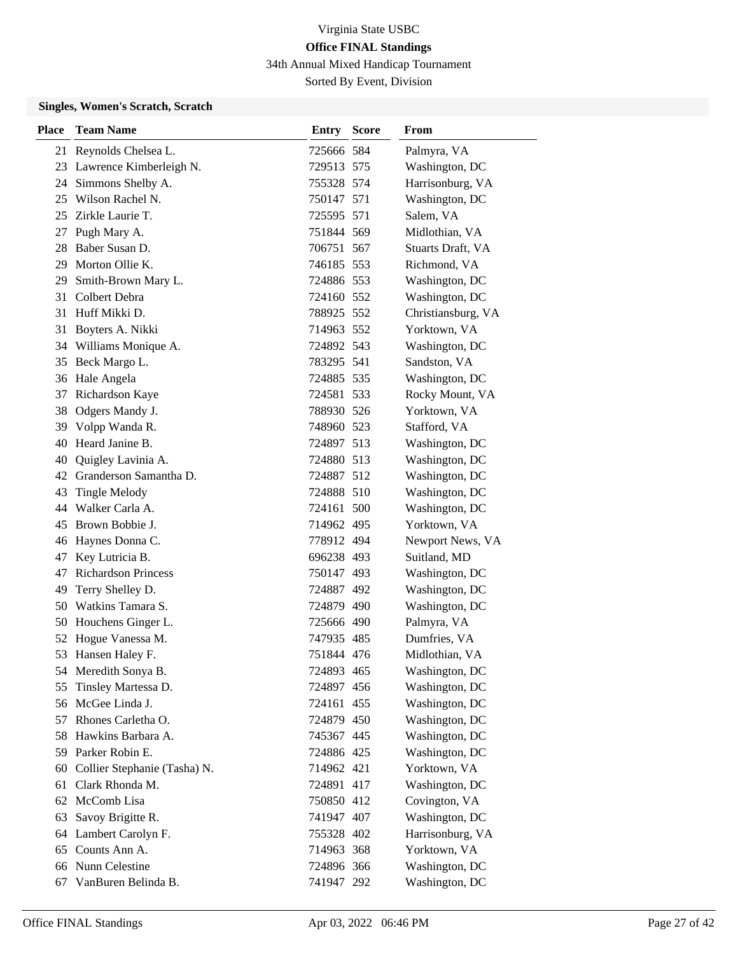34th Annual Mixed Handicap Tournament

Sorted By Event, Division

### **Singles, Women's Scratch, Scratch**

| Place | <b>Team Name</b>             | <b>Entry Score</b> | From               |
|-------|------------------------------|--------------------|--------------------|
|       | 21 Reynolds Chelsea L.       | 725666 584         | Palmyra, VA        |
|       | 23 Lawrence Kimberleigh N.   | 729513 575         | Washington, DC     |
| 24    | Simmons Shelby A.            | 755328 574         | Harrisonburg, VA   |
| 25    | Wilson Rachel N.             | 750147 571         | Washington, DC     |
| 25    | Zirkle Laurie T.             | 725595 571         | Salem, VA          |
| 27    | Pugh Mary A.                 | 751844 569         | Midlothian, VA     |
| 28    | Baber Susan D.               | 706751 567         | Stuarts Draft, VA  |
| 29    | Morton Ollie K.              | 746185 553         | Richmond, VA       |
| 29    | Smith-Brown Mary L.          | 724886 553         | Washington, DC     |
| 31    | Colbert Debra                | 724160 552         | Washington, DC     |
| 31    | Huff Mikki D.                | 788925 552         | Christiansburg, VA |
| 31    | Boyters A. Nikki             | 714963 552         | Yorktown, VA       |
| 34    | Williams Monique A.          | 724892 543         | Washington, DC     |
| 35    | Beck Margo L.                | 783295 541         | Sandston, VA       |
| 36    | Hale Angela                  | 724885 535         | Washington, DC     |
| 37    | Richardson Kaye              | 724581 533         | Rocky Mount, VA    |
| 38    | Odgers Mandy J.              | 788930 526         | Yorktown, VA       |
| 39    | Volpp Wanda R.               | 748960 523         | Stafford, VA       |
| 40    | Heard Janine B.              | 724897 513         | Washington, DC     |
| 40    | Quigley Lavinia A.           | 724880 513         | Washington, DC     |
| 42    | Granderson Samantha D.       | 724887 512         | Washington, DC     |
| 43    | <b>Tingle Melody</b>         | 724888 510         | Washington, DC     |
| 44    | Walker Carla A.              | 724161 500         | Washington, DC     |
| 45    | Brown Bobbie J.              | 714962 495         | Yorktown, VA       |
| 46    | Haynes Donna C.              | 778912 494         | Newport News, VA   |
| 47    | Key Lutricia B.              | 696238 493         | Suitland, MD       |
| 47    | <b>Richardson Princess</b>   | 750147 493         | Washington, DC     |
| 49    | Terry Shelley D.             | 724887 492         | Washington, DC     |
| 50    | Watkins Tamara S.            | 724879 490         | Washington, DC     |
| 50    | Houchens Ginger L.           | 725666 490         | Palmyra, VA        |
| 52    | Hogue Vanessa M.             | 747935 485         | Dumfries, VA       |
| 53    | Hansen Haley F.              | 751844 476         | Midlothian, VA     |
| 54    | Meredith Sonya B.            | 724893 465         | Washington, DC     |
| 55    | Tinsley Martessa D.          | 724897 456         | Washington, DC     |
| 56    | McGee Linda J.               | 724161 455         | Washington, DC     |
| 57    | Rhones Carletha O.           | 724879 450         | Washington, DC     |
| 58    | Hawkins Barbara A.           | 745367 445         | Washington, DC     |
| 59    | Parker Robin E.              | 724886 425         | Washington, DC     |
| 60    | Collier Stephanie (Tasha) N. | 714962 421         | Yorktown, VA       |
| 61    | Clark Rhonda M.              | 724891 417         | Washington, DC     |
| 62    | McComb Lisa                  | 750850 412         | Covington, VA      |
| 63    | Savoy Brigitte R.            | 741947 407         | Washington, DC     |
| 64    | Lambert Carolyn F.           | 755328 402         | Harrisonburg, VA   |
| 65    | Counts Ann A.                | 714963 368         | Yorktown, VA       |
| 66    | Nunn Celestine               | 724896 366         | Washington, DC     |
| 67    | VanBuren Belinda B.          | 741947 292         | Washington, DC     |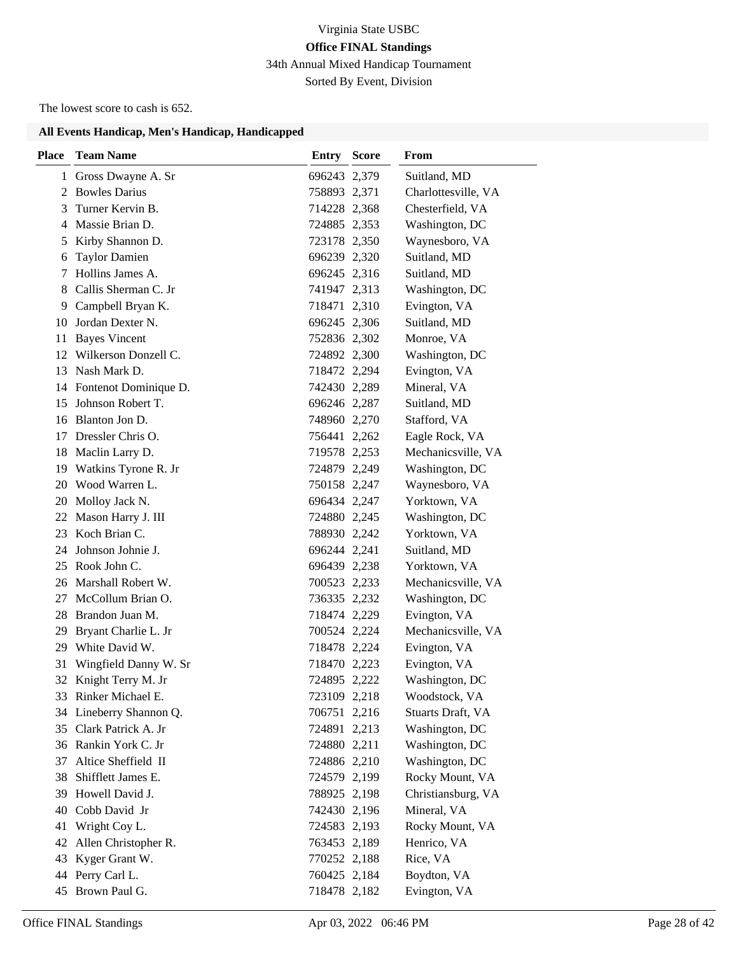34th Annual Mixed Handicap Tournament

Sorted By Event, Division

The lowest score to cash is 652.

| <b>Place</b> | <b>Team Name</b>         | <b>Entry Score</b> | From                |
|--------------|--------------------------|--------------------|---------------------|
|              | 1 Gross Dwayne A. Sr     | 696243 2,379       | Suitland, MD        |
|              | 2 Bowles Darius          | 758893 2,371       | Charlottesville, VA |
| 3            | Turner Kervin B.         | 714228 2,368       | Chesterfield, VA    |
|              | 4 Massie Brian D.        | 724885 2,353       | Washington, DC      |
| 5            | Kirby Shannon D.         | 723178 2,350       | Waynesboro, VA      |
| 6            | <b>Taylor Damien</b>     | 696239 2,320       | Suitland, MD        |
| 7            | Hollins James A.         | 696245 2,316       | Suitland, MD        |
| 8            | Callis Sherman C. Jr     | 741947 2,313       | Washington, DC      |
| 9            | Campbell Bryan K.        | 718471 2,310       | Evington, VA        |
| 10           | Jordan Dexter N.         | 696245 2,306       | Suitland, MD        |
| 11           | <b>Bayes Vincent</b>     | 752836 2,302       | Monroe, VA          |
|              | 12 Wilkerson Donzell C.  | 724892 2,300       | Washington, DC      |
| 13           | Nash Mark D.             | 718472 2,294       | Evington, VA        |
|              | 14 Fontenot Dominique D. | 742430 2,289       | Mineral, VA         |
| 15           | Johnson Robert T.        | 696246 2,287       | Suitland, MD        |
|              | 16 Blanton Jon D.        | 748960 2,270       | Stafford, VA        |
| 17           | Dressler Chris O.        | 756441 2,262       | Eagle Rock, VA      |
|              | 18 Maclin Larry D.       | 719578 2,253       | Mechanicsville, VA  |
|              | 19 Watkins Tyrone R. Jr  | 724879 2,249       | Washington, DC      |
|              | 20 Wood Warren L.        | 750158 2,247       | Waynesboro, VA      |
|              | 20 Molloy Jack N.        | 696434 2,247       | Yorktown, VA        |
|              | 22 Mason Harry J. III    | 724880 2,245       | Washington, DC      |
| 23           | Koch Brian C.            | 788930 2,242       | Yorktown, VA        |
| 24           | Johnson Johnie J.        | 696244 2,241       | Suitland, MD        |
| 25           | Rook John C.             | 696439 2,238       | Yorktown, VA        |
|              | 26 Marshall Robert W.    | 700523 2,233       | Mechanicsville, VA  |
|              | 27 McCollum Brian O.     | 736335 2,232       | Washington, DC      |
|              | 28 Brandon Juan M.       | 718474 2,229       | Evington, VA        |
| 29           | Bryant Charlie L. Jr     | 700524 2,224       | Mechanicsville, VA  |
| 29           | White David W.           | 718478 2,224       | Evington, VA        |
| 31           | Wingfield Danny W. Sr    | 718470 2,223       | Evington, VA        |
| 32           | Knight Terry M. Jr       | 724895 2,222       | Washington, DC      |
|              | 33 Rinker Michael E.     | 723109 2,218       | Woodstock, VA       |
|              | 34 Lineberry Shannon Q.  | 706751 2,216       | Stuarts Draft, VA   |
|              | 35 Clark Patrick A. Jr   | 724891 2,213       | Washington, DC      |
|              | 36 Rankin York C. Jr     | 724880 2,211       | Washington, DC      |
| 37           | Altice Sheffield II      | 724886 2,210       | Washington, DC      |
| 38           | Shifflett James E.       | 724579 2,199       | Rocky Mount, VA     |
| 39           | Howell David J.          | 788925 2,198       | Christiansburg, VA  |
| 40           | Cobb David Jr            | 742430 2,196       | Mineral, VA         |
| 41           | Wright Coy L.            | 724583 2,193       | Rocky Mount, VA     |
| 42           | Allen Christopher R.     | 763453 2,189       | Henrico, VA         |
| 43           | Kyger Grant W.           | 770252 2,188       | Rice, VA            |
| 44           | Perry Carl L.            | 760425 2,184       | Boydton, VA         |
| 45           | Brown Paul G.            | 718478 2,182       | Evington, VA        |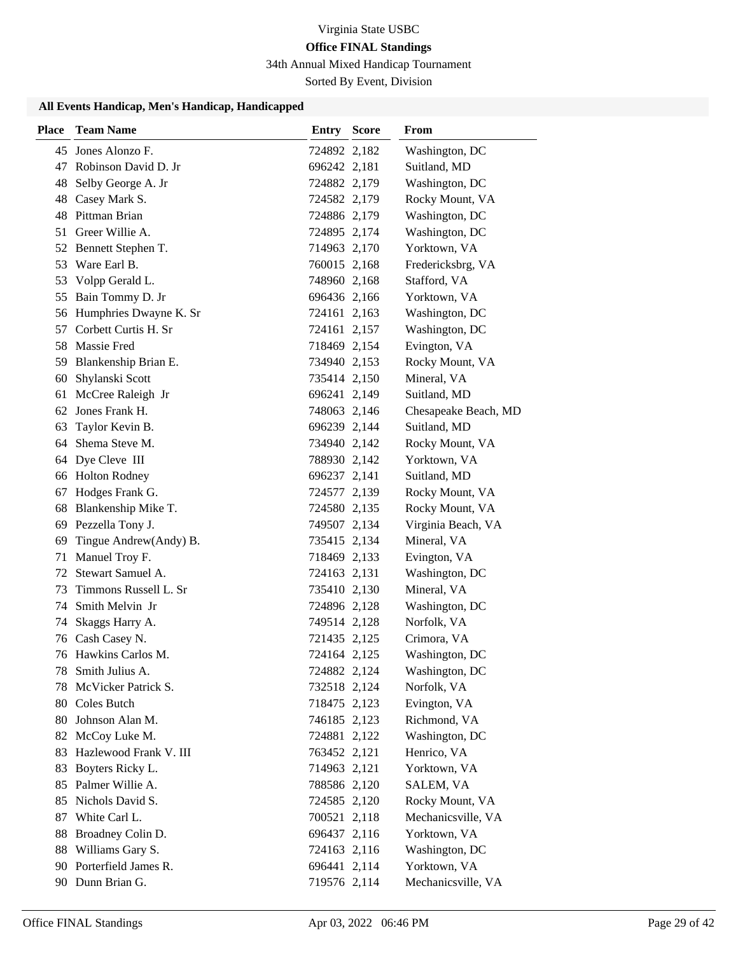34th Annual Mixed Handicap Tournament

Sorted By Event, Division

| <b>Place</b> | <b>Team Name</b>                        | <b>Entry Score</b>           | From                          |
|--------------|-----------------------------------------|------------------------------|-------------------------------|
|              | 45 Jones Alonzo F.                      | 724892 2,182                 | Washington, DC                |
|              | 47 Robinson David D. Jr                 | 696242 2,181                 | Suitland, MD                  |
| 48           | Selby George A. Jr                      | 724882 2,179                 | Washington, DC                |
| 48           | Casey Mark S.                           | 724582 2,179                 | Rocky Mount, VA               |
| 48           | Pittman Brian                           | 724886 2,179                 | Washington, DC                |
| 51           | Greer Willie A.                         | 724895 2,174                 | Washington, DC                |
|              | 52 Bennett Stephen T.                   | 714963 2,170                 | Yorktown, VA                  |
| 53           | Ware Earl B.                            | 760015 2,168                 | Fredericksbrg, VA             |
| 53           | Volpp Gerald L.                         | 748960 2,168                 | Stafford, VA                  |
|              | 55 Bain Tommy D. Jr                     | 696436 2,166                 | Yorktown, VA                  |
|              | 56 Humphries Dwayne K. Sr               | 724161 2,163                 | Washington, DC                |
| 57           | Corbett Curtis H. Sr                    | 724161 2,157                 | Washington, DC                |
|              | 58 Massie Fred                          | 718469 2,154                 | Evington, VA                  |
|              | 59 Blankenship Brian E.                 | 734940 2,153                 | Rocky Mount, VA               |
| 60           | Shylanski Scott                         | 735414 2,150                 | Mineral, VA                   |
| 61           | McCree Raleigh Jr                       | 696241 2,149                 | Suitland, MD                  |
| 62           | Jones Frank H.                          | 748063 2,146                 | Chesapeake Beach, MD          |
| 63           | Taylor Kevin B.                         | 696239 2,144                 | Suitland, MD                  |
|              | 64 Shema Steve M.                       | 734940 2,142                 | Rocky Mount, VA               |
|              | 64 Dye Cleve III                        | 788930 2,142                 | Yorktown, VA                  |
| 66           | <b>Holton Rodney</b>                    | 696237 2,141                 | Suitland, MD                  |
| 67           | Hodges Frank G.                         | 724577 2,139                 | Rocky Mount, VA               |
|              | 68 Blankenship Mike T.                  | 724580 2,135                 | Rocky Mount, VA               |
| 69           | Pezzella Tony J.                        | 749507 2,134                 | Virginia Beach, VA            |
| 69           | Tingue Andrew(Andy) B.                  | 735415 2,134                 | Mineral, VA                   |
| 71           | Manuel Troy F.                          | 718469 2,133                 | Evington, VA                  |
| 72           | Stewart Samuel A.                       | 724163 2,131                 | Washington, DC                |
| 73           | Timmons Russell L. Sr                   | 735410 2,130                 | Mineral, VA                   |
| 74           | Smith Melvin Jr                         | 724896 2,128                 | Washington, DC                |
| 74           | Skaggs Harry A.                         | 749514 2,128                 | Norfolk, VA                   |
|              | 76 Cash Casey N.                        | 721435 2,125                 | Crimora, VA                   |
|              | 76 Hawkins Carlos M.                    | 724164 2,125                 | Washington, DC                |
|              | 78 Smith Julius A.                      | 724882 2,124                 | Washington, DC                |
| 78           | McVicker Patrick S.                     | 732518 2,124                 | Norfolk, VA                   |
|              | 80 Coles Butch                          | 718475 2,123                 | Evington, VA                  |
| 80           | Johnson Alan M.                         | 746185 2,123                 | Richmond, VA                  |
| 82           | McCoy Luke M.<br>Hazlewood Frank V. III | 724881 2,122<br>763452 2,121 | Washington, DC<br>Henrico, VA |
| 83<br>83     | Boyters Ricky L.                        | 714963 2,121                 | Yorktown, VA                  |
| 85           | Palmer Willie A.                        |                              | SALEM, VA                     |
| 85           | Nichols David S.                        | 788586 2,120<br>724585 2,120 | Rocky Mount, VA               |
| 87           | White Carl L.                           | 700521 2,118                 | Mechanicsville, VA            |
| 88           | Broadney Colin D.                       | 696437 2,116                 | Yorktown, VA                  |
| 88           | Williams Gary S.                        | 724163 2,116                 | Washington, DC                |
| 90           | Porterfield James R.                    | 696441 2,114                 | Yorktown, VA                  |
|              | 90 Dunn Brian G.                        | 719576 2,114                 | Mechanicsville, VA            |
|              |                                         |                              |                               |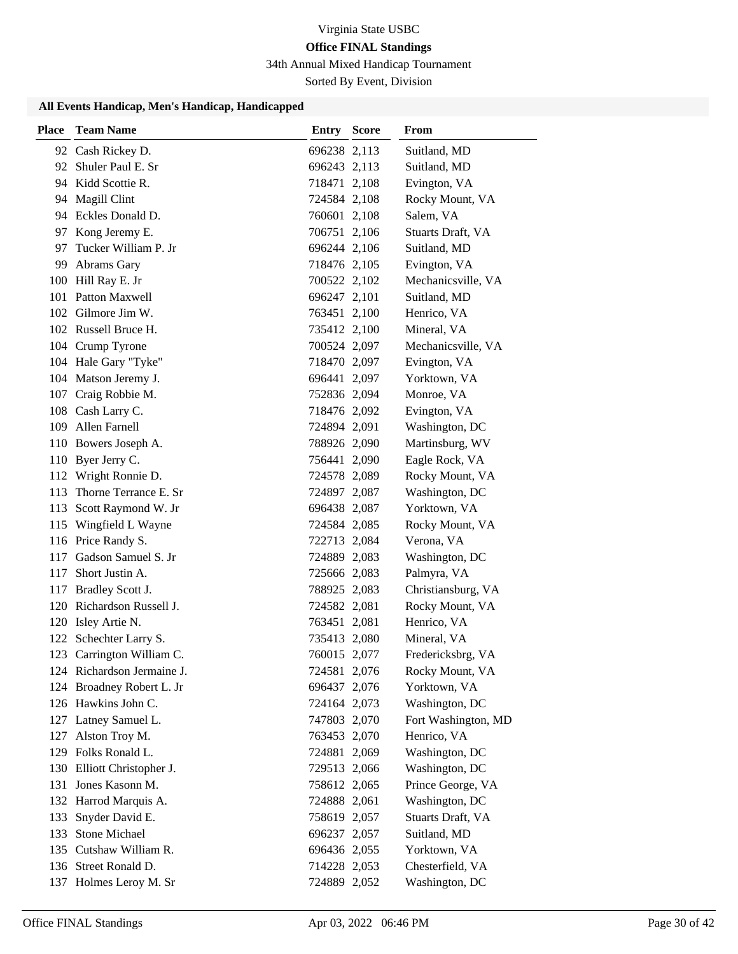### 34th Annual Mixed Handicap Tournament

Sorted By Event, Division

| <b>Place</b> | <b>Team Name</b>                                        | <b>Entry Score</b>           | <b>From</b>                     |
|--------------|---------------------------------------------------------|------------------------------|---------------------------------|
|              | 92 Cash Rickey D.                                       | 696238 2,113                 | Suitland, MD                    |
|              | 92 Shuler Paul E. Sr                                    | 696243 2,113                 | Suitland, MD                    |
|              | 94 Kidd Scottie R.                                      | 718471 2,108                 | Evington, VA                    |
|              | 94 Magill Clint                                         | 724584 2,108                 | Rocky Mount, VA                 |
|              | 94 Eckles Donald D.                                     | 760601 2,108                 | Salem, VA                       |
|              | 97 Kong Jeremy E.                                       | 706751 2,106                 | Stuarts Draft, VA               |
|              | 97 Tucker William P. Jr                                 | 696244 2,106                 | Suitland, MD                    |
| 99           | Abrams Gary                                             | 718476 2,105                 | Evington, VA                    |
|              | 100 Hill Ray E. Jr                                      | 700522 2,102                 | Mechanicsville, VA              |
| 101          | Patton Maxwell                                          | 696247 2,101                 | Suitland, MD                    |
|              | 102 Gilmore Jim W.                                      | 763451 2,100                 | Henrico, VA                     |
|              | 102 Russell Bruce H.                                    | 735412 2,100                 | Mineral, VA                     |
|              | 104 Crump Tyrone                                        | 700524 2,097                 | Mechanicsville, VA              |
|              | 104 Hale Gary "Tyke"                                    | 718470 2,097                 | Evington, VA                    |
|              | 104 Matson Jeremy J.                                    | 696441 2,097                 | Yorktown, VA                    |
|              | 107 Craig Robbie M.                                     | 752836 2,094                 | Monroe, VA                      |
|              | 108 Cash Larry C.                                       | 718476 2,092                 | Evington, VA                    |
|              | 109 Allen Farnell                                       | 724894 2,091                 | Washington, DC                  |
|              | 110 Bowers Joseph A.                                    | 788926 2,090                 | Martinsburg, WV                 |
|              | 110 Byer Jerry C.                                       | 756441 2,090                 | Eagle Rock, VA                  |
|              | 112 Wright Ronnie D.                                    | 724578 2,089                 | Rocky Mount, VA                 |
|              | 113 Thorne Terrance E. Sr                               | 724897 2,087                 | Washington, DC                  |
|              | 113 Scott Raymond W. Jr                                 | 696438 2,087                 | Yorktown, VA                    |
|              | 115 Wingfield L Wayne                                   | 724584 2,085                 | Rocky Mount, VA                 |
|              | 116 Price Randy S.                                      | 722713 2,084                 | Verona, VA                      |
|              | 117 Gadson Samuel S. Jr                                 | 724889 2,083                 | Washington, DC                  |
| 117          | Short Justin A.                                         | 725666 2,083                 | Palmyra, VA                     |
|              | 117 Bradley Scott J.                                    | 788925 2,083                 | Christiansburg, VA              |
|              | 120 Richardson Russell J.                               | 724582 2,081                 | Rocky Mount, VA                 |
|              | 120 Isley Artie N.                                      | 763451 2,081                 | Henrico, VA                     |
|              | 122 Schechter Larry S.                                  | 735413 2,080                 | Mineral, VA                     |
| 123          | Carrington William C.                                   | 760015 2,077                 | Fredericksbrg, VA               |
|              | 124 Richardson Jermaine J.<br>124 Broadney Robert L. Jr | 724581 2,076                 | Rocky Mount, VA<br>Yorktown, VA |
|              | 126 Hawkins John C.                                     | 696437 2,076<br>724164 2,073 | Washington, DC                  |
|              | 127 Latney Samuel L.                                    | 747803 2,070                 | Fort Washington, MD             |
| 127          | Alston Troy M.                                          | 763453 2,070                 | Henrico, VA                     |
|              | 129 Folks Ronald L.                                     | 724881 2,069                 | Washington, DC                  |
|              | 130 Elliott Christopher J.                              | 729513 2,066                 | Washington, DC                  |
| 131          | Jones Kasonn M.                                         | 758612 2,065                 | Prince George, VA               |
|              | 132 Harrod Marquis A.                                   | 724888 2,061                 | Washington, DC                  |
| 133          | Snyder David E.                                         | 758619 2,057                 | Stuarts Draft, VA               |
|              | 133 Stone Michael                                       | 696237 2,057                 | Suitland, MD                    |
|              | 135 Cutshaw William R.                                  | 696436 2,055                 | Yorktown, VA                    |
|              | 136 Street Ronald D.                                    | 714228 2,053                 | Chesterfield, VA                |
|              | 137 Holmes Leroy M. Sr                                  | 724889 2,052                 | Washington, DC                  |
|              |                                                         |                              |                                 |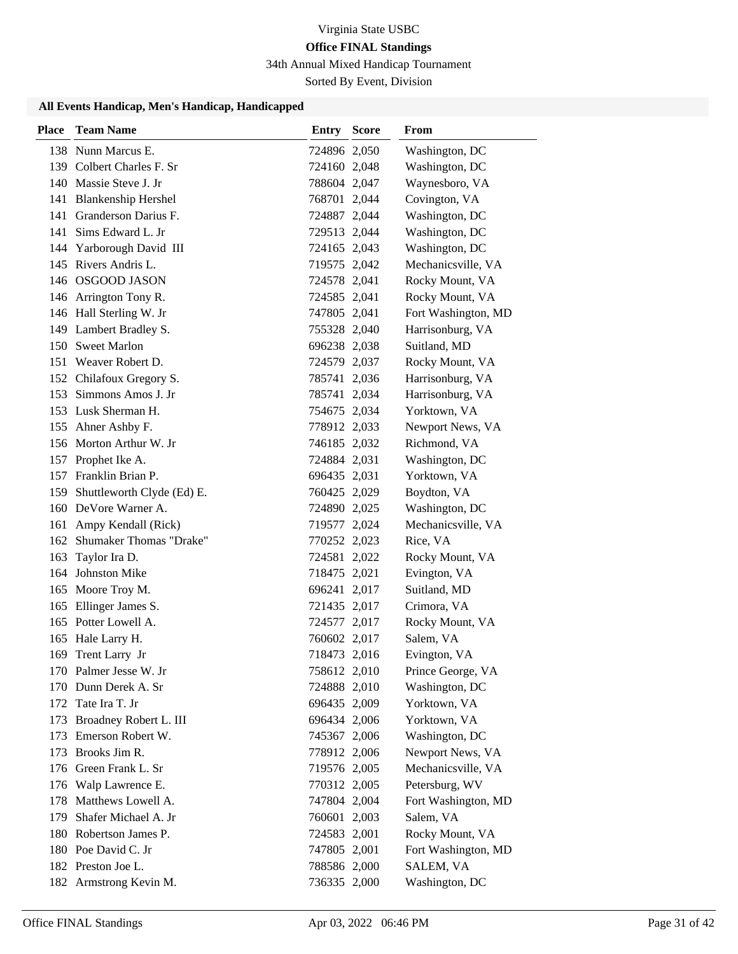34th Annual Mixed Handicap Tournament

Sorted By Event, Division

| <b>Place</b> | <b>Team Name</b>                       | <b>Entry Score</b> | From                                   |
|--------------|----------------------------------------|--------------------|----------------------------------------|
|              | 138 Nunn Marcus E.                     | 724896 2,050       | Washington, DC                         |
|              | 139 Colbert Charles F. Sr              | 724160 2,048       | Washington, DC                         |
|              | 140 Massie Steve J. Jr                 | 788604 2,047       | Waynesboro, VA                         |
|              | 141 Blankenship Hershel                | 768701 2,044       | Covington, VA                          |
|              | 141 Granderson Darius F.               | 724887 2,044       | Washington, DC                         |
|              | 141 Sims Edward L. Jr                  | 729513 2,044       | Washington, DC                         |
|              | 144 Yarborough David III               | 724165 2,043       | Washington, DC                         |
|              | 145 Rivers Andris L.                   | 719575 2,042       | Mechanicsville, VA                     |
|              | 146 OSGOOD JASON                       | 724578 2,041       | Rocky Mount, VA                        |
|              | 146 Arrington Tony R.                  | 724585 2,041       | Rocky Mount, VA                        |
|              | 146 Hall Sterling W. Jr                | 747805 2,041       | Fort Washington, MD                    |
|              | 149 Lambert Bradley S.                 | 755328 2,040       | Harrisonburg, VA                       |
|              | 150 Sweet Marlon                       | 696238 2,038       | Suitland, MD                           |
|              | 151 Weaver Robert D.                   | 724579 2,037       | Rocky Mount, VA                        |
|              | 152 Chilafoux Gregory S.               | 785741 2,036       | Harrisonburg, VA                       |
|              | 153 Simmons Amos J. Jr                 | 785741 2,034       | Harrisonburg, VA                       |
|              | 153 Lusk Sherman H.                    | 754675 2,034       | Yorktown, VA                           |
|              | 155 Ahner Ashby F.                     | 778912 2,033       | Newport News, VA                       |
|              | 156 Morton Arthur W. Jr                | 746185 2,032       | Richmond, VA                           |
|              | 157 Prophet Ike A.                     | 724884 2,031       | Washington, DC                         |
|              | 157 Franklin Brian P.                  | 696435 2,031       | Yorktown, VA                           |
|              | 159 Shuttleworth Clyde (Ed) E.         | 760425 2,029       | Boydton, VA                            |
|              | 160 DeVore Warner A.                   | 724890 2,025       | Washington, DC                         |
| 161          | Ampy Kendall (Rick)                    | 719577 2,024       | Mechanicsville, VA                     |
|              | 162 Shumaker Thomas "Drake"            | 770252 2,023       | Rice, VA                               |
| 163          | Taylor Ira D.                          | 724581 2,022       | Rocky Mount, VA                        |
|              | 164 Johnston Mike                      | 718475 2,021       | Evington, VA                           |
|              | 165 Moore Troy M.                      | 696241 2,017       | Suitland, MD                           |
|              | 165 Ellinger James S.                  | 721435 2,017       | Crimora, VA                            |
|              | 165 Potter Lowell A.                   | 724577 2,017       | Rocky Mount, VA                        |
|              | 165 Hale Larry H.                      | 760602 2,017       | Salem, VA                              |
| 169          | Trent Larry Jr                         | 718473 2,016       | Evington, VA                           |
|              | 170 Palmer Jesse W. Jr                 | 758612 2,010       | Prince George, VA                      |
|              | 170 Dunn Derek A. Sr                   | 724888 2,010       | Washington, DC                         |
|              | 172 Tate Ira T. Jr                     | 696435 2,009       | Yorktown, VA                           |
|              | 173 Broadney Robert L. III             | 696434 2,006       | Yorktown, VA                           |
|              | 173 Emerson Robert W.<br>Brooks Jim R. | 745367 2,006       | Washington, DC                         |
| 173          |                                        | 778912 2,006       | Newport News, VA<br>Mechanicsville, VA |
|              | 176 Green Frank L. Sr                  | 719576 2,005       |                                        |
|              | 176 Walp Lawrence E.                   | 770312 2,005       | Petersburg, WV                         |
|              | 178 Matthews Lowell A.                 | 747804 2,004       | Fort Washington, MD                    |
|              | 179 Shafer Michael A. Jr               | 760601 2,003       | Salem, VA                              |
|              | 180 Robertson James P.                 | 724583 2,001       | Rocky Mount, VA                        |
|              | 180 Poe David C. Jr                    | 747805 2,001       | Fort Washington, MD                    |
|              | 182 Preston Joe L.                     | 788586 2,000       | SALEM, VA                              |
|              | 182 Armstrong Kevin M.                 | 736335 2,000       | Washington, DC                         |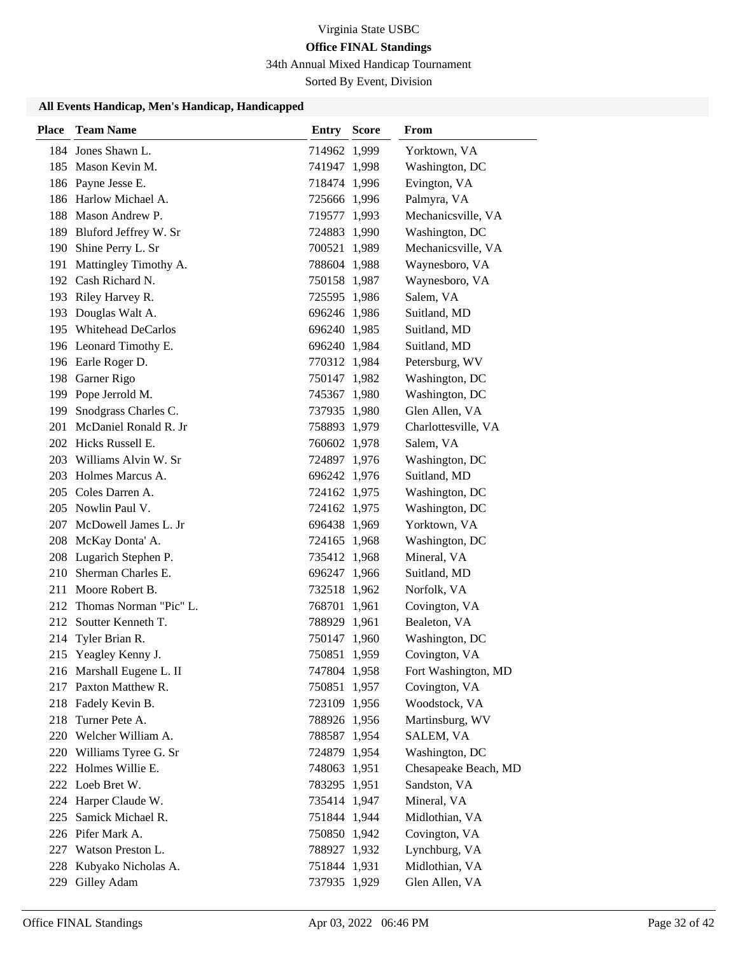34th Annual Mixed Handicap Tournament

Sorted By Event, Division

| <b>Place</b> | <b>Team Name</b>           | Entry        | <b>Score</b> | <b>From</b>          |
|--------------|----------------------------|--------------|--------------|----------------------|
|              | 184 Jones Shawn L.         | 714962 1,999 |              | Yorktown, VA         |
|              | 185 Mason Kevin M.         | 741947 1,998 |              | Washington, DC       |
|              | 186 Payne Jesse E.         | 718474 1,996 |              | Evington, VA         |
|              | 186 Harlow Michael A.      | 725666 1,996 |              | Palmyra, VA          |
|              | 188 Mason Andrew P.        | 719577 1,993 |              | Mechanicsville, VA   |
|              | 189 Bluford Jeffrey W. Sr  | 724883 1,990 |              | Washington, DC       |
|              | 190 Shine Perry L. Sr      | 700521 1,989 |              | Mechanicsville, VA   |
| 191          | Mattingley Timothy A.      | 788604 1,988 |              | Waynesboro, VA       |
|              | 192 Cash Richard N.        | 750158 1,987 |              | Waynesboro, VA       |
|              | 193 Riley Harvey R.        | 725595 1,986 |              | Salem, VA            |
|              | 193 Douglas Walt A.        | 696246 1,986 |              | Suitland, MD         |
|              | 195 Whitehead DeCarlos     | 696240 1,985 |              | Suitland, MD         |
|              | 196 Leonard Timothy E.     | 696240 1,984 |              | Suitland, MD         |
|              | 196 Earle Roger D.         | 770312 1,984 |              | Petersburg, WV       |
|              | 198 Garner Rigo            | 750147 1,982 |              | Washington, DC       |
|              | 199 Pope Jerrold M.        | 745367 1,980 |              | Washington, DC       |
| 199          | Snodgrass Charles C.       | 737935 1,980 |              | Glen Allen, VA       |
| 201          | McDaniel Ronald R. Jr      | 758893 1,979 |              | Charlottesville, VA  |
|              | 202 Hicks Russell E.       | 760602 1,978 |              | Salem, VA            |
|              | 203 Williams Alvin W. Sr   | 724897 1,976 |              | Washington, DC       |
|              | 203 Holmes Marcus A.       | 696242 1,976 |              | Suitland, MD         |
|              | 205 Coles Darren A.        | 724162 1,975 |              | Washington, DC       |
|              | 205 Nowlin Paul V.         | 724162 1,975 |              | Washington, DC       |
|              | 207 McDowell James L. Jr   | 696438 1,969 |              | Yorktown, VA         |
|              | 208 McKay Donta' A.        | 724165 1,968 |              | Washington, DC       |
|              | 208 Lugarich Stephen P.    | 735412 1,968 |              | Mineral, VA          |
| 210          | Sherman Charles E.         | 696247 1,966 |              | Suitland, MD         |
|              | 211 Moore Robert B.        | 732518 1,962 |              | Norfolk, VA          |
|              | 212 Thomas Norman "Pic" L. | 768701 1,961 |              | Covington, VA        |
|              | 212 Soutter Kenneth T.     | 788929 1,961 |              | Bealeton, VA         |
|              | 214 Tyler Brian R.         | 750147 1,960 |              | Washington, DC       |
|              | 215 Yeagley Kenny J.       | 750851 1,959 |              | Covington, VA        |
|              | 216 Marshall Eugene L. II  | 747804 1,958 |              | Fort Washington, MD  |
|              | 217 Paxton Matthew R.      | 750851 1,957 |              | Covington, VA        |
|              | 218 Fadely Kevin B.        | 723109 1,956 |              | Woodstock, VA        |
|              | 218 Turner Pete A.         | 788926 1,956 |              | Martinsburg, WV      |
|              | 220 Welcher William A.     | 788587 1,954 |              | SALEM, VA            |
|              | 220 Williams Tyree G. Sr   | 724879 1,954 |              | Washington, DC       |
|              | 222 Holmes Willie E.       | 748063 1,951 |              | Chesapeake Beach, MD |
|              | 222 Loeb Bret W.           | 783295 1,951 |              | Sandston, VA         |
|              | 224 Harper Claude W.       | 735414 1,947 |              | Mineral, VA          |
| 225          | Samick Michael R.          | 751844 1,944 |              | Midlothian, VA       |
|              | 226 Pifer Mark A.          | 750850 1,942 |              | Covington, VA        |
|              | 227 Watson Preston L.      | 788927 1,932 |              | Lynchburg, VA        |
|              | 228 Kubyako Nicholas A.    | 751844 1,931 |              | Midlothian, VA       |
|              | 229 Gilley Adam            | 737935 1,929 |              | Glen Allen, VA       |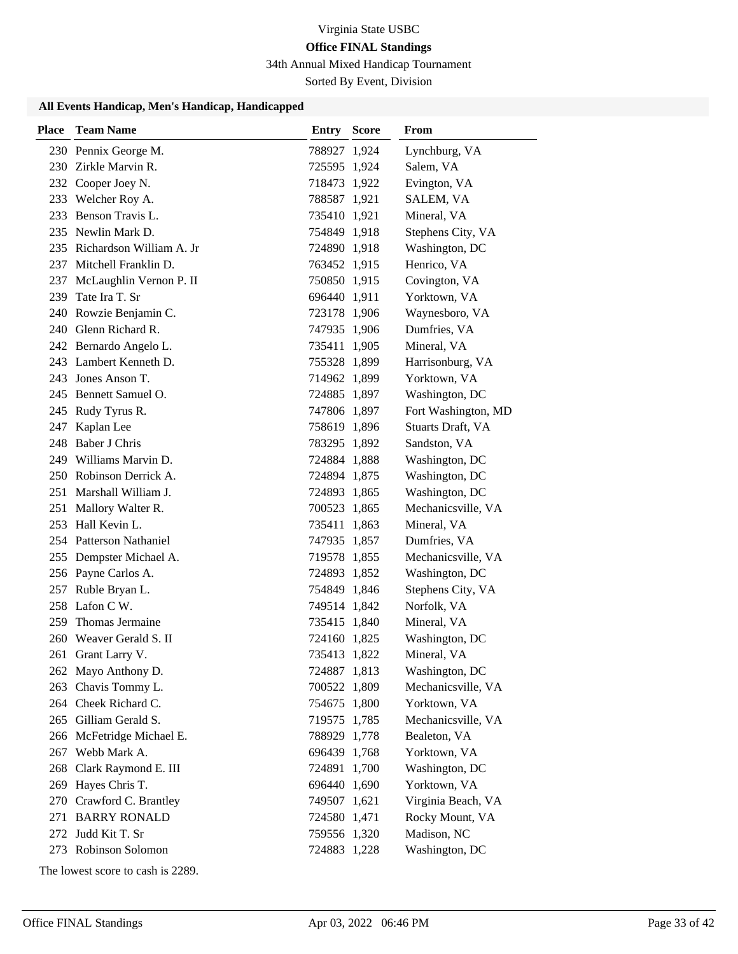34th Annual Mixed Handicap Tournament

Sorted By Event, Division

### **All Events Handicap, Men's Handicap, Handicapped**

| <b>Place</b> | <b>Team Name</b>             | <b>Entry Score</b> | <b>From</b>         |
|--------------|------------------------------|--------------------|---------------------|
|              | 230 Pennix George M.         | 788927 1,924       | Lynchburg, VA       |
|              | 230 Zirkle Marvin R.         | 725595 1,924       | Salem, VA           |
|              | 232 Cooper Joey N.           | 718473 1,922       | Evington, VA        |
|              | 233 Welcher Roy A.           | 788587 1,921       | SALEM, VA           |
| 233          | Benson Travis L.             | 735410 1,921       | Mineral, VA         |
|              | 235 Newlin Mark D.           | 754849 1,918       | Stephens City, VA   |
|              | 235 Richardson William A. Jr | 724890 1,918       | Washington, DC      |
|              | 237 Mitchell Franklin D.     | 763452 1,915       | Henrico, VA         |
| 237          | McLaughlin Vernon P. II      | 750850 1,915       | Covington, VA       |
| 239          | Tate Ira T. Sr               | 696440 1,911       | Yorktown, VA        |
|              | 240 Rowzie Benjamin C.       | 723178 1,906       | Waynesboro, VA      |
|              | 240 Glenn Richard R.         | 747935 1,906       | Dumfries, VA        |
|              | 242 Bernardo Angelo L.       | 735411 1,905       | Mineral, VA         |
|              | 243 Lambert Kenneth D.       | 755328 1,899       | Harrisonburg, VA    |
|              | 243 Jones Anson T.           | 714962 1,899       | Yorktown, VA        |
|              | 245 Bennett Samuel O.        | 724885 1,897       | Washington, DC      |
|              | 245 Rudy Tyrus R.            | 747806 1,897       | Fort Washington, MD |
| 247          | Kaplan Lee                   | 758619 1,896       | Stuarts Draft, VA   |
|              | 248 Baber J Chris            | 783295 1,892       | Sandston, VA        |
|              | 249 Williams Marvin D.       | 724884 1,888       | Washington, DC      |
|              | 250 Robinson Derrick A.      | 724894 1,875       | Washington, DC      |
|              | 251 Marshall William J.      | 724893 1,865       | Washington, DC      |
|              | 251 Mallory Walter R.        | 700523 1,865       | Mechanicsville, VA  |
|              | 253 Hall Kevin L.            | 735411 1,863       | Mineral, VA         |
|              | 254 Patterson Nathaniel      | 747935 1,857       | Dumfries, VA        |
|              | 255 Dempster Michael A.      | 719578 1,855       | Mechanicsville, VA  |
|              | 256 Payne Carlos A.          | 724893 1,852       | Washington, DC      |
|              | 257 Ruble Bryan L.           | 754849 1,846       | Stephens City, VA   |
|              | 258 Lafon C W.               | 749514 1,842       | Norfolk, VA         |
| 259          | Thomas Jermaine              | 735415 1,840       | Mineral, VA         |
|              | 260 Weaver Gerald S. II      | 724160 1,825       | Washington, DC      |
| 261          | Grant Larry V.               | 735413 1,822       | Mineral, VA         |
|              | 262 Mayo Anthony D.          | 724887 1,813       | Washington, DC      |
| 263          | Chavis Tommy L.              | 700522 1,809       | Mechanicsville, VA  |
|              | 264 Cheek Richard C.         | 754675 1,800       | Yorktown, VA        |
|              | 265 Gilliam Gerald S.        | 719575 1,785       | Mechanicsville, VA  |
|              | 266 McFetridge Michael E.    | 788929 1,778       | Bealeton, VA        |
| 267          | Webb Mark A.                 | 696439 1,768       | Yorktown, VA        |
| 268          | Clark Raymond E. III         | 724891 1,700       | Washington, DC      |
| 269          | Hayes Chris T.               | 696440 1,690       | Yorktown, VA        |
|              | 270 Crawford C. Brantley     | 749507 1,621       | Virginia Beach, VA  |
|              | 271 BARRY RONALD             | 724580 1,471       | Rocky Mount, VA     |
|              | 272 Judd Kit T. Sr           | 759556 1,320       | Madison, NC         |
|              | 273 Robinson Solomon         | 724883 1,228       | Washington, DC      |

The lowest score to cash is 2289.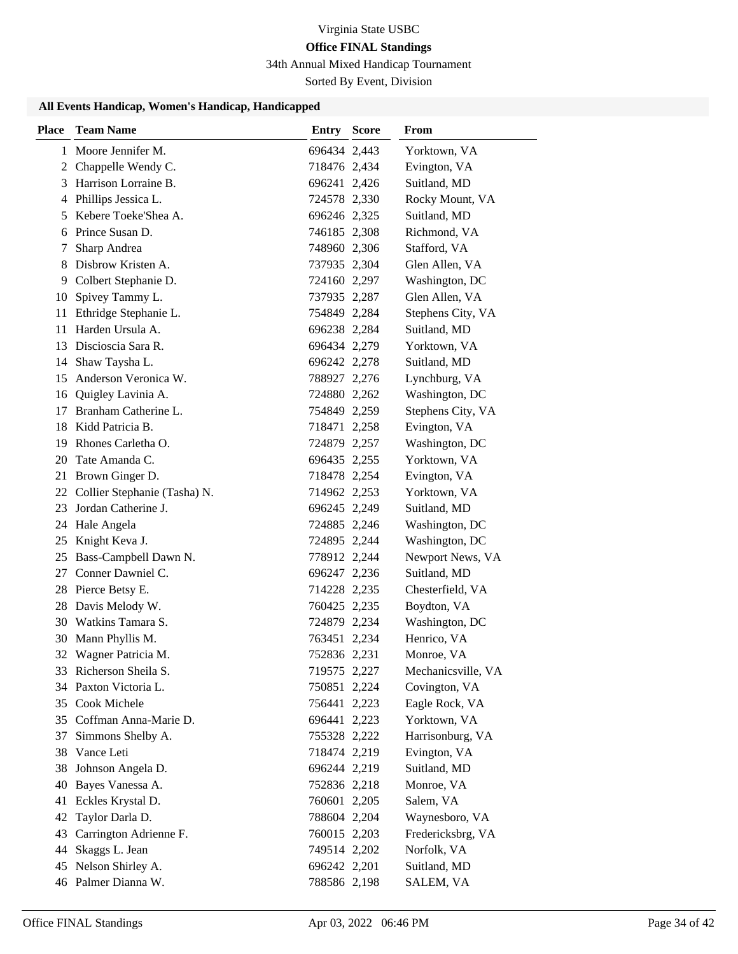34th Annual Mixed Handicap Tournament

Sorted By Event, Division

| <b>Place</b> | <b>Team Name</b>             | <b>Entry Score</b> | From               |
|--------------|------------------------------|--------------------|--------------------|
| 1            | Moore Jennifer M.            | 696434 2,443       | Yorktown, VA       |
|              | 2 Chappelle Wendy C.         | 718476 2,434       | Evington, VA       |
|              | 3 Harrison Lorraine B.       | 696241 2,426       | Suitland, MD       |
|              | 4 Phillips Jessica L.        | 724578 2,330       | Rocky Mount, VA    |
| 5            | Kebere Toeke'Shea A.         | 696246 2,325       | Suitland, MD       |
| 6            | Prince Susan D.              | 746185 2,308       | Richmond, VA       |
| 7            | Sharp Andrea                 | 748960 2,306       | Stafford, VA       |
| 8            | Disbrow Kristen A.           | 737935 2,304       | Glen Allen, VA     |
| 9            | Colbert Stephanie D.         | 724160 2,297       | Washington, DC     |
| 10           | Spivey Tammy L.              | 737935 2,287       | Glen Allen, VA     |
| 11           | Ethridge Stephanie L.        | 754849 2,284       | Stephens City, VA  |
| 11           | Harden Ursula A.             | 696238 2,284       | Suitland, MD       |
| 13           | Discioscia Sara R.           | 696434 2,279       | Yorktown, VA       |
| 14           | Shaw Taysha L.               | 696242 2,278       | Suitland, MD       |
| 15           | Anderson Veronica W.         | 788927 2,276       | Lynchburg, VA      |
| 16           | Quigley Lavinia A.           | 724880 2,262       | Washington, DC     |
| 17           | Branham Catherine L.         | 754849 2,259       | Stephens City, VA  |
| 18           | Kidd Patricia B.             | 718471 2,258       | Evington, VA       |
| 19           | Rhones Carletha O.           | 724879 2,257       | Washington, DC     |
| 20           | Tate Amanda C.               | 696435 2,255       | Yorktown, VA       |
| 21           | Brown Ginger D.              | 718478 2,254       | Evington, VA       |
| 22           | Collier Stephanie (Tasha) N. | 714962 2,253       | Yorktown, VA       |
| 23           | Jordan Catherine J.          | 696245 2,249       | Suitland, MD       |
| 24           | Hale Angela                  | 724885 2,246       | Washington, DC     |
| 25           | Knight Keva J.               | 724895 2,244       | Washington, DC     |
| 25           | Bass-Campbell Dawn N.        | 778912 2,244       | Newport News, VA   |
| 27           | Conner Dawniel C.            | 696247 2,236       | Suitland, MD       |
|              | 28 Pierce Betsy E.           | 714228 2,235       | Chesterfield, VA   |
| 28           | Davis Melody W.              | 760425 2,235       | Boydton, VA        |
|              | 30 Watkins Tamara S.         | 724879 2,234       | Washington, DC     |
| 30           | Mann Phyllis M.              | 763451 2,234       | Henrico, VA        |
|              | 32 Wagner Patricia M.        | 752836 2,231       | Monroe, VA         |
|              | 33 Richerson Sheila S.       | 719575 2,227       | Mechanicsville, VA |
|              | 34 Paxton Victoria L.        | 750851 2,224       | Covington, VA      |
|              | 35 Cook Michele              | 756441 2,223       | Eagle Rock, VA     |
|              | 35 Coffman Anna-Marie D.     | 696441 2,223       | Yorktown, VA       |
| 37           | Simmons Shelby A.            | 755328 2,222       | Harrisonburg, VA   |
| 38           | Vance Leti                   | 718474 2,219       | Evington, VA       |
| 38           | Johnson Angela D.            | 696244 2,219       | Suitland, MD       |
| 40           | Bayes Vanessa A.             | 752836 2,218       | Monroe, VA         |
| 41           | Eckles Krystal D.            | 760601 2,205       | Salem, VA          |
| 42           | Taylor Darla D.              | 788604 2,204       | Waynesboro, VA     |
| 43           | Carrington Adrienne F.       | 760015 2,203       | Fredericksbrg, VA  |
| 44           | Skaggs L. Jean               | 749514 2,202       | Norfolk, VA        |
|              | 45 Nelson Shirley A.         | 696242 2,201       | Suitland, MD       |
|              | 46 Palmer Dianna W.          | 788586 2,198       | SALEM, VA          |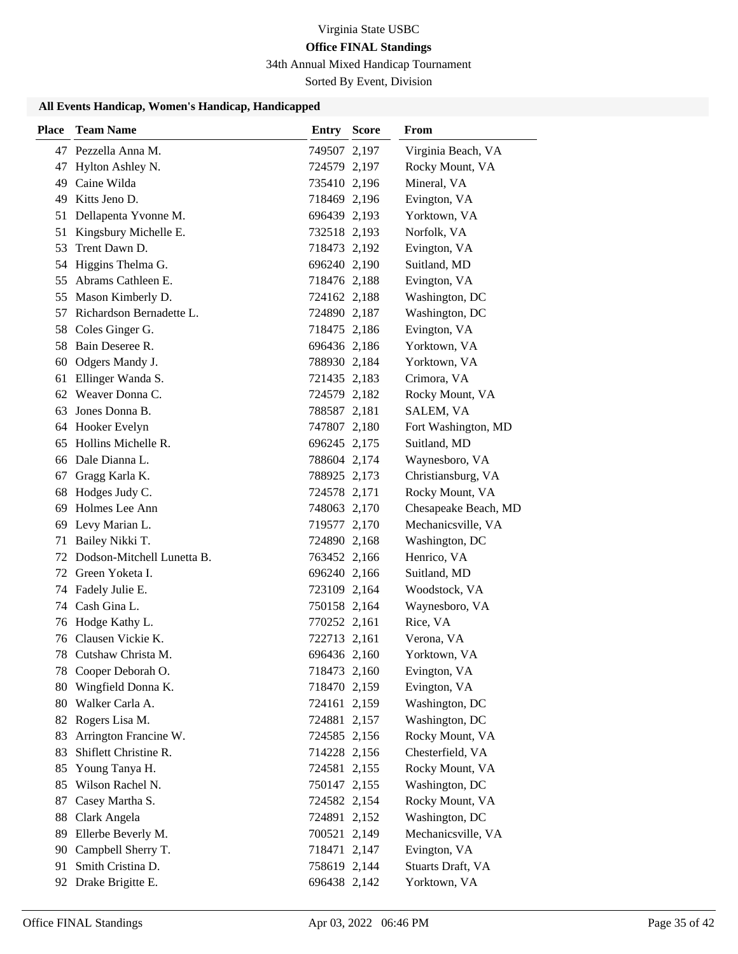34th Annual Mixed Handicap Tournament

Sorted By Event, Division

| <b>Place</b> | <b>Team Name</b>              | <b>Entry Score</b> | <b>From</b>          |
|--------------|-------------------------------|--------------------|----------------------|
|              | 47 Pezzella Anna M.           | 749507 2,197       | Virginia Beach, VA   |
| 47           | Hylton Ashley N.              | 724579 2,197       | Rocky Mount, VA      |
|              | 49 Caine Wilda                | 735410 2,196       | Mineral, VA          |
|              | 49 Kitts Jeno D.              | 718469 2,196       | Evington, VA         |
| 51           | Dellapenta Yvonne M.          | 696439 2,193       | Yorktown, VA         |
| 51           | Kingsbury Michelle E.         | 732518 2,193       | Norfolk, VA          |
| 53           | Trent Dawn D.                 | 718473 2,192       | Evington, VA         |
|              | 54 Higgins Thelma G.          | 696240 2,190       | Suitland, MD         |
| 55           | Abrams Cathleen E.            | 718476 2,188       | Evington, VA         |
| 55           | Mason Kimberly D.             | 724162 2,188       | Washington, DC       |
|              | 57 Richardson Bernadette L.   | 724890 2,187       | Washington, DC       |
|              | 58 Coles Ginger G.            | 718475 2,186       | Evington, VA         |
|              | 58 Bain Deseree R.            | 696436 2,186       | Yorktown, VA         |
| 60           | Odgers Mandy J.               | 788930 2,184       | Yorktown, VA         |
| 61           | Ellinger Wanda S.             | 721435 2,183       | Crimora, VA          |
|              | 62 Weaver Donna C.            | 724579 2,182       | Rocky Mount, VA      |
| 63           | Jones Donna B.                | 788587 2,181       | SALEM, VA            |
|              | 64 Hooker Evelyn              | 747807 2,180       | Fort Washington, MD  |
|              | 65 Hollins Michelle R.        | 696245 2,175       | Suitland, MD         |
|              | 66 Dale Dianna L.             | 788604 2,174       | Waynesboro, VA       |
| 67           | Gragg Karla K.                | 788925 2,173       | Christiansburg, VA   |
| 68           | Hodges Judy C.                | 724578 2,171       | Rocky Mount, VA      |
| 69           | Holmes Lee Ann                | 748063 2,170       | Chesapeake Beach, MD |
| 69           | Levy Marian L.                | 719577 2,170       | Mechanicsville, VA   |
| 71           | Bailey Nikki T.               | 724890 2,168       | Washington, DC       |
|              | 72 Dodson-Mitchell Lunetta B. | 763452 2,166       | Henrico, VA          |
|              | 72 Green Yoketa I.            | 696240 2,166       | Suitland, MD         |
|              | 74 Fadely Julie E.            | 723109 2,164       | Woodstock, VA        |
| 74           | Cash Gina L.                  | 750158 2,164       | Waynesboro, VA       |
|              | 76 Hodge Kathy L.             | 770252 2,161       | Rice, VA             |
|              | 76 Clausen Vickie K.          | 722713 2,161       | Verona, VA           |
| 78           | Cutshaw Christa M.            | 696436 2,160       | Yorktown, VA         |
| 78           | Cooper Deborah O.             | 718473 2,160       | Evington, VA         |
| 80           | Wingfield Donna K.            | 718470 2,159       | Evington, VA         |
| 80           | Walker Carla A.               | 724161 2,159       | Washington, DC       |
| 82           | Rogers Lisa M.                | 724881 2,157       | Washington, DC       |
| 83           | Arrington Francine W.         | 724585 2,156       | Rocky Mount, VA      |
| 83           | Shiflett Christine R.         | 714228 2,156       | Chesterfield, VA     |
| 85           | Young Tanya H.                | 724581 2,155       | Rocky Mount, VA      |
| 85           | Wilson Rachel N.              | 750147 2,155       | Washington, DC       |
| 87           | Casey Martha S.               | 724582 2,154       | Rocky Mount, VA      |
| 88           | Clark Angela                  | 724891 2,152       | Washington, DC       |
| 89           | Ellerbe Beverly M.            | 700521 2,149       | Mechanicsville, VA   |
| 90           | Campbell Sherry T.            | 718471 2,147       | Evington, VA         |
| 91           | Smith Cristina D.             | 758619 2,144       | Stuarts Draft, VA    |
| 92           | Drake Brigitte E.             | 696438 2,142       | Yorktown, VA         |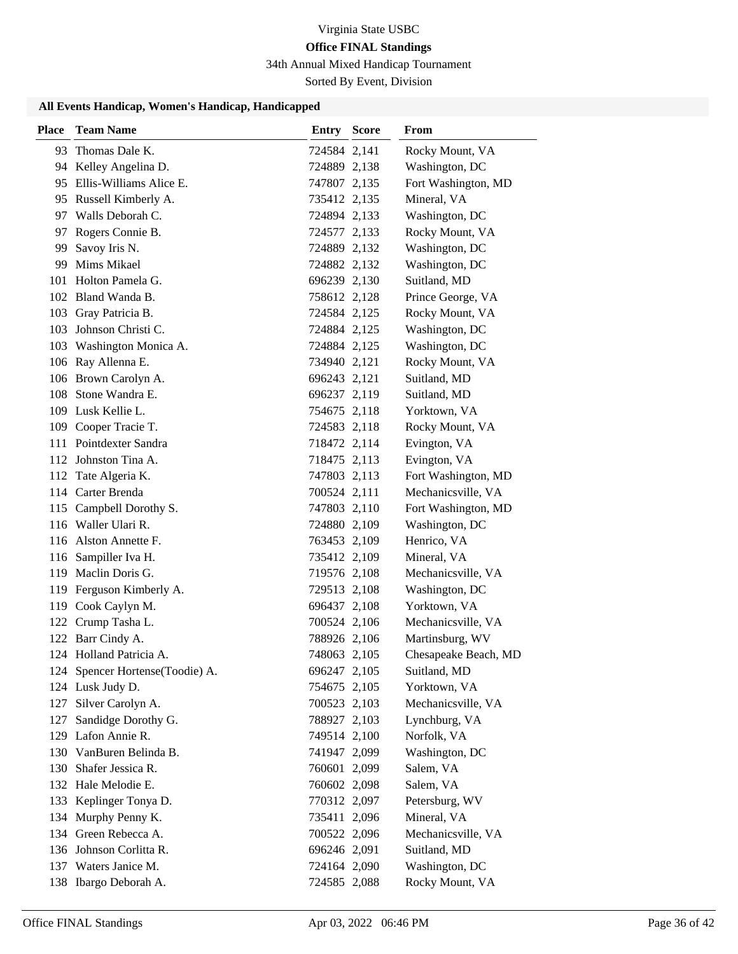34th Annual Mixed Handicap Tournament

Sorted By Event, Division

| <b>Place</b> | <b>Team Name</b>                | Entry        | <b>Score</b> | From                 |
|--------------|---------------------------------|--------------|--------------|----------------------|
| 93.          | Thomas Dale K.                  | 724584 2,141 |              | Rocky Mount, VA      |
|              | 94 Kelley Angelina D.           | 724889 2,138 |              | Washington, DC       |
|              | 95 Ellis-Williams Alice E.      | 747807 2,135 |              | Fort Washington, MD  |
|              | 95 Russell Kimberly A.          | 735412 2,135 |              | Mineral, VA          |
|              | 97 Walls Deborah C.             | 724894 2,133 |              | Washington, DC       |
|              | 97 Rogers Connie B.             | 724577 2,133 |              | Rocky Mount, VA      |
| 99           | Savoy Iris N.                   | 724889 2,132 |              | Washington, DC       |
| 99           | Mims Mikael                     | 724882 2,132 |              | Washington, DC       |
| 101          | Holton Pamela G.                | 696239 2,130 |              | Suitland, MD         |
|              | 102 Bland Wanda B.              | 758612 2,128 |              | Prince George, VA    |
|              | 103 Gray Patricia B.            | 724584 2,125 |              | Rocky Mount, VA      |
| 103          | Johnson Christi C.              | 724884 2,125 |              | Washington, DC       |
|              | 103 Washington Monica A.        | 724884 2,125 |              | Washington, DC       |
|              | 106 Ray Allenna E.              | 734940 2,121 |              | Rocky Mount, VA      |
|              | 106 Brown Carolyn A.            | 696243 2,121 |              | Suitland, MD         |
| 108          | Stone Wandra E.                 | 696237 2,119 |              | Suitland, MD         |
| 109          | Lusk Kellie L.                  | 754675 2,118 |              | Yorktown, VA         |
| 109          | Cooper Tracie T.                | 724583 2,118 |              | Rocky Mount, VA      |
|              | 111 Pointdexter Sandra          | 718472 2,114 |              | Evington, VA         |
|              | 112 Johnston Tina A.            | 718475 2,113 |              | Evington, VA         |
|              | 112 Tate Algeria K.             | 747803 2,113 |              | Fort Washington, MD  |
|              | 114 Carter Brenda               | 700524 2,111 |              | Mechanicsville, VA   |
|              | 115 Campbell Dorothy S.         | 747803 2,110 |              | Fort Washington, MD  |
| 116          | Waller Ulari R.                 | 724880 2,109 |              | Washington, DC       |
|              | 116 Alston Annette F.           | 763453 2,109 |              | Henrico, VA          |
| 116          | Sampiller Iva H.                | 735412 2,109 |              | Mineral, VA          |
|              | 119 Maclin Doris G.             | 719576 2,108 |              | Mechanicsville, VA   |
|              | 119 Ferguson Kimberly A.        | 729513 2,108 |              | Washington, DC       |
| 119          | Cook Caylyn M.                  | 696437 2,108 |              | Yorktown, VA         |
|              | 122 Crump Tasha L.              | 700524 2,106 |              | Mechanicsville, VA   |
|              | 122 Barr Cindy A.               | 788926 2,106 |              | Martinsburg, WV      |
|              | 124 Holland Patricia A.         | 748063 2,105 |              | Chesapeake Beach, MD |
|              | 124 Spencer Hortense(Toodie) A. | 696247 2,105 |              | Suitland, MD         |
|              | 124 Lusk Judy D.                | 754675 2,105 |              | Yorktown, VA         |
| 127          | Silver Carolyn A.               | 700523 2,103 |              | Mechanicsville, VA   |
| 127          | Sandidge Dorothy G.             | 788927 2,103 |              | Lynchburg, VA        |
|              | 129 Lafon Annie R.              | 749514 2,100 |              | Norfolk, VA          |
| 130          | VanBuren Belinda B.             | 741947 2,099 |              | Washington, DC       |
| 130          | Shafer Jessica R.               | 760601 2,099 |              | Salem, VA            |
|              | 132 Hale Melodie E.             | 760602 2,098 |              | Salem, VA            |
|              | 133 Keplinger Tonya D.          | 770312 2,097 |              | Petersburg, WV       |
|              | 134 Murphy Penny K.             | 735411 2,096 |              | Mineral, VA          |
|              | 134 Green Rebecca A.            | 700522 2,096 |              | Mechanicsville, VA   |
|              | 136 Johnson Corlitta R.         | 696246 2,091 |              | Suitland, MD         |
|              | 137 Waters Janice M.            | 724164 2,090 |              | Washington, DC       |
|              | 138 Ibargo Deborah A.           | 724585 2,088 |              | Rocky Mount, VA      |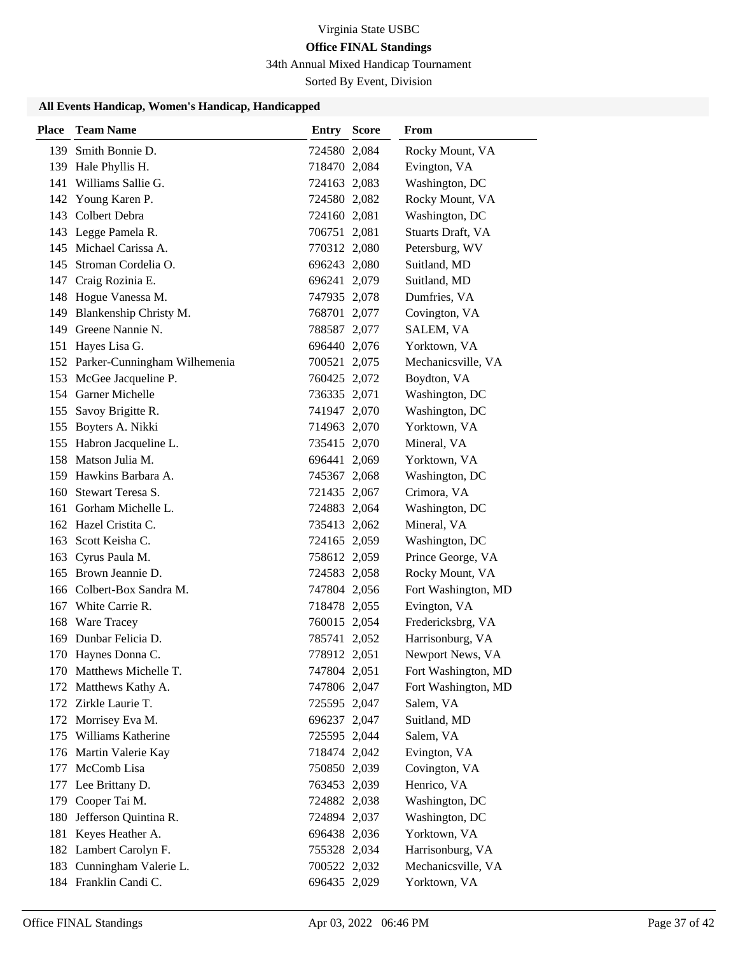34th Annual Mixed Handicap Tournament

Sorted By Event, Division

| 139 Smith Bonnie D.<br>724580 2,084<br>Rocky Mount, VA<br>139 Hale Phyllis H.<br>718470 2,084<br>Evington, VA<br>141 Williams Sallie G.<br>Washington, DC<br>724163 2,083<br>142 Young Karen P.<br>Rocky Mount, VA<br>724580 2,082<br>143 Colbert Debra<br>724160 2,081<br>Washington, DC<br>Stuarts Draft, VA<br>143 Legge Pamela R.<br>706751 2,081<br>145 Michael Carissa A.<br>Petersburg, WV<br>770312 2,080<br>145 Stroman Cordelia O.<br>696243 2,080<br>Suitland, MD<br>147 Craig Rozinia E.<br>Suitland, MD<br>696241 2,079<br>148 Hogue Vanessa M.<br>Dumfries, VA<br>747935 2,078<br>149 Blankenship Christy M.<br>Covington, VA<br>768701 2,077<br>149 Greene Nannie N.<br>788587 2,077<br>SALEM, VA<br>151 Hayes Lisa G.<br>696440 2,076<br>Yorktown, VA<br>152 Parker-Cunningham Wilhemenia<br>Mechanicsville, VA<br>700521 2,075<br>153 McGee Jacqueline P.<br>Boydton, VA<br>760425 2,072<br>154 Garner Michelle<br>Washington, DC<br>736335 2,071<br>155 Savoy Brigitte R.<br>Washington, DC<br>741947 2,070<br>155 Boyters A. Nikki<br>Yorktown, VA<br>714963 2,070<br>155 Habron Jacqueline L.<br>Mineral, VA<br>735415 2,070<br>158 Matson Julia M.<br>Yorktown, VA<br>696441 2,069<br>159 Hawkins Barbara A.<br>Washington, DC<br>745367 2,068<br>160 Stewart Teresa S.<br>Crimora, VA<br>721435 2,067<br>Washington, DC<br>161 Gorham Michelle L.<br>724883 2,064<br>162 Hazel Cristita C.<br>Mineral, VA<br>735413 2,062<br>163 Scott Keisha C.<br>Washington, DC<br>724165 2,059<br>163 Cyrus Paula M.<br>Prince George, VA<br>758612 2,059<br>165 Brown Jeannie D.<br>Rocky Mount, VA<br>724583 2,058<br>Fort Washington, MD<br>166 Colbert-Box Sandra M.<br>747804 2,056<br>167 White Carrie R.<br>Evington, VA<br>718478 2,055<br>168 Ware Tracey<br>Fredericksbrg, VA<br>760015 2,054<br>169 Dunbar Felicia D.<br>Harrisonburg, VA<br>785741 2,052<br>170 Haynes Donna C.<br>778912 2,051<br>Newport News, VA<br>170 Matthews Michelle T.<br>747804 2,051<br>Fort Washington, MD<br>Fort Washington, MD<br>172 Matthews Kathy A.<br>747806 2,047<br>172 Zirkle Laurie T.<br>Salem, VA<br>725595 2,047<br>172 Morrisey Eva M.<br>696237 2,047<br>Suitland, MD<br>175 Williams Katherine<br>Salem, VA<br>725595 2,044<br>176 Martin Valerie Kay<br>718474 2,042<br>Evington, VA<br>177 McComb Lisa<br>Covington, VA<br>750850 2,039<br>Henrico, VA<br>177 Lee Brittany D.<br>763453 2,039<br>179 Cooper Tai M.<br>Washington, DC<br>724882 2,038<br>180 Jefferson Quintina R.<br>Washington, DC<br>724894 2,037<br>181 Keyes Heather A.<br>Yorktown, VA<br>696438 2,036<br>182 Lambert Carolyn F.<br>Harrisonburg, VA<br>755328 2,034<br>183 Cunningham Valerie L.<br>Mechanicsville, VA<br>700522 2,032<br>184 Franklin Candi C.<br>Yorktown, VA<br>696435 2,029 | <b>Place</b> | <b>Team Name</b> | <b>Entry Score</b> | From |
|---------------------------------------------------------------------------------------------------------------------------------------------------------------------------------------------------------------------------------------------------------------------------------------------------------------------------------------------------------------------------------------------------------------------------------------------------------------------------------------------------------------------------------------------------------------------------------------------------------------------------------------------------------------------------------------------------------------------------------------------------------------------------------------------------------------------------------------------------------------------------------------------------------------------------------------------------------------------------------------------------------------------------------------------------------------------------------------------------------------------------------------------------------------------------------------------------------------------------------------------------------------------------------------------------------------------------------------------------------------------------------------------------------------------------------------------------------------------------------------------------------------------------------------------------------------------------------------------------------------------------------------------------------------------------------------------------------------------------------------------------------------------------------------------------------------------------------------------------------------------------------------------------------------------------------------------------------------------------------------------------------------------------------------------------------------------------------------------------------------------------------------------------------------------------------------------------------------------------------------------------------------------------------------------------------------------------------------------------------------------------------------------------------------------------------------------------------------------------------------------------------------------------------------------------------------------------------------------------------------------------------------------------------------------------------------------------------------------------------------------------------------------------------------------|--------------|------------------|--------------------|------|
|                                                                                                                                                                                                                                                                                                                                                                                                                                                                                                                                                                                                                                                                                                                                                                                                                                                                                                                                                                                                                                                                                                                                                                                                                                                                                                                                                                                                                                                                                                                                                                                                                                                                                                                                                                                                                                                                                                                                                                                                                                                                                                                                                                                                                                                                                                                                                                                                                                                                                                                                                                                                                                                                                                                                                                                             |              |                  |                    |      |
|                                                                                                                                                                                                                                                                                                                                                                                                                                                                                                                                                                                                                                                                                                                                                                                                                                                                                                                                                                                                                                                                                                                                                                                                                                                                                                                                                                                                                                                                                                                                                                                                                                                                                                                                                                                                                                                                                                                                                                                                                                                                                                                                                                                                                                                                                                                                                                                                                                                                                                                                                                                                                                                                                                                                                                                             |              |                  |                    |      |
|                                                                                                                                                                                                                                                                                                                                                                                                                                                                                                                                                                                                                                                                                                                                                                                                                                                                                                                                                                                                                                                                                                                                                                                                                                                                                                                                                                                                                                                                                                                                                                                                                                                                                                                                                                                                                                                                                                                                                                                                                                                                                                                                                                                                                                                                                                                                                                                                                                                                                                                                                                                                                                                                                                                                                                                             |              |                  |                    |      |
|                                                                                                                                                                                                                                                                                                                                                                                                                                                                                                                                                                                                                                                                                                                                                                                                                                                                                                                                                                                                                                                                                                                                                                                                                                                                                                                                                                                                                                                                                                                                                                                                                                                                                                                                                                                                                                                                                                                                                                                                                                                                                                                                                                                                                                                                                                                                                                                                                                                                                                                                                                                                                                                                                                                                                                                             |              |                  |                    |      |
|                                                                                                                                                                                                                                                                                                                                                                                                                                                                                                                                                                                                                                                                                                                                                                                                                                                                                                                                                                                                                                                                                                                                                                                                                                                                                                                                                                                                                                                                                                                                                                                                                                                                                                                                                                                                                                                                                                                                                                                                                                                                                                                                                                                                                                                                                                                                                                                                                                                                                                                                                                                                                                                                                                                                                                                             |              |                  |                    |      |
|                                                                                                                                                                                                                                                                                                                                                                                                                                                                                                                                                                                                                                                                                                                                                                                                                                                                                                                                                                                                                                                                                                                                                                                                                                                                                                                                                                                                                                                                                                                                                                                                                                                                                                                                                                                                                                                                                                                                                                                                                                                                                                                                                                                                                                                                                                                                                                                                                                                                                                                                                                                                                                                                                                                                                                                             |              |                  |                    |      |
|                                                                                                                                                                                                                                                                                                                                                                                                                                                                                                                                                                                                                                                                                                                                                                                                                                                                                                                                                                                                                                                                                                                                                                                                                                                                                                                                                                                                                                                                                                                                                                                                                                                                                                                                                                                                                                                                                                                                                                                                                                                                                                                                                                                                                                                                                                                                                                                                                                                                                                                                                                                                                                                                                                                                                                                             |              |                  |                    |      |
|                                                                                                                                                                                                                                                                                                                                                                                                                                                                                                                                                                                                                                                                                                                                                                                                                                                                                                                                                                                                                                                                                                                                                                                                                                                                                                                                                                                                                                                                                                                                                                                                                                                                                                                                                                                                                                                                                                                                                                                                                                                                                                                                                                                                                                                                                                                                                                                                                                                                                                                                                                                                                                                                                                                                                                                             |              |                  |                    |      |
|                                                                                                                                                                                                                                                                                                                                                                                                                                                                                                                                                                                                                                                                                                                                                                                                                                                                                                                                                                                                                                                                                                                                                                                                                                                                                                                                                                                                                                                                                                                                                                                                                                                                                                                                                                                                                                                                                                                                                                                                                                                                                                                                                                                                                                                                                                                                                                                                                                                                                                                                                                                                                                                                                                                                                                                             |              |                  |                    |      |
|                                                                                                                                                                                                                                                                                                                                                                                                                                                                                                                                                                                                                                                                                                                                                                                                                                                                                                                                                                                                                                                                                                                                                                                                                                                                                                                                                                                                                                                                                                                                                                                                                                                                                                                                                                                                                                                                                                                                                                                                                                                                                                                                                                                                                                                                                                                                                                                                                                                                                                                                                                                                                                                                                                                                                                                             |              |                  |                    |      |
|                                                                                                                                                                                                                                                                                                                                                                                                                                                                                                                                                                                                                                                                                                                                                                                                                                                                                                                                                                                                                                                                                                                                                                                                                                                                                                                                                                                                                                                                                                                                                                                                                                                                                                                                                                                                                                                                                                                                                                                                                                                                                                                                                                                                                                                                                                                                                                                                                                                                                                                                                                                                                                                                                                                                                                                             |              |                  |                    |      |
|                                                                                                                                                                                                                                                                                                                                                                                                                                                                                                                                                                                                                                                                                                                                                                                                                                                                                                                                                                                                                                                                                                                                                                                                                                                                                                                                                                                                                                                                                                                                                                                                                                                                                                                                                                                                                                                                                                                                                                                                                                                                                                                                                                                                                                                                                                                                                                                                                                                                                                                                                                                                                                                                                                                                                                                             |              |                  |                    |      |
|                                                                                                                                                                                                                                                                                                                                                                                                                                                                                                                                                                                                                                                                                                                                                                                                                                                                                                                                                                                                                                                                                                                                                                                                                                                                                                                                                                                                                                                                                                                                                                                                                                                                                                                                                                                                                                                                                                                                                                                                                                                                                                                                                                                                                                                                                                                                                                                                                                                                                                                                                                                                                                                                                                                                                                                             |              |                  |                    |      |
|                                                                                                                                                                                                                                                                                                                                                                                                                                                                                                                                                                                                                                                                                                                                                                                                                                                                                                                                                                                                                                                                                                                                                                                                                                                                                                                                                                                                                                                                                                                                                                                                                                                                                                                                                                                                                                                                                                                                                                                                                                                                                                                                                                                                                                                                                                                                                                                                                                                                                                                                                                                                                                                                                                                                                                                             |              |                  |                    |      |
|                                                                                                                                                                                                                                                                                                                                                                                                                                                                                                                                                                                                                                                                                                                                                                                                                                                                                                                                                                                                                                                                                                                                                                                                                                                                                                                                                                                                                                                                                                                                                                                                                                                                                                                                                                                                                                                                                                                                                                                                                                                                                                                                                                                                                                                                                                                                                                                                                                                                                                                                                                                                                                                                                                                                                                                             |              |                  |                    |      |
|                                                                                                                                                                                                                                                                                                                                                                                                                                                                                                                                                                                                                                                                                                                                                                                                                                                                                                                                                                                                                                                                                                                                                                                                                                                                                                                                                                                                                                                                                                                                                                                                                                                                                                                                                                                                                                                                                                                                                                                                                                                                                                                                                                                                                                                                                                                                                                                                                                                                                                                                                                                                                                                                                                                                                                                             |              |                  |                    |      |
|                                                                                                                                                                                                                                                                                                                                                                                                                                                                                                                                                                                                                                                                                                                                                                                                                                                                                                                                                                                                                                                                                                                                                                                                                                                                                                                                                                                                                                                                                                                                                                                                                                                                                                                                                                                                                                                                                                                                                                                                                                                                                                                                                                                                                                                                                                                                                                                                                                                                                                                                                                                                                                                                                                                                                                                             |              |                  |                    |      |
|                                                                                                                                                                                                                                                                                                                                                                                                                                                                                                                                                                                                                                                                                                                                                                                                                                                                                                                                                                                                                                                                                                                                                                                                                                                                                                                                                                                                                                                                                                                                                                                                                                                                                                                                                                                                                                                                                                                                                                                                                                                                                                                                                                                                                                                                                                                                                                                                                                                                                                                                                                                                                                                                                                                                                                                             |              |                  |                    |      |
|                                                                                                                                                                                                                                                                                                                                                                                                                                                                                                                                                                                                                                                                                                                                                                                                                                                                                                                                                                                                                                                                                                                                                                                                                                                                                                                                                                                                                                                                                                                                                                                                                                                                                                                                                                                                                                                                                                                                                                                                                                                                                                                                                                                                                                                                                                                                                                                                                                                                                                                                                                                                                                                                                                                                                                                             |              |                  |                    |      |
|                                                                                                                                                                                                                                                                                                                                                                                                                                                                                                                                                                                                                                                                                                                                                                                                                                                                                                                                                                                                                                                                                                                                                                                                                                                                                                                                                                                                                                                                                                                                                                                                                                                                                                                                                                                                                                                                                                                                                                                                                                                                                                                                                                                                                                                                                                                                                                                                                                                                                                                                                                                                                                                                                                                                                                                             |              |                  |                    |      |
|                                                                                                                                                                                                                                                                                                                                                                                                                                                                                                                                                                                                                                                                                                                                                                                                                                                                                                                                                                                                                                                                                                                                                                                                                                                                                                                                                                                                                                                                                                                                                                                                                                                                                                                                                                                                                                                                                                                                                                                                                                                                                                                                                                                                                                                                                                                                                                                                                                                                                                                                                                                                                                                                                                                                                                                             |              |                  |                    |      |
|                                                                                                                                                                                                                                                                                                                                                                                                                                                                                                                                                                                                                                                                                                                                                                                                                                                                                                                                                                                                                                                                                                                                                                                                                                                                                                                                                                                                                                                                                                                                                                                                                                                                                                                                                                                                                                                                                                                                                                                                                                                                                                                                                                                                                                                                                                                                                                                                                                                                                                                                                                                                                                                                                                                                                                                             |              |                  |                    |      |
|                                                                                                                                                                                                                                                                                                                                                                                                                                                                                                                                                                                                                                                                                                                                                                                                                                                                                                                                                                                                                                                                                                                                                                                                                                                                                                                                                                                                                                                                                                                                                                                                                                                                                                                                                                                                                                                                                                                                                                                                                                                                                                                                                                                                                                                                                                                                                                                                                                                                                                                                                                                                                                                                                                                                                                                             |              |                  |                    |      |
|                                                                                                                                                                                                                                                                                                                                                                                                                                                                                                                                                                                                                                                                                                                                                                                                                                                                                                                                                                                                                                                                                                                                                                                                                                                                                                                                                                                                                                                                                                                                                                                                                                                                                                                                                                                                                                                                                                                                                                                                                                                                                                                                                                                                                                                                                                                                                                                                                                                                                                                                                                                                                                                                                                                                                                                             |              |                  |                    |      |
|                                                                                                                                                                                                                                                                                                                                                                                                                                                                                                                                                                                                                                                                                                                                                                                                                                                                                                                                                                                                                                                                                                                                                                                                                                                                                                                                                                                                                                                                                                                                                                                                                                                                                                                                                                                                                                                                                                                                                                                                                                                                                                                                                                                                                                                                                                                                                                                                                                                                                                                                                                                                                                                                                                                                                                                             |              |                  |                    |      |
|                                                                                                                                                                                                                                                                                                                                                                                                                                                                                                                                                                                                                                                                                                                                                                                                                                                                                                                                                                                                                                                                                                                                                                                                                                                                                                                                                                                                                                                                                                                                                                                                                                                                                                                                                                                                                                                                                                                                                                                                                                                                                                                                                                                                                                                                                                                                                                                                                                                                                                                                                                                                                                                                                                                                                                                             |              |                  |                    |      |
|                                                                                                                                                                                                                                                                                                                                                                                                                                                                                                                                                                                                                                                                                                                                                                                                                                                                                                                                                                                                                                                                                                                                                                                                                                                                                                                                                                                                                                                                                                                                                                                                                                                                                                                                                                                                                                                                                                                                                                                                                                                                                                                                                                                                                                                                                                                                                                                                                                                                                                                                                                                                                                                                                                                                                                                             |              |                  |                    |      |
|                                                                                                                                                                                                                                                                                                                                                                                                                                                                                                                                                                                                                                                                                                                                                                                                                                                                                                                                                                                                                                                                                                                                                                                                                                                                                                                                                                                                                                                                                                                                                                                                                                                                                                                                                                                                                                                                                                                                                                                                                                                                                                                                                                                                                                                                                                                                                                                                                                                                                                                                                                                                                                                                                                                                                                                             |              |                  |                    |      |
|                                                                                                                                                                                                                                                                                                                                                                                                                                                                                                                                                                                                                                                                                                                                                                                                                                                                                                                                                                                                                                                                                                                                                                                                                                                                                                                                                                                                                                                                                                                                                                                                                                                                                                                                                                                                                                                                                                                                                                                                                                                                                                                                                                                                                                                                                                                                                                                                                                                                                                                                                                                                                                                                                                                                                                                             |              |                  |                    |      |
|                                                                                                                                                                                                                                                                                                                                                                                                                                                                                                                                                                                                                                                                                                                                                                                                                                                                                                                                                                                                                                                                                                                                                                                                                                                                                                                                                                                                                                                                                                                                                                                                                                                                                                                                                                                                                                                                                                                                                                                                                                                                                                                                                                                                                                                                                                                                                                                                                                                                                                                                                                                                                                                                                                                                                                                             |              |                  |                    |      |
|                                                                                                                                                                                                                                                                                                                                                                                                                                                                                                                                                                                                                                                                                                                                                                                                                                                                                                                                                                                                                                                                                                                                                                                                                                                                                                                                                                                                                                                                                                                                                                                                                                                                                                                                                                                                                                                                                                                                                                                                                                                                                                                                                                                                                                                                                                                                                                                                                                                                                                                                                                                                                                                                                                                                                                                             |              |                  |                    |      |
|                                                                                                                                                                                                                                                                                                                                                                                                                                                                                                                                                                                                                                                                                                                                                                                                                                                                                                                                                                                                                                                                                                                                                                                                                                                                                                                                                                                                                                                                                                                                                                                                                                                                                                                                                                                                                                                                                                                                                                                                                                                                                                                                                                                                                                                                                                                                                                                                                                                                                                                                                                                                                                                                                                                                                                                             |              |                  |                    |      |
|                                                                                                                                                                                                                                                                                                                                                                                                                                                                                                                                                                                                                                                                                                                                                                                                                                                                                                                                                                                                                                                                                                                                                                                                                                                                                                                                                                                                                                                                                                                                                                                                                                                                                                                                                                                                                                                                                                                                                                                                                                                                                                                                                                                                                                                                                                                                                                                                                                                                                                                                                                                                                                                                                                                                                                                             |              |                  |                    |      |
|                                                                                                                                                                                                                                                                                                                                                                                                                                                                                                                                                                                                                                                                                                                                                                                                                                                                                                                                                                                                                                                                                                                                                                                                                                                                                                                                                                                                                                                                                                                                                                                                                                                                                                                                                                                                                                                                                                                                                                                                                                                                                                                                                                                                                                                                                                                                                                                                                                                                                                                                                                                                                                                                                                                                                                                             |              |                  |                    |      |
|                                                                                                                                                                                                                                                                                                                                                                                                                                                                                                                                                                                                                                                                                                                                                                                                                                                                                                                                                                                                                                                                                                                                                                                                                                                                                                                                                                                                                                                                                                                                                                                                                                                                                                                                                                                                                                                                                                                                                                                                                                                                                                                                                                                                                                                                                                                                                                                                                                                                                                                                                                                                                                                                                                                                                                                             |              |                  |                    |      |
|                                                                                                                                                                                                                                                                                                                                                                                                                                                                                                                                                                                                                                                                                                                                                                                                                                                                                                                                                                                                                                                                                                                                                                                                                                                                                                                                                                                                                                                                                                                                                                                                                                                                                                                                                                                                                                                                                                                                                                                                                                                                                                                                                                                                                                                                                                                                                                                                                                                                                                                                                                                                                                                                                                                                                                                             |              |                  |                    |      |
|                                                                                                                                                                                                                                                                                                                                                                                                                                                                                                                                                                                                                                                                                                                                                                                                                                                                                                                                                                                                                                                                                                                                                                                                                                                                                                                                                                                                                                                                                                                                                                                                                                                                                                                                                                                                                                                                                                                                                                                                                                                                                                                                                                                                                                                                                                                                                                                                                                                                                                                                                                                                                                                                                                                                                                                             |              |                  |                    |      |
|                                                                                                                                                                                                                                                                                                                                                                                                                                                                                                                                                                                                                                                                                                                                                                                                                                                                                                                                                                                                                                                                                                                                                                                                                                                                                                                                                                                                                                                                                                                                                                                                                                                                                                                                                                                                                                                                                                                                                                                                                                                                                                                                                                                                                                                                                                                                                                                                                                                                                                                                                                                                                                                                                                                                                                                             |              |                  |                    |      |
|                                                                                                                                                                                                                                                                                                                                                                                                                                                                                                                                                                                                                                                                                                                                                                                                                                                                                                                                                                                                                                                                                                                                                                                                                                                                                                                                                                                                                                                                                                                                                                                                                                                                                                                                                                                                                                                                                                                                                                                                                                                                                                                                                                                                                                                                                                                                                                                                                                                                                                                                                                                                                                                                                                                                                                                             |              |                  |                    |      |
|                                                                                                                                                                                                                                                                                                                                                                                                                                                                                                                                                                                                                                                                                                                                                                                                                                                                                                                                                                                                                                                                                                                                                                                                                                                                                                                                                                                                                                                                                                                                                                                                                                                                                                                                                                                                                                                                                                                                                                                                                                                                                                                                                                                                                                                                                                                                                                                                                                                                                                                                                                                                                                                                                                                                                                                             |              |                  |                    |      |
|                                                                                                                                                                                                                                                                                                                                                                                                                                                                                                                                                                                                                                                                                                                                                                                                                                                                                                                                                                                                                                                                                                                                                                                                                                                                                                                                                                                                                                                                                                                                                                                                                                                                                                                                                                                                                                                                                                                                                                                                                                                                                                                                                                                                                                                                                                                                                                                                                                                                                                                                                                                                                                                                                                                                                                                             |              |                  |                    |      |
|                                                                                                                                                                                                                                                                                                                                                                                                                                                                                                                                                                                                                                                                                                                                                                                                                                                                                                                                                                                                                                                                                                                                                                                                                                                                                                                                                                                                                                                                                                                                                                                                                                                                                                                                                                                                                                                                                                                                                                                                                                                                                                                                                                                                                                                                                                                                                                                                                                                                                                                                                                                                                                                                                                                                                                                             |              |                  |                    |      |
|                                                                                                                                                                                                                                                                                                                                                                                                                                                                                                                                                                                                                                                                                                                                                                                                                                                                                                                                                                                                                                                                                                                                                                                                                                                                                                                                                                                                                                                                                                                                                                                                                                                                                                                                                                                                                                                                                                                                                                                                                                                                                                                                                                                                                                                                                                                                                                                                                                                                                                                                                                                                                                                                                                                                                                                             |              |                  |                    |      |
|                                                                                                                                                                                                                                                                                                                                                                                                                                                                                                                                                                                                                                                                                                                                                                                                                                                                                                                                                                                                                                                                                                                                                                                                                                                                                                                                                                                                                                                                                                                                                                                                                                                                                                                                                                                                                                                                                                                                                                                                                                                                                                                                                                                                                                                                                                                                                                                                                                                                                                                                                                                                                                                                                                                                                                                             |              |                  |                    |      |
|                                                                                                                                                                                                                                                                                                                                                                                                                                                                                                                                                                                                                                                                                                                                                                                                                                                                                                                                                                                                                                                                                                                                                                                                                                                                                                                                                                                                                                                                                                                                                                                                                                                                                                                                                                                                                                                                                                                                                                                                                                                                                                                                                                                                                                                                                                                                                                                                                                                                                                                                                                                                                                                                                                                                                                                             |              |                  |                    |      |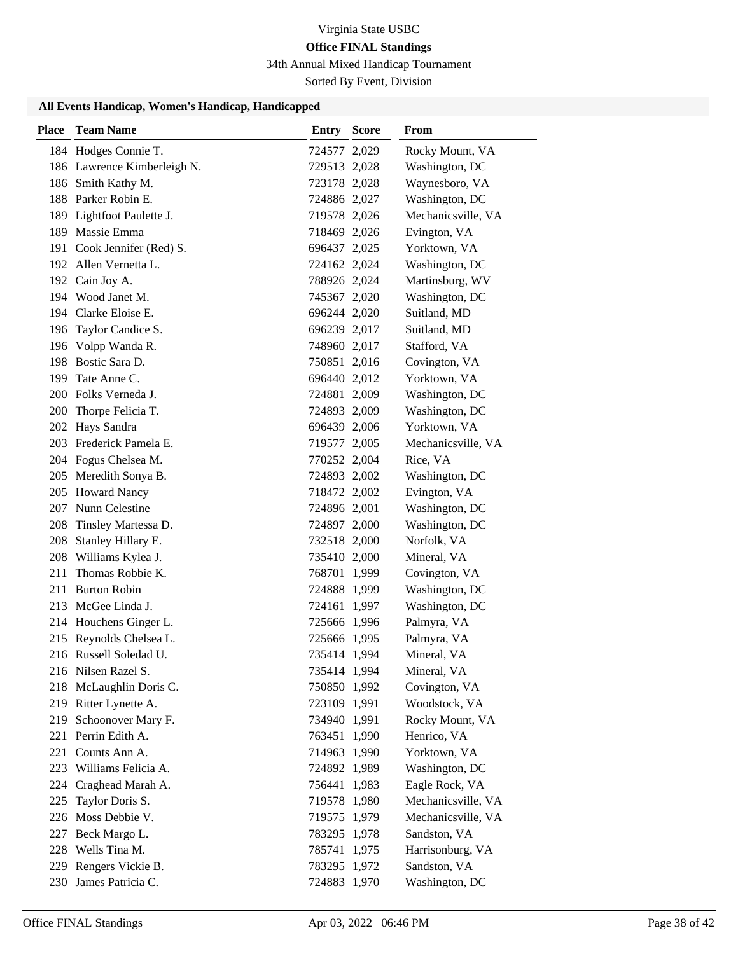34th Annual Mixed Handicap Tournament

Sorted By Event, Division

| Place | <b>Team Name</b>            | <b>Entry Score</b> | From               |
|-------|-----------------------------|--------------------|--------------------|
|       | 184 Hodges Connie T.        | 724577 2,029       | Rocky Mount, VA    |
|       | 186 Lawrence Kimberleigh N. | 729513 2,028       | Washington, DC     |
|       | 186 Smith Kathy M.          | 723178 2,028       | Waynesboro, VA     |
|       | 188 Parker Robin E.         | 724886 2,027       | Washington, DC     |
|       | 189 Lightfoot Paulette J.   | 719578 2,026       | Mechanicsville, VA |
|       | 189 Massie Emma             | 718469 2,026       | Evington, VA       |
|       | 191 Cook Jennifer (Red) S.  | 696437 2,025       | Yorktown, VA       |
|       | 192 Allen Vernetta L.       | 724162 2,024       | Washington, DC     |
|       | 192 Cain Joy A.             | 788926 2,024       | Martinsburg, WV    |
|       | 194 Wood Janet M.           | 745367 2,020       | Washington, DC     |
|       | 194 Clarke Eloise E.        | 696244 2,020       | Suitland, MD       |
|       | 196 Taylor Candice S.       | 696239 2,017       | Suitland, MD       |
|       | 196 Volpp Wanda R.          | 748960 2,017       | Stafford, VA       |
|       | 198 Bostic Sara D.          | 750851 2,016       | Covington, VA      |
|       | 199 Tate Anne C.            | 696440 2,012       | Yorktown, VA       |
|       | 200 Folks Verneda J.        | 724881 2,009       | Washington, DC     |
| 200   | Thorpe Felicia T.           | 724893 2,009       | Washington, DC     |
|       | 202 Hays Sandra             | 696439 2,006       | Yorktown, VA       |
|       | 203 Frederick Pamela E.     | 719577 2,005       | Mechanicsville, VA |
|       | 204 Fogus Chelsea M.        | 770252 2,004       | Rice, VA           |
|       | 205 Meredith Sonya B.       | 724893 2,002       | Washington, DC     |
|       | 205 Howard Nancy            | 718472 2,002       | Evington, VA       |
|       | 207 Nunn Celestine          | 724896 2,001       | Washington, DC     |
| 208   | Tinsley Martessa D.         | 724897 2,000       | Washington, DC     |
| 208   | Stanley Hillary E.          | 732518 2,000       | Norfolk, VA        |
|       | 208 Williams Kylea J.       | 735410 2,000       | Mineral, VA        |
| 211   | Thomas Robbie K.            | 768701 1,999       | Covington, VA      |
|       | 211 Burton Robin            | 724888 1,999       | Washington, DC     |
|       | 213 McGee Linda J.          | 724161 1,997       | Washington, DC     |
|       | 214 Houchens Ginger L.      | 725666 1,996       | Palmyra, VA        |
|       | 215 Reynolds Chelsea L.     | 725666 1,995       | Palmyra, VA        |
|       | 216 Russell Soledad U.      | 735414 1,994       | Mineral, VA        |
|       | 216 Nilsen Razel S.         | 735414 1,994       | Mineral, VA        |
|       | 218 McLaughlin Doris C.     | 750850 1,992       | Covington, VA      |
|       | 219 Ritter Lynette A.       | 723109 1,991       | Woodstock, VA      |
| 219   | Schoonover Mary F.          | 734940 1,991       | Rocky Mount, VA    |
|       | 221 Perrin Edith A.         | 763451 1,990       | Henrico, VA        |
| 221   | Counts Ann A.               | 714963 1,990       | Yorktown, VA       |
|       | 223 Williams Felicia A.     | 724892 1,989       | Washington, DC     |
| 224   | Craghead Marah A.           | 756441 1,983       | Eagle Rock, VA     |
| 225   | Taylor Doris S.             | 719578 1,980       | Mechanicsville, VA |
|       | 226 Moss Debbie V.          | 719575 1,979       | Mechanicsville, VA |
|       | 227 Beck Margo L.           | 783295 1,978       | Sandston, VA       |
|       | 228 Wells Tina M.           | 785741 1,975       | Harrisonburg, VA   |
| 229   | Rengers Vickie B.           | 783295 1,972       | Sandston, VA       |
|       | 230 James Patricia C.       | 724883 1,970       | Washington, DC     |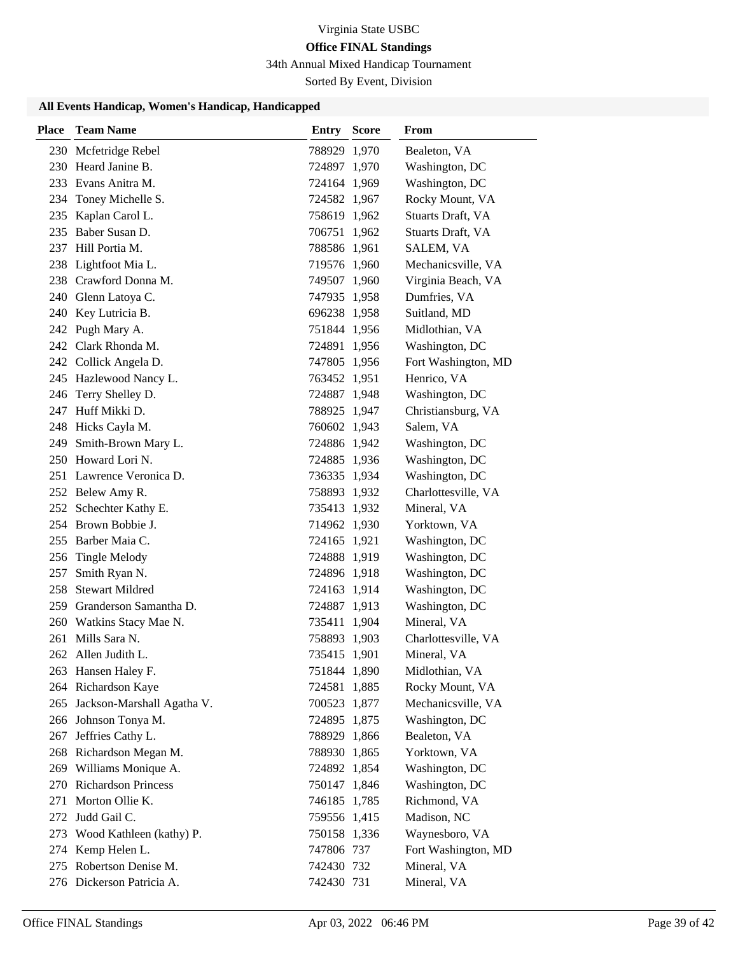34th Annual Mixed Handicap Tournament

Sorted By Event, Division

| <b>Place</b> | <b>Team Name</b>               | <b>Entry Score</b> | From                |
|--------------|--------------------------------|--------------------|---------------------|
|              | 230 Mcfetridge Rebel           | 788929 1,970       | Bealeton, VA        |
|              | 230 Heard Janine B.            | 724897 1,970       | Washington, DC      |
|              | 233 Evans Anitra M.            | 724164 1,969       | Washington, DC      |
|              | 234 Toney Michelle S.          | 724582 1,967       | Rocky Mount, VA     |
|              | 235 Kaplan Carol L.            | 758619 1,962       | Stuarts Draft, VA   |
|              | 235 Baber Susan D.             | 706751 1,962       | Stuarts Draft, VA   |
|              | 237 Hill Portia M.             | 788586 1,961       | SALEM, VA           |
|              | 238 Lightfoot Mia L.           | 719576 1,960       | Mechanicsville, VA  |
|              | 238 Crawford Donna M.          | 749507 1,960       | Virginia Beach, VA  |
|              | 240 Glenn Latoya C.            | 747935 1,958       | Dumfries, VA        |
|              | 240 Key Lutricia B.            | 696238 1,958       | Suitland, MD        |
|              | 242 Pugh Mary A.               | 751844 1,956       | Midlothian, VA      |
|              | 242 Clark Rhonda M.            | 724891 1,956       | Washington, DC      |
|              | 242 Collick Angela D.          | 747805 1,956       | Fort Washington, MD |
|              | 245 Hazlewood Nancy L.         | 763452 1,951       | Henrico, VA         |
|              | 246 Terry Shelley D.           | 724887 1,948       | Washington, DC      |
|              | 247 Huff Mikki D.              | 788925 1,947       | Christiansburg, VA  |
|              | 248 Hicks Cayla M.             | 760602 1,943       | Salem, VA           |
|              | 249 Smith-Brown Mary L.        | 724886 1,942       | Washington, DC      |
|              | 250 Howard Lori N.             | 724885 1,936       | Washington, DC      |
|              | 251 Lawrence Veronica D.       | 736335 1,934       | Washington, DC      |
|              | 252 Belew Amy R.               | 758893 1,932       | Charlottesville, VA |
|              | 252 Schechter Kathy E.         | 735413 1,932       | Mineral, VA         |
|              | 254 Brown Bobbie J.            | 714962 1,930       | Yorktown, VA        |
|              | 255 Barber Maia C.             | 724165 1,921       | Washington, DC      |
| 256          | Tingle Melody                  | 724888 1,919       | Washington, DC      |
| 257          | Smith Ryan N.                  | 724896 1,918       | Washington, DC      |
|              | 258 Stewart Mildred            | 724163 1,914       | Washington, DC      |
|              | 259 Granderson Samantha D.     | 724887 1,913       | Washington, DC      |
|              | 260 Watkins Stacy Mae N.       | 735411 1,904       | Mineral, VA         |
|              | 261 Mills Sara N.              | 758893 1,903       | Charlottesville, VA |
|              | 262 Allen Judith L.            | 735415 1,901       | Mineral, VA         |
|              | 263 Hansen Haley F.            | 751844 1,890       | Midlothian, VA      |
|              | 264 Richardson Kaye            | 724581 1,885       | Rocky Mount, VA     |
|              | 265 Jackson-Marshall Agatha V. | 700523 1,877       | Mechanicsville, VA  |
|              | 266 Johnson Tonya M.           | 724895 1,875       | Washington, DC      |
| 267          | Jeffries Cathy L.              | 788929 1,866       | Bealeton, VA        |
|              | 268 Richardson Megan M.        | 788930 1,865       | Yorktown, VA        |
|              | 269 Williams Monique A.        | 724892 1,854       | Washington, DC      |
|              | 270 Richardson Princess        | 750147 1,846       | Washington, DC      |
|              | 271 Morton Ollie K.            | 746185 1,785       | Richmond, VA        |
|              | 272 Judd Gail C.               | 759556 1,415       | Madison, NC         |
|              | 273 Wood Kathleen (kathy) P.   | 750158 1,336       | Waynesboro, VA      |
|              | 274 Kemp Helen L.              | 747806 737         | Fort Washington, MD |
|              | 275 Robertson Denise M.        | 742430 732         | Mineral, VA         |
|              | 276 Dickerson Patricia A.      | 742430 731         | Mineral, VA         |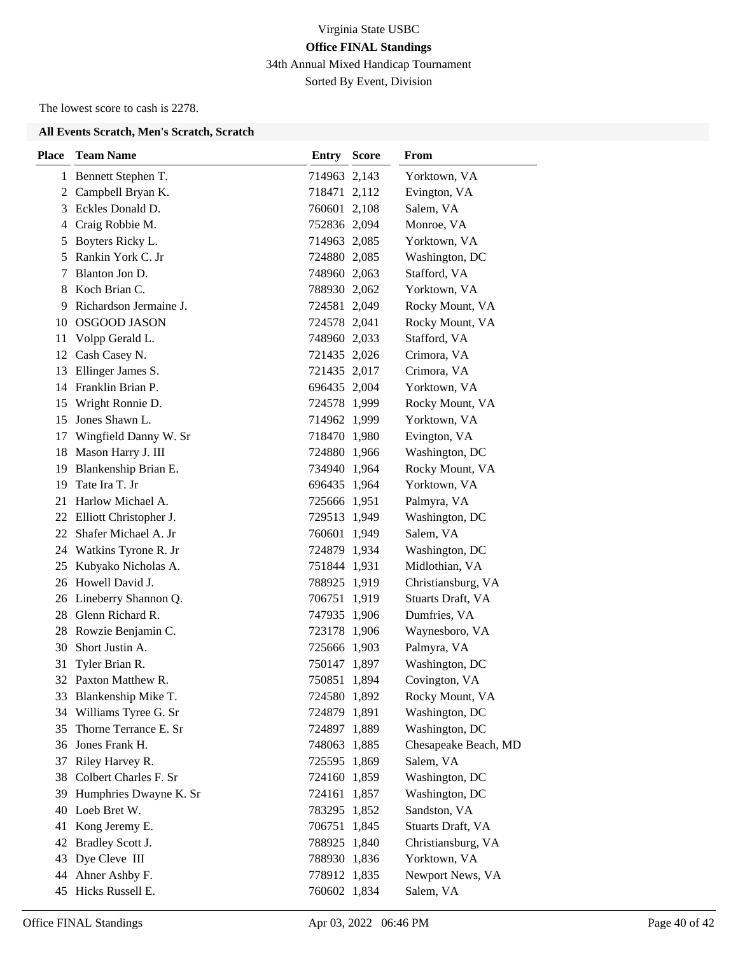34th Annual Mixed Handicap Tournament

Sorted By Event, Division

The lowest score to cash is 2278.

#### **All Events Scratch, Men's Scratch, Scratch**

| <b>Place</b> | <b>Team Name</b>          | Entry        | <b>Score</b> | From                 |
|--------------|---------------------------|--------------|--------------|----------------------|
|              | 1 Bennett Stephen T.      | 714963 2,143 |              | Yorktown, VA         |
| 2            | Campbell Bryan K.         | 718471 2,112 |              | Evington, VA         |
| 3            | Eckles Donald D.          | 760601 2,108 |              | Salem, VA            |
| 4            | Craig Robbie M.           | 752836 2,094 |              | Monroe, VA           |
| 5            | Boyters Ricky L.          | 714963 2,085 |              | Yorktown, VA         |
| 5            | Rankin York C. Jr         | 724880 2,085 |              | Washington, DC       |
| 7            | Blanton Jon D.            | 748960 2,063 |              | Stafford, VA         |
| 8            | Koch Brian C.             | 788930 2,062 |              | Yorktown, VA         |
| 9            | Richardson Jermaine J.    | 724581 2,049 |              | Rocky Mount, VA      |
| 10           | <b>OSGOOD JASON</b>       | 724578 2,041 |              | Rocky Mount, VA      |
| 11           | Volpp Gerald L.           | 748960 2,033 |              | Stafford, VA         |
| 12           | Cash Casey N.             | 721435 2,026 |              | Crimora, VA          |
| 13           | Ellinger James S.         | 721435 2,017 |              | Crimora, VA          |
| 14           | Franklin Brian P.         | 696435 2,004 |              | Yorktown, VA         |
| 15           | Wright Ronnie D.          | 724578 1,999 |              | Rocky Mount, VA      |
| 15           | Jones Shawn L.            | 714962 1,999 |              | Yorktown, VA         |
| 17           | Wingfield Danny W. Sr     | 718470 1,980 |              | Evington, VA         |
| 18           | Mason Harry J. III        | 724880 1,966 |              | Washington, DC       |
| 19           | Blankenship Brian E.      | 734940 1,964 |              | Rocky Mount, VA      |
| 19           | Tate Ira T. Jr            | 696435 1,964 |              | Yorktown, VA         |
| 21           | Harlow Michael A.         | 725666 1,951 |              | Palmyra, VA          |
|              | 22 Elliott Christopher J. | 729513 1,949 |              | Washington, DC       |
|              | 22 Shafer Michael A. Jr   | 760601 1,949 |              | Salem, VA            |
|              | 24 Watkins Tyrone R. Jr   | 724879 1,934 |              | Washington, DC       |
| 25           | Kubyako Nicholas A.       | 751844 1,931 |              | Midlothian, VA       |
|              | 26 Howell David J.        | 788925 1,919 |              | Christiansburg, VA   |
|              | 26 Lineberry Shannon Q.   | 706751 1,919 |              | Stuarts Draft, VA    |
|              | 28 Glenn Richard R.       | 747935 1,906 |              | Dumfries, VA         |
|              | 28 Rowzie Benjamin C.     | 723178 1,906 |              | Waynesboro, VA       |
| 30           | Short Justin A.           | 725666 1,903 |              | Palmyra, VA          |
| 31           | Tyler Brian R.            | 750147 1,897 |              | Washington, DC       |
|              | 32 Paxton Matthew R.      | 750851       | 1,894        | Covington, VA        |
|              | 33 Blankenship Mike T.    | 724580 1,892 |              | Rocky Mount, VA      |
|              | 34 Williams Tyree G. Sr   | 724879 1,891 |              | Washington, DC       |
| 35           | Thorne Terrance E. Sr     | 724897 1,889 |              | Washington, DC       |
| 36           | Jones Frank H.            | 748063 1,885 |              | Chesapeake Beach, MD |
| 37           | Riley Harvey R.           | 725595 1,869 |              | Salem, VA            |
| 38           | Colbert Charles F. Sr     | 724160 1,859 |              | Washington, DC       |
| 39           | Humphries Dwayne K. Sr    | 724161 1,857 |              | Washington, DC       |
| 40           | Loeb Bret W.              | 783295 1,852 |              | Sandston, VA         |
| 41           | Kong Jeremy E.            | 706751 1,845 |              | Stuarts Draft, VA    |
| 42           | Bradley Scott J.          | 788925 1,840 |              | Christiansburg, VA   |
| 43           | Dye Cleve III             | 788930 1,836 |              | Yorktown, VA         |
| 44           | Ahner Ashby F.            | 778912 1,835 |              | Newport News, VA     |
| 45           | Hicks Russell E.          | 760602 1,834 |              | Salem, VA            |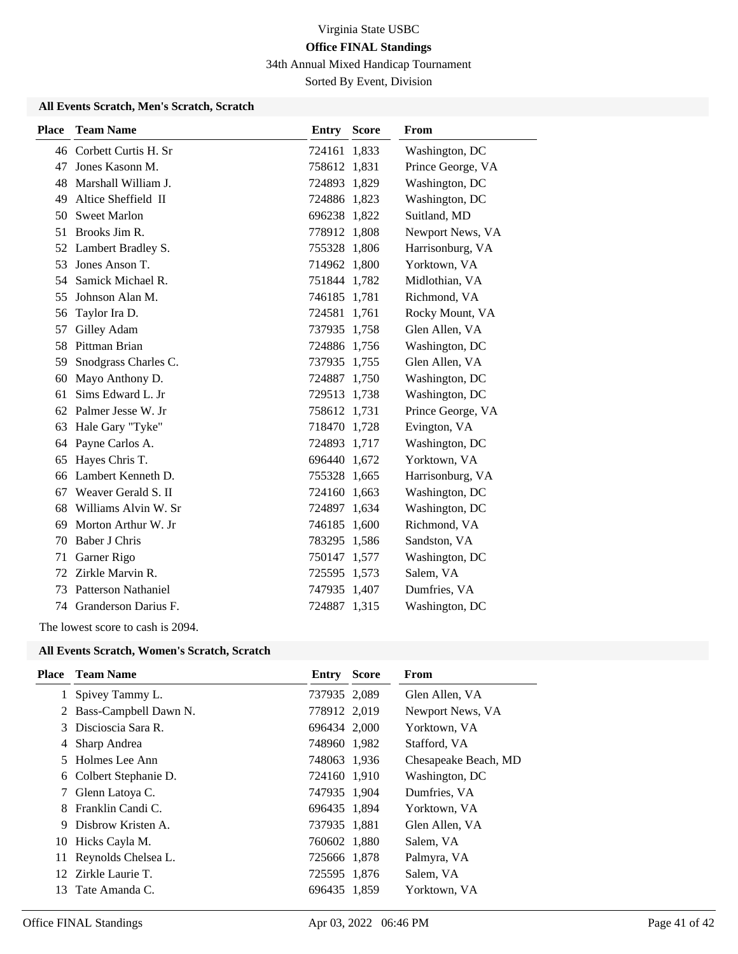34th Annual Mixed Handicap Tournament

Sorted By Event, Division

### **All Events Scratch, Men's Scratch, Scratch**

| <b>Place</b> | <b>Team Name</b>           | Entry        | <b>Score</b> | From              |
|--------------|----------------------------|--------------|--------------|-------------------|
|              | 46 Corbett Curtis H. Sr    | 724161 1,833 |              | Washington, DC    |
| 47           | Jones Kasonn M.            | 758612 1,831 |              | Prince George, VA |
| 48           | Marshall William J.        | 724893 1,829 |              | Washington, DC    |
| 49           | Altice Sheffield II        | 724886 1,823 |              | Washington, DC    |
| 50           | <b>Sweet Marlon</b>        | 696238 1,822 |              | Suitland, MD      |
| 51           | Brooks Jim R.              | 778912 1,808 |              | Newport News, VA  |
| 52           | Lambert Bradley S.         | 755328 1,806 |              | Harrisonburg, VA  |
| 53           | Jones Anson T.             | 714962 1,800 |              | Yorktown, VA      |
| 54           | Samick Michael R.          | 751844 1,782 |              | Midlothian, VA    |
| 55           | Johnson Alan M.            | 746185 1,781 |              | Richmond, VA      |
| 56           | Taylor Ira D.              | 724581 1,761 |              | Rocky Mount, VA   |
| 57           | Gilley Adam                | 737935 1,758 |              | Glen Allen, VA    |
| 58           | Pittman Brian              | 724886 1,756 |              | Washington, DC    |
| 59           | Snodgrass Charles C.       | 737935 1,755 |              | Glen Allen, VA    |
| 60           | Mayo Anthony D.            | 724887 1,750 |              | Washington, DC    |
| 61           | Sims Edward L. Jr          | 729513 1,738 |              | Washington, DC    |
| 62           | Palmer Jesse W. Jr         | 758612 1,731 |              | Prince George, VA |
| 63           | Hale Gary "Tyke"           | 718470 1,728 |              | Evington, VA      |
| 64           | Payne Carlos A.            | 724893 1,717 |              | Washington, DC    |
| 65           | Hayes Chris T.             | 696440 1,672 |              | Yorktown, VA      |
| 66           | Lambert Kenneth D.         | 755328 1,665 |              | Harrisonburg, VA  |
| 67           | Weaver Gerald S. II        | 724160 1,663 |              | Washington, DC    |
| 68           | Williams Alvin W. Sr       | 724897 1,634 |              | Washington, DC    |
| 69           | Morton Arthur W. Jr        | 746185 1,600 |              | Richmond, VA      |
| 70           | Baber J Chris              | 783295 1,586 |              | Sandston, VA      |
| 71           | Garner Rigo                | 750147 1,577 |              | Washington, DC    |
| 72           | Zirkle Marvin R.           | 725595 1,573 |              | Salem, VA         |
| 73           | <b>Patterson Nathaniel</b> | 747935 1,407 |              | Dumfries, VA      |
| 74           | Granderson Darius F.       | 724887 1,315 |              | Washington, DC    |

The lowest score to cash is 2094.

#### **All Events Scratch, Women's Scratch, Scratch**

| Place | <b>Team Name</b>        | Entry        | <b>Score</b> | From                 |
|-------|-------------------------|--------------|--------------|----------------------|
|       | Spivey Tammy L.         | 737935 2,089 |              | Glen Allen, VA       |
|       | 2 Bass-Campbell Dawn N. | 778912 2,019 |              | Newport News, VA     |
|       | 3 Discioscia Sara R.    | 696434 2,000 |              | Yorktown, VA         |
| 4     | Sharp Andrea            | 748960 1,982 |              | Stafford, VA         |
| 5.    | Holmes Lee Ann          | 748063 1,936 |              | Chesapeake Beach, MD |
|       | 6 Colbert Stephanie D.  | 724160 1,910 |              | Washington, DC       |
| 7     | Glenn Latoya C.         | 747935 1,904 |              | Dumfries, VA         |
| 8.    | Franklin Candi C.       | 696435 1,894 |              | Yorktown, VA         |
| 9     | Disbrow Kristen A.      | 737935 1,881 |              | Glen Allen, VA       |
|       | 10 Hicks Cayla M.       | 760602 1,880 |              | Salem, VA            |
| 11    | Reynolds Chelsea L.     | 725666 1,878 |              | Palmyra, VA          |
|       | 12 Zirkle Laurie T.     | 725595 1,876 |              | Salem, VA            |
| 13    | Tate Amanda C.          | 696435 1,859 |              | Yorktown, VA         |